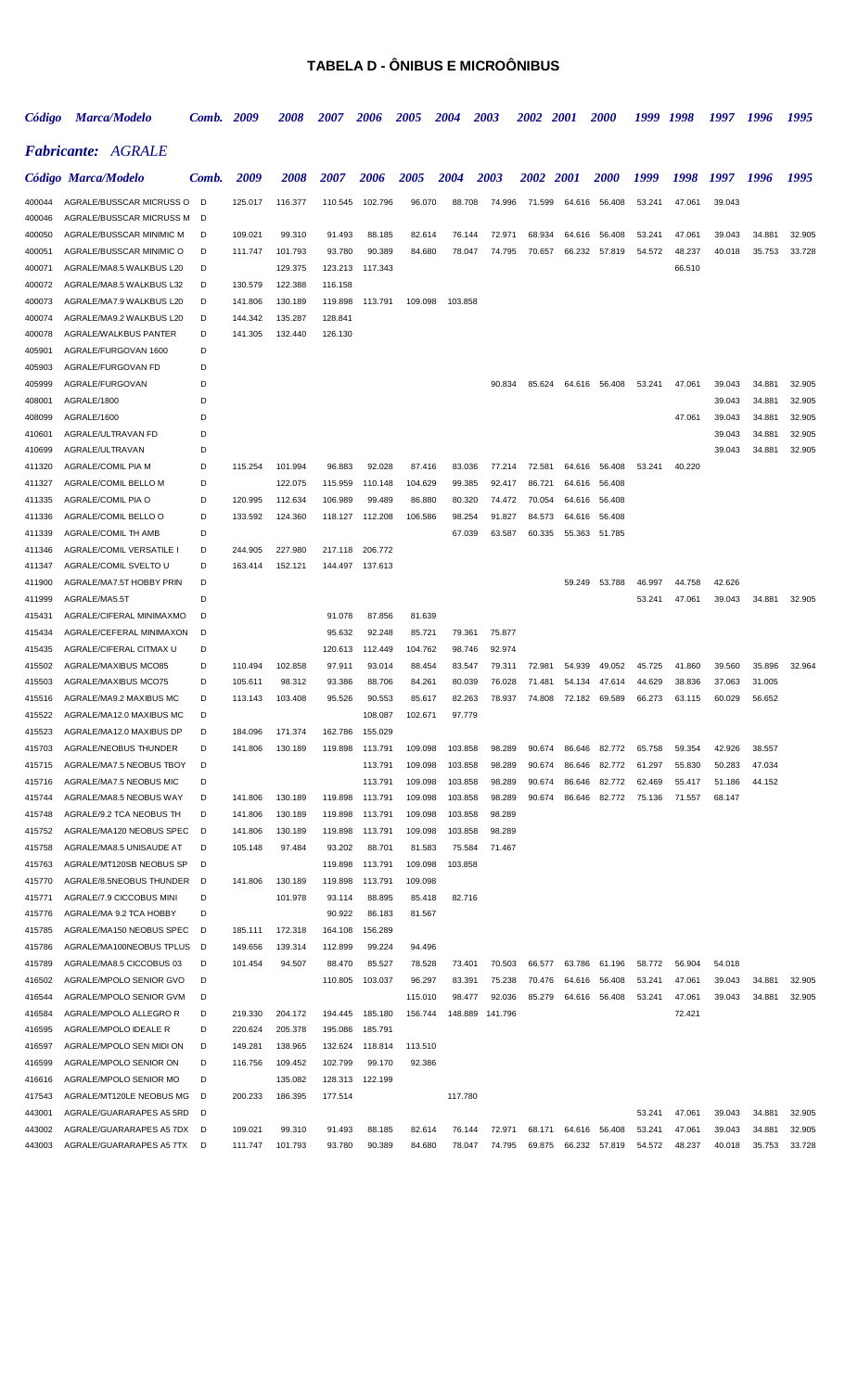### **TABELA D - ÔNIBUS E MICROÔNIBUS**

| Código           | <b>Marca/Modelo</b>                                  | Comb.  | 2009               | <i><b>2008</b></i> | 2007               | 2006              | <i><b>2005</b></i> | 2004             | 2003             | <i><b>2002</b></i> | <i>2001</i>      | <i><b>2000</b></i> | 1999   | 1998   | 1997   | 1996   | 1995   |
|------------------|------------------------------------------------------|--------|--------------------|--------------------|--------------------|-------------------|--------------------|------------------|------------------|--------------------|------------------|--------------------|--------|--------|--------|--------|--------|
|                  | <b>Fabricante: AGRALE</b>                            |        |                    |                    |                    |                   |                    |                  |                  |                    |                  |                    |        |        |        |        |        |
|                  | Código Marca/Modelo                                  | Comb.  | 2009               | <i><b>2008</b></i> | <i><b>2007</b></i> | 2006              | <i><b>2005</b></i> | 2004             | 2003             | 2002 2001          |                  | <b>2000</b>        | 1999   | 1998   | 1997   | -1996  | 1995   |
| 400044           | AGRALE/BUSSCAR MICRUSS O                             | D      | 125.017            | 116.377            | 110.545            | 102.796           | 96.070             | 88.708           | 74.996           | 71.599             | 64.616           | 56.408             | 53.241 | 47.061 | 39.043 |        |        |
| 400046           | AGRALE/BUSSCAR MICRUSS M                             | D      |                    |                    |                    |                   |                    |                  |                  |                    |                  |                    |        |        |        |        |        |
| 400050           | AGRALE/BUSSCAR MINIMIC M                             | D      | 109.021            | 99.310             | 91.493             | 88.185            | 82.614             | 76.144           | 72.971           | 68.934             | 64.616           | 56.408             | 53.241 | 47.061 | 39.043 | 34.881 | 32.905 |
| 400051           | AGRALE/BUSSCAR MINIMIC O                             | D      | 111.747            | 101.793            | 93.780             | 90.389            | 84.680             | 78.047           | 74.795           | 70.657             | 66.232           | 57.819             | 54.572 | 48.237 | 40.018 | 35.753 | 33.728 |
| 400071           | AGRALE/MA8.5 WALKBUS L20                             | D      |                    | 129.375            | 123.213            | 117.343           |                    |                  |                  |                    |                  |                    |        | 66.510 |        |        |        |
| 400072<br>400073 | AGRALE/MA8.5 WALKBUS L32<br>AGRALE/MA7.9 WALKBUS L20 | D<br>D | 130.579<br>141.806 | 122.388<br>130.189 | 116.158<br>119.898 | 113.791           | 109.098            | 103.858          |                  |                    |                  |                    |        |        |        |        |        |
| 400074           | AGRALE/MA9.2 WALKBUS L20                             | D      | 144.342            | 135.287            | 128.841            |                   |                    |                  |                  |                    |                  |                    |        |        |        |        |        |
| 400078           | AGRALE/WALKBUS PANTER                                | D      | 141.305            | 132.440            | 126.130            |                   |                    |                  |                  |                    |                  |                    |        |        |        |        |        |
| 405901           | AGRALE/FURGOVAN 1600                                 | D      |                    |                    |                    |                   |                    |                  |                  |                    |                  |                    |        |        |        |        |        |
| 405903           | AGRALE/FURGOVAN FD                                   | D      |                    |                    |                    |                   |                    |                  |                  |                    |                  |                    |        |        |        |        |        |
| 405999           | AGRALE/FURGOVAN                                      |        |                    |                    |                    |                   |                    |                  | 90.834           | 85.624             |                  | 64.616 56.408      | 53.241 | 47.061 | 39.043 | 34.881 | 32.905 |
| 408001           | AGRALE/1800                                          |        |                    |                    |                    |                   |                    |                  |                  |                    |                  |                    |        |        | 39.043 | 34.881 | 32.905 |
| 408099           | AGRALE/1600                                          |        |                    |                    |                    |                   |                    |                  |                  |                    |                  |                    |        | 47.061 | 39.043 | 34.881 | 32.905 |
| 410601           | AGRALE/ULTRAVAN FD                                   | D      |                    |                    |                    |                   |                    |                  |                  |                    |                  |                    |        |        | 39.043 | 34.881 | 32.905 |
| 410699           | AGRALE/ULTRAVAN                                      | D      |                    |                    |                    |                   |                    |                  |                  |                    |                  |                    |        |        | 39.043 | 34.881 | 32.905 |
| 411320           | AGRALE/COMIL PIA M                                   | D      | 115.254            | 101.994            | 96.883             | 92.028            | 87.416             | 83.036           | 77.214           | 72.581             | 64.616           | 56.408             | 53.241 | 40.220 |        |        |        |
| 411327<br>411335 | AGRALE/COMIL BELLO M<br>AGRALE/COMIL PIA O           | D<br>D | 120.995            | 122.075<br>112.634 | 115.959<br>106.989 | 110.148<br>99.489 | 104.629<br>86.880  | 99.385<br>80.320 | 92.417<br>74.472 | 86.721<br>70.054   | 64.616<br>64.616 | 56.408<br>56.408   |        |        |        |        |        |
| 411336           | AGRALE/COMIL BELLO O                                 | D      | 133.592            | 124.360            | 118.127            | 112.208           | 106.586            | 98.254           | 91.827           | 84.573             | 64.616           | 56.408             |        |        |        |        |        |
| 411339           | AGRALE/COMIL TH AMB                                  | D      |                    |                    |                    |                   |                    | 67.039           | 63.587           | 60.335             | 55.363           | 51.785             |        |        |        |        |        |
| 411346           | AGRALE/COMIL VERSATILE I                             | D      | 244.905            | 227.980            | 217.118            | 206.772           |                    |                  |                  |                    |                  |                    |        |        |        |        |        |
| 411347           | AGRALE/COMIL SVELTO U                                | D      | 163.414            | 152.121            |                    | 144.497 137.613   |                    |                  |                  |                    |                  |                    |        |        |        |        |        |
| 411900           | AGRALE/MA7.5T HOBBY PRIN                             | D      |                    |                    |                    |                   |                    |                  |                  |                    | 59.249           | 53.788             | 46.997 | 44.758 | 42.626 |        |        |
| 411999           | AGRALE/MA5.5T                                        | D      |                    |                    |                    |                   |                    |                  |                  |                    |                  |                    | 53.241 | 47.061 | 39.043 | 34.881 | 32.905 |
| 415431           | AGRALE/CIFERAL MINIMAXMO                             | D      |                    |                    | 91.078             | 87.856            | 81.639             |                  |                  |                    |                  |                    |        |        |        |        |        |
| 415434           | AGRALE/CEFERAL MINIMAXON                             | D      |                    |                    | 95.632             | 92.248            | 85.721             | 79.361           | 75.877           |                    |                  |                    |        |        |        |        |        |
| 415435           | AGRALE/CIFERAL CITMAX U                              | D      |                    |                    | 120.613            | 112.449           | 104.762            | 98.746           | 92.974           |                    |                  |                    |        |        |        |        |        |
| 415502           | AGRALE/MAXIBUS MCO85                                 | D      | 110.494            | 102.858            | 97.911             | 93.014            | 88.454             | 83.547           | 79.311           | 72.981             | 54.939           | 49.052             | 45.725 | 41.860 | 39.560 | 35.896 | 32.964 |
| 415503           | AGRALE/MAXIBUS MCO75                                 | D<br>D | 105.611            | 98.312             | 93.386             | 88.706            | 84.261             | 80.039           | 76.028           | 71.481             | 54.134           | 47.614             | 44.629 | 38.836 | 37.063 | 31.005 |        |
| 415516<br>415522 | AGRALE/MA9.2 MAXIBUS MC<br>AGRALE/MA12.0 MAXIBUS MC  | D      | 113.143            | 103.408            | 95.526             | 90.553<br>108.087 | 85.617<br>102.671  | 82.263<br>97.779 | 78.937           | 74.808             | 72.182           | 69.589             | 66.273 | 63.115 | 60.029 | 56.652 |        |
| 415523           | AGRALE/MA12.0 MAXIBUS DP                             | D      | 184.096            | 171.374            | 162.786            | 155.029           |                    |                  |                  |                    |                  |                    |        |        |        |        |        |
| 415703           | AGRALE/NEOBUS THUNDER                                | D      | 141.806            | 130.189            | 119.898            | 113.791           | 109.098            | 103.858          | 98.289           | 90.674             | 86.646           | 82.772             | 65.758 | 59.354 | 42.926 | 38.557 |        |
| 415715           | AGRALE/MA7.5 NEOBUS TBOY                             | D      |                    |                    |                    | 113.791           | 109.098            | 103.858          | 98.289           | 90.674             | 86.646           | 82.772             | 61.297 | 55.830 | 50.283 | 47.034 |        |
| 415716           | AGRALE/MA7.5 NEOBUS MIC                              | D      |                    |                    |                    | 113.791           | 109.098            | 103.858          | 98.289           | 90.674             | 86.646           | 82.772             | 62.469 | 55.417 | 51.186 | 44.152 |        |
| 415744           | AGRALE/MA8.5 NEOBUS WAY                              | D      | 141.806            | 130.189            | 119.898            | 113.791           | 109.098            | 103.858          | 98.289           | 90.674             | 86.646           | 82.772             | 75.136 | 71.557 | 68.147 |        |        |
| 415748           | AGRALE/9.2 TCA NEOBUS TH                             | D      | 141.806            | 130.189            | 119.898            | 113.791           | 109.098            | 103.858          | 98.289           |                    |                  |                    |        |        |        |        |        |
| 415752           | AGRALE/MA120 NEOBUS SPEC                             | D      | 141.806            | 130.189            | 119.898            | 113.791           | 109.098            | 103.858          | 98.289           |                    |                  |                    |        |        |        |        |        |
| 415758           | AGRALE/MA8.5 UNISAUDE AT                             | D      | 105.148            | 97.484             | 93.202             | 88.701            | 81.583             | 75.584           | 71.467           |                    |                  |                    |        |        |        |        |        |
| 415763           | AGRALE/MT120SB NEOBUS SP                             | D      |                    |                    | 119.898            | 113.791           | 109.098            | 103.858          |                  |                    |                  |                    |        |        |        |        |        |
| 415770<br>415771 | AGRALE/8.5NEOBUS THUNDER<br>AGRALE/7.9 CICCOBUS MINI | D<br>D | 141.806            | 130.189<br>101.978 | 119.898<br>93.114  | 113.791<br>88.895 | 109.098<br>85.418  | 82.716           |                  |                    |                  |                    |        |        |        |        |        |
| 415776           | AGRALE/MA 9.2 TCA HOBBY                              | D      |                    |                    | 90.922             | 86.183            | 81.567             |                  |                  |                    |                  |                    |        |        |        |        |        |
| 415785           | AGRALE/MA150 NEOBUS SPEC                             | D      | 185.111            | 172.318            | 164.108            | 156.289           |                    |                  |                  |                    |                  |                    |        |        |        |        |        |
| 415786           | AGRALE/MA100NEOBUS TPLUS                             | D      | 149.656            | 139.314            | 112.899            | 99.224            | 94.496             |                  |                  |                    |                  |                    |        |        |        |        |        |
| 415789           | AGRALE/MA8.5 CICCOBUS 03                             | D      | 101.454            | 94.507             | 88.470             | 85.527            | 78.528             | 73.401           | 70.503           | 66.577             | 63.786           | 61.196             | 58.772 | 56.904 | 54.018 |        |        |
| 416502           | AGRALE/MPOLO SENIOR GVO                              | D      |                    |                    | 110.805            | 103.037           | 96.297             | 83.391           | 75.238           | 70.476             | 64.616           | 56.408             | 53.241 | 47.061 | 39.043 | 34.881 | 32.905 |
| 416544           | AGRALE/MPOLO SENIOR GVM                              | D      |                    |                    |                    |                   | 115.010            | 98.477           | 92.036           | 85.279             | 64.616           | 56.408             | 53.241 | 47.061 | 39.043 | 34.881 | 32.905 |
| 416584           | AGRALE/MPOLO ALLEGRO R                               | D      | 219.330            | 204.172            | 194.445            | 185.180           | 156.744            |                  | 148.889 141.796  |                    |                  |                    |        | 72.421 |        |        |        |
| 416595           | AGRALE/MPOLO IDEALE R                                | D      | 220.624            | 205.378            | 195.086            | 185.791           |                    |                  |                  |                    |                  |                    |        |        |        |        |        |
| 416597           | AGRALE/MPOLO SEN MIDI ON                             | D      | 149.281            | 138.965            | 132.624            | 118.814           | 113.510            |                  |                  |                    |                  |                    |        |        |        |        |        |
| 416599           | AGRALE/MPOLO SENIOR ON                               | D      | 116.756            | 109.452            | 102.799            | 99.170            | 92.386             |                  |                  |                    |                  |                    |        |        |        |        |        |
| 416616<br>417543 | AGRALE/MPOLO SENIOR MO<br>AGRALE/MT120LE NEOBUS MG   | D<br>D |                    | 135.082            | 128.313            | 122.199           |                    | 117.780          |                  |                    |                  |                    |        |        |        |        |        |
| 443001           | AGRALE/GUARARAPES A5 5RD                             | D      | 200.233            | 186.395            | 177.514            |                   |                    |                  |                  |                    |                  |                    | 53.241 | 47.061 | 39.043 | 34.881 | 32.905 |
| 443002           | AGRALE/GUARARAPES A5 7DX                             | D      | 109.021            | 99.310             | 91.493             | 88.185            | 82.614             | 76.144           | 72.971           | 68.171             | 64.616           | 56.408             | 53.241 | 47.061 | 39.043 | 34.881 | 32.905 |
| 443003           | AGRALE/GUARARAPES A5 7TX                             | D      | 111.747            | 101.793            | 93.780             | 90.389            | 84.680             | 78.047           | 74.795           | 69.875             |                  | 66.232 57.819      | 54.572 | 48.237 | 40.018 | 35.753 | 33.728 |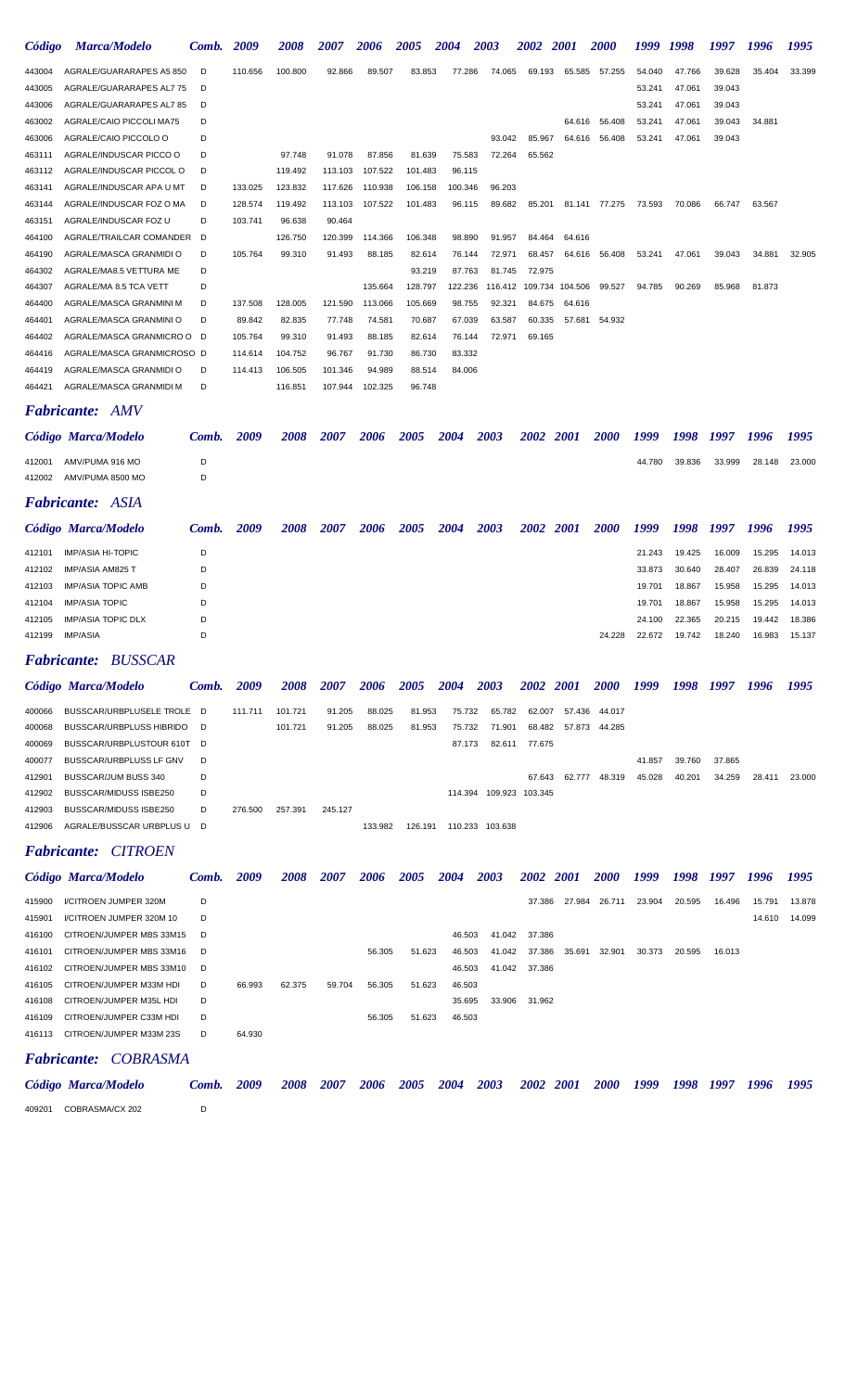| Código | <b>Marca/Modelo</b>        | Comb. | 2009    | 2008    | 2007    | 2006    | 2005    | 2004    | 2003    | 2002               | <b>2001</b> | <b>2000</b> | 1999   | 1998   | 1997   | 1996   | 1995   |
|--------|----------------------------|-------|---------|---------|---------|---------|---------|---------|---------|--------------------|-------------|-------------|--------|--------|--------|--------|--------|
| 443004 | AGRALE/GUARARAPES A5 850   | D     | 110.656 | 100.800 | 92.866  | 89.507  | 83.853  | 77.286  | 74.065  | 69.193             | 65.585      | 57.255      | 54.040 | 47.766 | 39.628 | 35.404 | 33.399 |
| 443005 | AGRALE/GUARARAPES AL7 75   | D     |         |         |         |         |         |         |         |                    |             |             | 53.241 | 47.061 | 39.043 |        |        |
| 443006 | AGRALE/GUARARAPES AL7 85   | D     |         |         |         |         |         |         |         |                    |             |             | 53.241 | 47.061 | 39.043 |        |        |
| 463002 | AGRALE/CAIO PICCOLI MA75   | D     |         |         |         |         |         |         |         |                    | 64.616      | 56.408      | 53.241 | 47.061 | 39.043 | 34.881 |        |
| 463006 | AGRALE/CAIO PICCOLO O      | D     |         |         |         |         |         |         | 93.042  | 85.967             | 64.616      | 56.408      | 53.241 | 47.061 | 39.043 |        |        |
| 463111 | AGRALE/INDUSCAR PICCO O    | D     |         | 97.748  | 91.078  | 87.856  | 81.639  | 75.583  | 72.264  | 65.562             |             |             |        |        |        |        |        |
| 463112 | AGRALE/INDUSCAR PICCOL O   | D     |         | 119.492 | 113.103 | 107.522 | 101.483 | 96.115  |         |                    |             |             |        |        |        |        |        |
| 463141 | AGRALE/INDUSCAR APA U MT   | D     | 133.025 | 123.832 | 117.626 | 110.938 | 106.158 | 100.346 | 96.203  |                    |             |             |        |        |        |        |        |
| 463144 | AGRALE/INDUSCAR FOZ O MA   | D     | 128.574 | 119.492 | 113.103 | 107.522 | 101.483 | 96.115  | 89.682  | 85.201             | 81.141      | 77.275      | 73.593 | 70.086 | 66.747 | 63.567 |        |
| 463151 | AGRALE/INDUSCAR FOZ U      | D     | 103.741 | 96.638  | 90.464  |         |         |         |         |                    |             |             |        |        |        |        |        |
| 464100 | AGRALE/TRAILCAR COMANDER   | D     |         | 126.750 | 120.399 | 114.366 | 106.348 | 98.890  | 91.957  | 84.464             | 64.616      |             |        |        |        |        |        |
| 464190 | AGRALE/MASCA GRANMIDI O    | D     | 105.764 | 99.310  | 91.493  | 88.185  | 82.614  | 76.144  | 72.971  | 68.457             | 64.616      | 56.408      | 53.241 | 47.061 | 39.043 | 34.881 | 32.905 |
| 464302 | AGRALE/MA8.5 VETTURA ME    | D     |         |         |         |         | 93.219  | 87.763  | 81.745  | 72.975             |             |             |        |        |        |        |        |
| 464307 | AGRALE/MA 8.5 TCA VETT     | D     |         |         |         | 135.664 | 128.797 | 122.236 | 116.412 | 109.734            | 104.506     | 99.527      | 94.785 | 90.269 | 85.968 | 81.873 |        |
| 464400 | AGRALE/MASCA GRANMINI M    | D     | 137.508 | 128,005 | 121.590 | 113.066 | 105.669 | 98.755  | 92.321  | 84.675             | 64.616      |             |        |        |        |        |        |
| 464401 | AGRALE/MASCA GRANMINI O    | D     | 89.842  | 82.835  | 77.748  | 74.581  | 70.687  | 67.039  | 63.587  | 60.335             | 57.681      | 54.932      |        |        |        |        |        |
| 464402 | AGRALE/MASCA GRANMICRO O D |       | 105.764 | 99.310  | 91.493  | 88.185  | 82.614  | 76.144  | 72.971  | 69.165             |             |             |        |        |        |        |        |
| 464416 | AGRALE/MASCA GRANMICROSO D |       | 114.614 | 104.752 | 96.767  | 91.730  | 86.730  | 83.332  |         |                    |             |             |        |        |        |        |        |
| 464419 | AGRALE/MASCA GRANMIDI O    | D     | 114.413 | 106.505 | 101.346 | 94.989  | 88.514  | 84.006  |         |                    |             |             |        |        |        |        |        |
| 464421 | AGRALE/MASCA GRANMIDI M    | D     |         | 116.851 | 107.944 | 102.325 | 96.748  |         |         |                    |             |             |        |        |        |        |        |
|        | <b>Fabricante: AMV</b>     |       |         |         |         |         |         |         |         |                    |             |             |        |        |        |        |        |
|        | Código Marca/Modelo        | Comb. | 2009    | 2008    | 2007    | 2006    | 2005    | 2004    | 2003    | <i><b>2002</b></i> | 2001        | <i>2000</i> | 1999   | 1998   | 1997   | 1996   | 1995   |
| 412001 | AMV/PUMA 916 MO            | D     |         |         |         |         |         |         |         |                    |             |             | 44.780 | 39.836 | 33.999 | 28.148 | 23.000 |
| 412002 | AMV/PUMA 8500 MO           | D     |         |         |         |         |         |         |         |                    |             |             |        |        |        |        |        |

*Fabricante: ASIA*

|        | Código Marca/Modelo | <b>Comb.</b> 2009 | <b>2008</b> | 2007 | 2006 | <b>2005</b> | <b>2004</b> | 2003 | 2002 2001 | <i>2000</i> | 1999   | 1998 1997 |        | 1996   | 1995   |
|--------|---------------------|-------------------|-------------|------|------|-------------|-------------|------|-----------|-------------|--------|-----------|--------|--------|--------|
| 412101 | IMP/ASIA HI-TOPIC   | D                 |             |      |      |             |             |      |           |             | 21.243 | 19.425    | 16.009 | 15.295 | 14.013 |
| 412102 | IMP/ASIA AM825 T    |                   |             |      |      |             |             |      |           |             | 33.873 | 30.640    | 28.407 | 26.839 | 24.118 |
| 412103 | IMP/ASIA TOPIC AMB  | D                 |             |      |      |             |             |      |           |             | 19.701 | 18.867    | 15.958 | 15.295 | 14.013 |
| 412104 | IMP/ASIA TOPIC      | D                 |             |      |      |             |             |      |           |             | 19.701 | 18.867    | 15.958 | 15.295 | 14.013 |
| 412105 | IMP/ASIA TOPIC DLX  | D                 |             |      |      |             |             |      |           |             | 24.100 | 22.365    | 20.215 | 19.442 | 18.386 |
| 412199 | IMP/ASIA            |                   |             |      |      |             |             |      |           | 24.228      | 22.672 | 19.742    | 18.240 | 16.983 | 15.137 |
|        |                     |                   |             |      |      |             |             |      |           |             |        |           |        |        |        |

### *Fabricante: BUSSCAR*

|        | Código Marca/Modelo        | Comb. | 2009    | 2008    | 2007    | 2006    | 2005    | <b>2004</b> | 2003    | <b>2002</b>     | -2001  | <b>2000</b>   | 1999   | 1998   | 1997   | 1996   | 1995   |
|--------|----------------------------|-------|---------|---------|---------|---------|---------|-------------|---------|-----------------|--------|---------------|--------|--------|--------|--------|--------|
| 400066 | BUSSCAR/URBPLUSELE TROLE D |       | 111.711 | 101.721 | 91.205  | 88.025  | 81.953  | 75.732      | 65.782  | 62.007          |        | 57.436 44.017 |        |        |        |        |        |
| 400068 | BUSSCAR/URBPLUSS HIBRIDO D |       |         | 101.721 | 91.205  | 88.025  | 81.953  | 75.732      | 71.901  | 68.482          | 57.873 | 44.285        |        |        |        |        |        |
| 400069 | BUSSCAR/URBPLUSTOUR 610T D |       |         |         |         |         |         | 87.173      | 82.611  | 77.675          |        |               |        |        |        |        |        |
| 400077 | BUSSCAR/URBPLUSS LF GNV    | D.    |         |         |         |         |         |             |         |                 |        |               | 41.857 | 39.760 | 37.865 |        |        |
| 412901 | BUSSCAR/JUM BUSS 340       | D     |         |         |         |         |         |             |         | 67.643          | 62.777 | 48.319        | 45.028 | 40.201 | 34.259 | 28.411 | 23.000 |
| 412902 | BUSSCAR/MIDUSS ISBE250     | D     |         |         |         |         |         | 114.394     |         | 109.923 103.345 |        |               |        |        |        |        |        |
| 412903 | BUSSCAR/MIDUSS ISBE250     | D     | 276,500 | 257.391 | 245.127 |         |         |             |         |                 |        |               |        |        |        |        |        |
| 412906 | AGRALE/BUSSCAR URBPLUS U D |       |         |         |         | 133.982 | 126.191 | 110.233     | 103.638 |                 |        |               |        |        |        |        |        |

# *Fabricante: CITROEN*

|        | Código Marca/Modelo         | Comb. | 2009   | <b>2008</b> | 2007   | 2006   | 2005   | 2004   | 2003   | 2002          | <b>2001</b>   | <b>2000</b> | 1999   | 1998   | 1997   | 1996   | 1995   |
|--------|-----------------------------|-------|--------|-------------|--------|--------|--------|--------|--------|---------------|---------------|-------------|--------|--------|--------|--------|--------|
| 415900 | I/CITROEN JUMPER 320M       | D     |        |             |        |        |        |        |        |               | 37.386 27.984 | 26.711      | 23.904 | 20.595 | 16.496 | 15.791 | 13.878 |
| 415901 | I/CITROEN JUMPER 320M 10    | D     |        |             |        |        |        |        |        |               |               |             |        |        |        | 14.610 | 14.099 |
| 416100 | CITROEN/JUMPER MBS 33M15 D  |       |        |             |        |        |        | 46.503 | 41.042 | 37.386        |               |             |        |        |        |        |        |
| 416101 | CITROEN/JUMPER MBS 33M16 D  |       |        |             |        | 56.305 | 51.623 | 46.503 | 41.042 | 37.386        | 35.691        | 32.901      | 30.373 | 20.595 | 16.013 |        |        |
| 416102 | CITROEN/JUMPER MBS 33M10 D  |       |        |             |        |        |        | 46.503 |        | 41.042 37.386 |               |             |        |        |        |        |        |
| 416105 | CITROEN/JUMPER M33M HDI     | D     | 66.993 | 62.375      | 59.704 | 56.305 | 51.623 | 46.503 |        |               |               |             |        |        |        |        |        |
| 416108 | CITROEN/JUMPER M35L HDI     | D     |        |             |        |        |        | 35.695 | 33.906 | 31.962        |               |             |        |        |        |        |        |
| 416109 | CITROEN/JUMPER C33M HDI     | D     |        |             |        | 56.305 | 51.623 | 46.503 |        |               |               |             |        |        |        |        |        |
| 416113 | CITROEN/JUMPER M33M 23S     | D     | 64.930 |             |        |        |        |        |        |               |               |             |        |        |        |        |        |
|        | <b>Fabricante: COBRASMA</b> |       |        |             |        |        |        |        |        |               |               |             |        |        |        |        |        |

|        | Código Marca/Modelo | Comb. 2009 | 2008 |  |  | 2007 2006 2005 2004 2003 2002 2001 |  | 2000 1999 1998 1997 |  | 1996 | 1995 |
|--------|---------------------|------------|------|--|--|------------------------------------|--|---------------------|--|------|------|
| 409201 | COBRASMA/CX 202     |            |      |  |  |                                    |  |                     |  |      |      |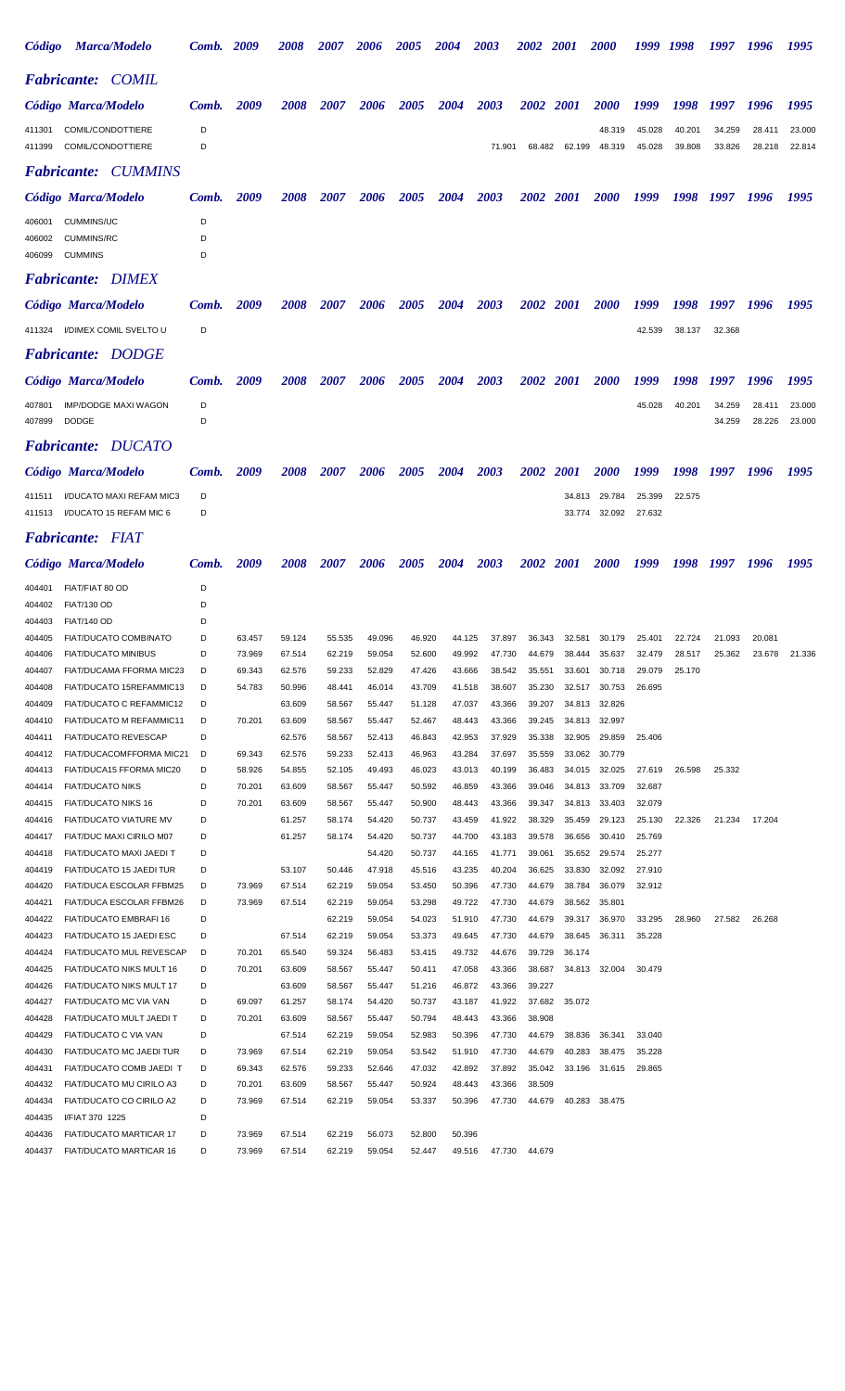| <i><b>Código</b></i>       | Marca/Modelo                                             | Comb. 2009  |        | <i><b>2008</b></i> | <i><b>2007</b></i> | 2006   | 2005               | <i><b>2004</b></i> | 2003   | <i><b>2002</b></i> | <i><b>2001</b></i> | <i><b>2000</b></i>   |                  | 1998             |                  | 1996             | 1995             |
|----------------------------|----------------------------------------------------------|-------------|--------|--------------------|--------------------|--------|--------------------|--------------------|--------|--------------------|--------------------|----------------------|------------------|------------------|------------------|------------------|------------------|
|                            | <b>Fabricante: COMIL</b>                                 |             |        |                    |                    |        |                    |                    |        |                    |                    |                      |                  |                  |                  |                  |                  |
|                            | Código Marca/Modelo                                      | Comb.       | 2009   | 2008               | <i><b>2007</b></i> | 2006   | <i><b>2005</b></i> | 2004               | 2003   | 2002               | <i>2001</i>        | <i><b>2000</b></i>   | 1999             | 1998             | 1997             | 1996             | 1995             |
| 411301<br>411399           | COMIL/CONDOTTIERE<br>COMIL/CONDOTTIERE                   | D<br>D      |        |                    |                    |        |                    |                    | 71.901 | 68.482             | 62.199             | 48.319<br>48.319     | 45.028<br>45.028 | 40.201<br>39.808 | 34.259<br>33.826 | 28.411<br>28.218 | 23.000<br>22.814 |
|                            | <b>Fabricante: CUMMINS</b>                               |             |        |                    |                    |        |                    |                    |        |                    |                    |                      |                  |                  |                  |                  |                  |
|                            | Código Marca/Modelo                                      | Comb.       | 2009   | <i><b>2008</b></i> | <i>2007</i>        | 2006   | <i><b>2005</b></i> | 2004               | 2003   | <i><b>2002</b></i> | <i>2001</i>        | <i><b>2000</b></i>   | 1999             | 1998             | 1997             | 1996             | 1995             |
| 406001<br>406002<br>406099 | <b>CUMMINS/UC</b><br><b>CUMMINS/RC</b><br><b>CUMMINS</b> | D<br>D<br>D |        |                    |                    |        |                    |                    |        |                    |                    |                      |                  |                  |                  |                  |                  |
|                            | <b>Fabricante: DIMEX</b>                                 |             |        |                    |                    |        |                    |                    |        |                    |                    |                      |                  |                  |                  |                  |                  |
|                            | Código Marca/Modelo                                      | Comb.       | 2009   | <i><b>2008</b></i> | <i>2007</i>        | 2006   | <i><b>2005</b></i> | 2004               | 2003   | <i><b>2002</b></i> | <b>2001</b>        | <i><b>2000</b></i>   | 1999             | 1998             | 1997             | 1996             | 1995             |
|                            | 411324 I/DIMEX COMIL SVELTO U                            | D           |        |                    |                    |        |                    |                    |        |                    |                    |                      | 42.539           | 38.137           | 32.368           |                  |                  |
|                            | <b>Fabricante: DODGE</b>                                 |             |        |                    |                    |        |                    |                    |        |                    |                    |                      |                  |                  |                  |                  |                  |
|                            | Código Marca/Modelo                                      | Comb.       | 2009   | <i><b>2008</b></i> | <i><b>2007</b></i> | 2006   | <i><b>2005</b></i> | 2004               | 2003   | <i><b>2002</b></i> | <b>2001</b>        | <i><b>2000</b></i>   | 1999             | 1998             | 1997             | 1996             | 1995             |
| 407801<br>407899           | <b>IMP/DODGE MAXI WAGON</b><br><b>DODGE</b>              | D<br>D      |        |                    |                    |        |                    |                    |        |                    |                    |                      | 45.028           | 40.201           | 34.259<br>34.259 | 28.411<br>28.226 | 23.000<br>23.000 |
|                            | <b>Fabricante: DUCATO</b>                                |             |        |                    |                    |        |                    |                    |        |                    |                    |                      |                  |                  |                  |                  |                  |
|                            | Código Marca/Modelo                                      | Comb.       | 2009   | <i><b>2008</b></i> | <i><b>2007</b></i> | 2006   | <i><b>2005</b></i> | 2004               | 2003   | <i><b>2002</b></i> | <i>2001</i>        | <i><b>2000</b></i>   | 1999             | 1998             |                  | 1996             | 1995             |
| 411511<br>411513           | I/DUCATO MAXI REFAM MIC3<br>I/DUCATO 15 REFAM MIC 6      | D<br>D      |        |                    |                    |        |                    |                    |        |                    | 34.813<br>33.774   | 29.784<br>32.092     | 25.399<br>27.632 | 22.575           |                  |                  |                  |
|                            | <b>Fabricante: FIAT</b>                                  |             |        |                    |                    |        |                    |                    |        |                    |                    |                      |                  |                  |                  |                  |                  |
|                            | Código Marca/Modelo                                      | Comb.       | 2009   | 2008               | 2007               | 2006   | 2005               | 2004               | 2003   | <b>2002</b>        | 2001               | <b>2000</b>          | 1999             | 1998             | 1997             | 1996             | 1995             |
| 404401                     | FIAT/FIAT 80 OD                                          | D           |        |                    |                    |        |                    |                    |        |                    |                    |                      |                  |                  |                  |                  |                  |
| 404402                     | <b>FIAT/130 OD</b>                                       | D           |        |                    |                    |        |                    |                    |        |                    |                    |                      |                  |                  |                  |                  |                  |
| 404403                     | <b>FIAT/140 OD</b>                                       | D           |        |                    |                    |        |                    |                    |        |                    |                    |                      |                  |                  |                  |                  |                  |
| 404405                     | FIAT/DUCATO COMBINATO                                    | D           | 63.457 | 59.124             | 55.535             | 49.096 | 46.920             | 44.125             | 37.897 |                    |                    | 36.343 32.581 30.179 | 25.401           | 22.724           | 21.093           | 20.081           |                  |
| 404406                     | <b>FIAT/DUCATO MINIBUS</b>                               |             | 73.969 | 67.514             | 62.219             | 59.054 | 52.600             | 49.992             | 47.730 | 44.679             | 38.444             | 35.637               | 32.479           | 28.517           | 25.362           | 23.678           | 21.336           |
| 404407                     | FIAT/DUCAMA FFORMA MIC23                                 | D           | 69.343 | 62.576             | 59.233             | 52.829 | 47.426             | 43.666             | 38.542 | 35.551             | 33.601             | 30.718               | 29.079           | 25.170           |                  |                  |                  |
| 404408                     | FIAT/DUCATO 15REFAMMIC13                                 | D           | 54.783 | 50.996             | 48.441             | 46.014 | 43.709             | 41.518             | 38.607 | 35.230             |                    | 32.517 30.753        | 26.695           |                  |                  |                  |                  |
| 404409                     | FIAT/DUCATO C REFAMMIC12                                 | D           |        | 63.609             | 58.567             | 55.447 | 51.128             | 47.037             | 43.366 | 39.207             |                    | 34.813 32.826        |                  |                  |                  |                  |                  |
| 404410                     | FIAT/DUCATO M REFAMMIC11                                 | D           | 70.201 | 63.609             | 58.567             | 55.447 | 52.467             | 48.443             | 43.366 | 39.245             |                    | 34.813 32.997        |                  |                  |                  |                  |                  |
| 404411                     | <b>FIAT/DUCATO REVESCAP</b>                              | D           |        | 62.576             | 58.567             | 52.413 | 46.843             | 42.953             | 37.929 | 35.338             |                    | 32.905 29.859        | 25.406           |                  |                  |                  |                  |
| 404412                     | FIAT/DUCACOMFFORMA MIC21                                 | D           | 69.343 | 62.576             | 59.233             | 52.413 | 46.963             | 43.284             | 37.697 | 35.559             |                    | 33.062 30.779        |                  |                  |                  |                  |                  |
| 404413                     | FIAT/DUCA15 FFORMA MIC20                                 | D           | 58.926 | 54.855             | 52.105             | 49.493 | 46.023             | 43.013             | 40.199 |                    |                    | 36.483 34.015 32.025 | 27.619           | 26.598           | 25.332           |                  |                  |

| 404409 | FIAT/DUCATO C REFAMMIC12        | D |        | 63.609 | 58.567 | 55.447 | 51.128 | 47.037 | 43.366 | 39.207 | 34.813 | 32.826 |        |        |        |        |  |
|--------|---------------------------------|---|--------|--------|--------|--------|--------|--------|--------|--------|--------|--------|--------|--------|--------|--------|--|
| 404410 | <b>FIAT/DUCATO M REFAMMIC11</b> | D | 70.201 | 63.609 | 58.567 | 55.447 | 52.467 | 48.443 | 43.366 | 39.245 | 34.813 | 32.997 |        |        |        |        |  |
| 404411 | <b>FIAT/DUCATO REVESCAP</b>     | D |        | 62.576 | 58.567 | 52.413 | 46.843 | 42.953 | 37.929 | 35.338 | 32.905 | 29.859 | 25.406 |        |        |        |  |
| 404412 | FIAT/DUCACOMFFORMA MIC21        | D | 69.343 | 62.576 | 59.233 | 52.413 | 46.963 | 43.284 | 37.697 | 35.559 | 33.062 | 30.779 |        |        |        |        |  |
| 404413 | FIAT/DUCA15 FFORMA MIC20        | D | 58.926 | 54.855 | 52.105 | 49.493 | 46.023 | 43.013 | 40.199 | 36.483 | 34.015 | 32.025 | 27.619 | 26.598 | 25.332 |        |  |
| 404414 | <b>FIAT/DUCATO NIKS</b>         | D | 70.201 | 63.609 | 58.567 | 55.447 | 50.592 | 46.859 | 43.366 | 39.046 | 34.813 | 33.709 | 32.687 |        |        |        |  |
| 404415 | <b>FIAT/DUCATO NIKS 16</b>      | D | 70.201 | 63.609 | 58.567 | 55.447 | 50.900 | 48.443 | 43.366 | 39.347 | 34.813 | 33.403 | 32.079 |        |        |        |  |
| 404416 | FIAT/DUCATO VIATURE MV          | D |        | 61.257 | 58.174 | 54.420 | 50.737 | 43.459 | 41.922 | 38.329 | 35.459 | 29.123 | 25.130 | 22.326 | 21.234 | 17.204 |  |
| 404417 | FIAT/DUC MAXI CIRILO M07        | D |        | 61.257 | 58.174 | 54.420 | 50.737 | 44.700 | 43.183 | 39.578 | 36.656 | 30.410 | 25.769 |        |        |        |  |
| 404418 | FIAT/DUCATO MAXI JAEDI T        | D |        |        |        | 54.420 | 50.737 | 44.165 | 41.771 | 39.061 | 35.652 | 29.574 | 25.277 |        |        |        |  |
| 404419 | <b>FIAT/DUCATO 15 JAEDI TUR</b> | D |        | 53.107 | 50.446 | 47.918 | 45.516 | 43.235 | 40.204 | 36.625 | 33.830 | 32.092 | 27.910 |        |        |        |  |
| 404420 | <b>FIAT/DUCA ESCOLAR FFBM25</b> | D | 73.969 | 67.514 | 62.219 | 59.054 | 53.450 | 50.396 | 47.730 | 44.679 | 38.784 | 36.079 | 32.912 |        |        |        |  |
| 404421 | FIAT/DUCA ESCOLAR FFBM26        | D | 73.969 | 67.514 | 62.219 | 59.054 | 53.298 | 49.722 | 47.730 | 44.679 | 38.562 | 35.801 |        |        |        |        |  |
| 404422 | <b>FIAT/DUCATO EMBRAFI 16</b>   | D |        |        | 62.219 | 59.054 | 54.023 | 51.910 | 47.730 | 44.679 | 39.317 | 36.970 | 33.295 | 28.960 | 27.582 | 26.268 |  |
| 404423 | <b>FIAT/DUCATO 15 JAEDI ESC</b> | D |        | 67.514 | 62.219 | 59.054 | 53.373 | 49.645 | 47.730 | 44.679 | 38.645 | 36.311 | 35.228 |        |        |        |  |
| 404424 | <b>FIAT/DUCATO MUL REVESCAP</b> | D | 70.201 | 65.540 | 59.324 | 56.483 | 53.415 | 49.732 | 44.676 | 39.729 | 36.174 |        |        |        |        |        |  |
| 404425 | <b>FIAT/DUCATO NIKS MULT 16</b> | D | 70.201 | 63.609 | 58.567 | 55.447 | 50.411 | 47.058 | 43.366 | 38.687 | 34.813 | 32.004 | 30.479 |        |        |        |  |
| 404426 | FIAT/DUCATO NIKS MULT 17        | D |        | 63.609 | 58.567 | 55.447 | 51.216 | 46.872 | 43.366 | 39.227 |        |        |        |        |        |        |  |
| 404427 | FIAT/DUCATO MC VIA VAN          | D | 69.097 | 61.257 | 58.174 | 54.420 | 50.737 | 43.187 | 41.922 | 37.682 | 35.072 |        |        |        |        |        |  |
| 404428 | FIAT/DUCATO MULT JAEDI T        | D | 70.201 | 63.609 | 58.567 | 55.447 | 50.794 | 48.443 | 43.366 | 38,908 |        |        |        |        |        |        |  |
| 404429 | <b>FIAT/DUCATO C VIA VAN</b>    | D |        | 67.514 | 62.219 | 59.054 | 52.983 | 50.396 | 47.730 | 44.679 | 38.836 | 36.341 | 33.040 |        |        |        |  |
| 404430 | FIAT/DUCATO MC JAEDI TUR        | D | 73.969 | 67.514 | 62.219 | 59.054 | 53.542 | 51.910 | 47.730 | 44.679 | 40.283 | 38.475 | 35.228 |        |        |        |  |
| 404431 | FIAT/DUCATO COMB JAEDI T        | D | 69.343 | 62.576 | 59.233 | 52.646 | 47.032 | 42.892 | 37.892 | 35.042 | 33.196 | 31.615 | 29.865 |        |        |        |  |
| 404432 | <b>FIAT/DUCATO MU CIRILO A3</b> | D | 70.201 | 63.609 | 58.567 | 55.447 | 50.924 | 48.443 | 43.366 | 38.509 |        |        |        |        |        |        |  |
| 404434 | FIAT/DUCATO CO CIRILO A2        | D | 73.969 | 67.514 | 62.219 | 59.054 | 53.337 | 50.396 | 47.730 | 44.679 | 40.283 | 38.475 |        |        |        |        |  |
| 404435 | I/FIAT 370 1225                 | D |        |        |        |        |        |        |        |        |        |        |        |        |        |        |  |
| 404436 | <b>FIAT/DUCATO MARTICAR 17</b>  | D | 73.969 | 67.514 | 62.219 | 56.073 | 52.800 | 50.396 |        |        |        |        |        |        |        |        |  |
| 404437 | <b>FIAT/DUCATO MARTICAR 16</b>  | D | 73.969 | 67.514 | 62.219 | 59.054 | 52.447 | 49.516 | 47.730 | 44.679 |        |        |        |        |        |        |  |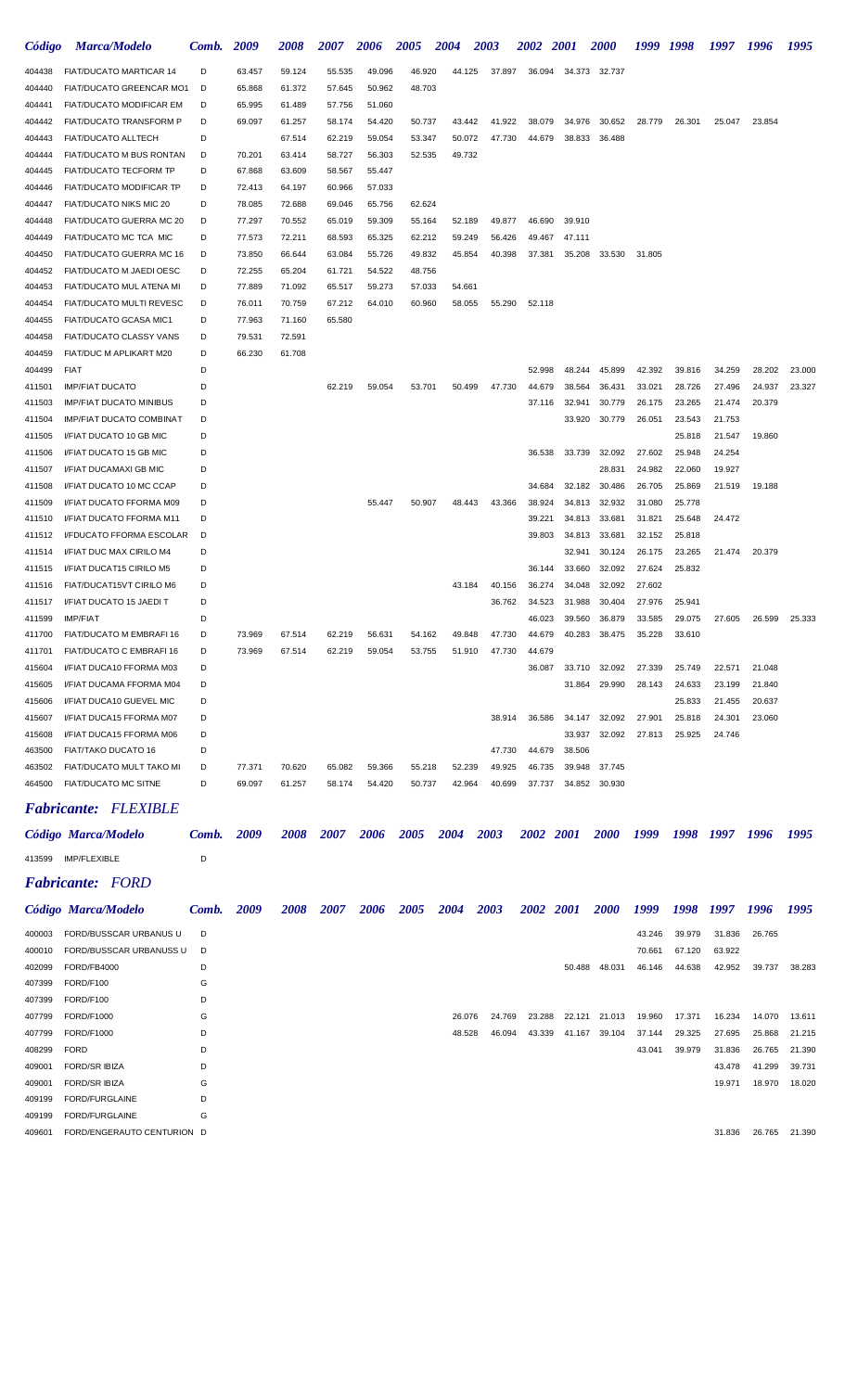| Código           | <b>Marca/Modelo</b>                                  | Comb.  | 2009             | 2008             | 2007               | 2006             | 2005             | 2004             | 2003   | <i><b>2002</b></i> | <b>2001</b>      | <i><b>2000</b></i> | 1999             | 1998             | 1997   | 1996   | 1995   |
|------------------|------------------------------------------------------|--------|------------------|------------------|--------------------|------------------|------------------|------------------|--------|--------------------|------------------|--------------------|------------------|------------------|--------|--------|--------|
| 404438           | FIAT/DUCATO MARTICAR 14                              | D      | 63.457           | 59.124           | 55.535             | 49.096           | 46.920           | 44.125           | 37.897 | 36.094             | 34.373           | 32.737             |                  |                  |        |        |        |
| 404440           | FIAT/DUCATO GREENCAR MO1                             | D      | 65.868           | 61.372           | 57.645             | 50.962           | 48.703           |                  |        |                    |                  |                    |                  |                  |        |        |        |
| 404441           | <b>FIAT/DUCATO MODIFICAR EM</b>                      | D      | 65.995           | 61.489           | 57.756             | 51.060           |                  |                  |        |                    |                  |                    |                  |                  |        |        |        |
| 404442           | FIAT/DUCATO TRANSFORM P                              | D      | 69.097           | 61.257           | 58.174             | 54.420           | 50.737           | 43.442           | 41.922 | 38.079             | 34.976           | 30.652             | 28.779           | 26.301           | 25.047 | 23.854 |        |
| 404443           | <b>FIAT/DUCATO ALLTECH</b>                           | D      |                  | 67.514           | 62.219             | 59.054           | 53.347           | 50.072           | 47.730 | 44.679             | 38.833           | 36.488             |                  |                  |        |        |        |
| 404444           | FIAT/DUCATO M BUS RONTAN                             | D      | 70.201           | 63.414           | 58.727             | 56.303           | 52.535           | 49.732           |        |                    |                  |                    |                  |                  |        |        |        |
| 404445           | FIAT/DUCATO TECFORM TP                               | D      | 67.868           | 63.609           | 58.567             | 55.447           |                  |                  |        |                    |                  |                    |                  |                  |        |        |        |
| 404446           | FIAT/DUCATO MODIFICAR TP                             | D      | 72.413           | 64.197           | 60.966             | 57.033           |                  |                  |        |                    |                  |                    |                  |                  |        |        |        |
| 404447           | FIAT/DUCATO NIKS MIC 20                              | D      | 78.085           | 72.688           | 69.046             | 65.756           | 62.624           |                  |        |                    |                  |                    |                  |                  |        |        |        |
| 404448           | FIAT/DUCATO GUERRA MC 20                             | D      | 77.297           | 70.552           | 65.019             | 59.309           | 55.164           | 52.189           | 49.877 | 46.690             | 39.910           |                    |                  |                  |        |        |        |
| 404449           | FIAT/DUCATO MC TCA MIC                               | D<br>D | 77.573           | 72.211           | 68.593             | 65.325           | 62.212           | 59.249           | 56.426 | 49.467             | 47.111           |                    |                  |                  |        |        |        |
| 404450<br>404452 | FIAT/DUCATO GUERRA MC 16<br>FIAT/DUCATO M JAEDI OESC | D      | 73.850<br>72.255 | 66.644<br>65.204 | 63.084<br>61.721   | 55.726<br>54.522 | 49.832<br>48.756 | 45.854           | 40.398 | 37.381             | 35.208           | 33.530             | 31.805           |                  |        |        |        |
| 404453           | FIAT/DUCATO MUL ATENA MI                             | D      | 77.889           | 71.092           | 65.517             | 59.273           | 57.033           | 54.661           |        |                    |                  |                    |                  |                  |        |        |        |
| 404454           | FIAT/DUCATO MULTI REVESC                             | D      | 76.011           | 70.759           | 67.212             | 64.010           | 60.960           | 58.055           | 55.290 | 52.118             |                  |                    |                  |                  |        |        |        |
| 404455           | FIAT/DUCATO GCASA MIC1                               | D      | 77.963           | 71.160           | 65.580             |                  |                  |                  |        |                    |                  |                    |                  |                  |        |        |        |
| 404458           | FIAT/DUCATO CLASSY VANS                              | D      | 79.531           | 72.591           |                    |                  |                  |                  |        |                    |                  |                    |                  |                  |        |        |        |
| 404459           | FIAT/DUC M APLIKART M20                              | D      | 66.230           | 61.708           |                    |                  |                  |                  |        |                    |                  |                    |                  |                  |        |        |        |
| 404499           | <b>FIAT</b>                                          | D      |                  |                  |                    |                  |                  |                  |        | 52.998             | 48.244           | 45.899             | 42.392           | 39.816           | 34.259 | 28.202 | 23.000 |
| 411501           | <b>IMP/FIAT DUCATO</b>                               | D      |                  |                  | 62.219             | 59.054           | 53.701           | 50.499           | 47.730 | 44.679             | 38.564           | 36.431             | 33.021           | 28.726           | 27.496 | 24.937 | 23.327 |
| 411503           | <b>IMP/FIAT DUCATO MINIBUS</b>                       | D      |                  |                  |                    |                  |                  |                  |        | 37.116             | 32.941           | 30.779             | 26.175           | 23.265           | 21.474 | 20.379 |        |
| 411504           | <b>IMP/FIAT DUCATO COMBINAT</b>                      | D      |                  |                  |                    |                  |                  |                  |        |                    | 33.920           | 30.779             | 26.051           | 23.543           | 21.753 |        |        |
| 411505           | I/FIAT DUCATO 10 GB MIC                              | D      |                  |                  |                    |                  |                  |                  |        |                    |                  |                    |                  | 25.818           | 21.547 | 19.860 |        |
| 411506           | I/FIAT DUCATO 15 GB MIC                              | D      |                  |                  |                    |                  |                  |                  |        | 36.538             | 33.739           | 32.092             | 27.602           | 25.948           | 24.254 |        |        |
| 411507           | I/FIAT DUCAMAXI GB MIC                               | D      |                  |                  |                    |                  |                  |                  |        |                    |                  | 28.831             | 24.982           | 22.060           | 19.927 |        |        |
| 411508           | I/FIAT DUCATO 10 MC CCAP                             | D      |                  |                  |                    |                  |                  |                  |        | 34.684             | 32.182           | 30.486             | 26.705           | 25.869           | 21.519 | 19.188 |        |
| 411509           | I/FIAT DUCATO FFORMA M09                             | D      |                  |                  |                    | 55.447           | 50.907           | 48.443           | 43.366 | 38.924             | 34.813           | 32.932             | 31.080           | 25.778           |        |        |        |
| 411510<br>411512 | I/FIAT DUCATO FFORMA M11<br>I/FDUCATO FFORMA ESCOLAR | D<br>D |                  |                  |                    |                  |                  |                  |        | 39.221<br>39.803   | 34.813<br>34.813 | 33.681<br>33.681   | 31.821<br>32.152 | 25.648<br>25.818 | 24.472 |        |        |
| 411514           | I/FIAT DUC MAX CIRILO M4                             | D      |                  |                  |                    |                  |                  |                  |        |                    | 32.941           | 30.124             | 26.175           | 23.265           | 21.474 | 20.379 |        |
| 411515           | I/FIAT DUCAT15 CIRILO M5                             | D      |                  |                  |                    |                  |                  |                  |        | 36.144             | 33.660           | 32.092             | 27.624           | 25.832           |        |        |        |
| 411516           | FIAT/DUCAT15VT CIRILO M6                             | D      |                  |                  |                    |                  |                  | 43.184           | 40.156 | 36.274             | 34.048           | 32.092             | 27.602           |                  |        |        |        |
| 411517           | I/FIAT DUCATO 15 JAEDI T                             | D      |                  |                  |                    |                  |                  |                  | 36.762 | 34.523             | 31.988           | 30.404             | 27.976           | 25.941           |        |        |        |
| 411599           | <b>IMP/FIAT</b>                                      | D      |                  |                  |                    |                  |                  |                  |        | 46.023             | 39.560           | 36.879             | 33.585           | 29.075           | 27.605 | 26.599 | 25.333 |
| 411700           | FIAT/DUCATO M EMBRAFI 16                             | D      | 73.969           | 67.514           | 62.219             | 56.631           | 54.162           | 49.848           | 47.730 | 44.679             | 40.283           | 38.475             | 35.228           | 33.610           |        |        |        |
| 411701           | FIAT/DUCATO C EMBRAFI 16                             | D      | 73.969           | 67.514           | 62.219             | 59.054           | 53.755           | 51.910           | 47.730 | 44.679             |                  |                    |                  |                  |        |        |        |
| 415604           | I/FIAT DUCA10 FFORMA M03                             | D      |                  |                  |                    |                  |                  |                  |        | 36.087             | 33.710           | 32.092             | 27.339           | 25.749           | 22.571 | 21.048 |        |
| 415605           | I/FIAT DUCAMA FFORMA M04                             | D      |                  |                  |                    |                  |                  |                  |        |                    | 31.864           | 29.990             | 28.143           | 24.633           | 23.199 | 21.840 |        |
| 415606           | I/FIAT DUCA10 GUEVEL MIC                             | D      |                  |                  |                    |                  |                  |                  |        |                    |                  |                    |                  | 25.833           | 21.455 | 20.637 |        |
| 415607           | I/FIAT DUCA15 FFORMA M07                             | D      |                  |                  |                    |                  |                  |                  | 38.914 | 36.586             | 34.147           | 32.092             | 27.901           | 25.818           | 24.301 | 23.060 |        |
| 415608           | I/FIAT DUCA15 FFORMA M06                             | D      |                  |                  |                    |                  |                  |                  |        |                    | 33.937           | 32.092             | 27.813           | 25.925           | 24.746 |        |        |
| 463500           | FIAT/TAKO DUCATO 16                                  | D      |                  |                  |                    |                  |                  |                  | 47.730 | 44.679             | 38.506           |                    |                  |                  |        |        |        |
| 463502           | FIAT/DUCATO MULT TAKO MI                             | D<br>D | 77.371           | 70.620           | 65.082             | 59.366           | 55.218           | 52.239<br>42.964 | 49.925 | 46.735             | 39.948           | 37.745<br>30.930   |                  |                  |        |        |        |
| 464500           | FIAT/DUCATO MC SITNE                                 |        | 69.097           | 61.257           | 58.174             | 54.420           | 50.737           |                  | 40.699 | 37.737             | 34.852           |                    |                  |                  |        |        |        |
|                  | <b>Fabricante: FLEXIBLE</b>                          |        |                  |                  |                    |                  |                  |                  |        |                    |                  |                    |                  |                  |        |        |        |
|                  | Código Marca/Modelo                                  | Comb.  | 2009             | 2008             | <i><b>2007</b></i> | 2006             | 2005             | 2004             | 2003   | 2002 2001          |                  | <i>2000</i>        | 1999             | 1998             | 1997   | 1996   | 1995   |
|                  |                                                      |        |                  |                  |                    |                  |                  |                  |        |                    |                  |                    |                  |                  |        |        |        |
| 413599           | <b>IMP/FLEXIBLE</b>                                  | D      |                  |                  |                    |                  |                  |                  |        |                    |                  |                    |                  |                  |        |        |        |
|                  | <b>Fabricante:</b> FORD                              |        |                  |                  |                    |                  |                  |                  |        |                    |                  |                    |                  |                  |        |        |        |
|                  | Código Marca/Modelo                                  | Comb.  | 2009             | 2008             | 2007               | 2006             | 2005             | <b>2004</b>      | 2003   | 2002 2001          |                  | <b>2000</b>        | 1999             | 1998             | 1997   | 1996   | 1995   |
| 400003           | FORD/BUSSCAR URBANUS U                               | D      |                  |                  |                    |                  |                  |                  |        |                    |                  |                    | 43.246           | 39.979           | 31.836 | 26.765 |        |
| 400010           | FORD/BUSSCAR URBANUSS U                              | D      |                  |                  |                    |                  |                  |                  |        |                    |                  |                    | 70.661           | 67.120           | 63.922 |        |        |
| 402099           | FORD/FB4000                                          | D      |                  |                  |                    |                  |                  |                  |        |                    | 50.488           | 48.031             | 46.146           | 44.638           | 42.952 | 39.737 | 38.283 |
| 407399           | FORD/F100                                            | G      |                  |                  |                    |                  |                  |                  |        |                    |                  |                    |                  |                  |        |        |        |
| 407399           | FORD/F100                                            | D      |                  |                  |                    |                  |                  |                  |        |                    |                  |                    |                  |                  |        |        |        |
| 407799           | FORD/F1000                                           | G      |                  |                  |                    |                  |                  | 26.076           | 24.769 | 23.288             | 22.121           | 21.013             | 19.960           | 17.371           | 16.234 | 14.070 | 13.611 |
| 407799           | FORD/F1000                                           | D      |                  |                  |                    |                  |                  | 48.528           | 46.094 | 43.339             | 41.167           | 39.104             | 37.144           | 29.325           | 27.695 | 25.868 | 21.215 |
| 408299           | <b>FORD</b>                                          | D      |                  |                  |                    |                  |                  |                  |        |                    |                  |                    | 43.041           | 39.979           | 31.836 | 26.765 | 21.390 |
| 409001           | <b>FORD/SR IBIZA</b>                                 | D      |                  |                  |                    |                  |                  |                  |        |                    |                  |                    |                  |                  | 43.478 | 41.299 | 39.731 |
| 409001           | <b>FORD/SR IBIZA</b>                                 | G      |                  |                  |                    |                  |                  |                  |        |                    |                  |                    |                  |                  | 19.971 | 18.970 | 18.020 |
| 409199           | FORD/FURGLAINE                                       | D      |                  |                  |                    |                  |                  |                  |        |                    |                  |                    |                  |                  |        |        |        |
| 409199           | FORD/FURGLAINE                                       | G      |                  |                  |                    |                  |                  |                  |        |                    |                  |                    |                  |                  |        |        |        |
| 409601           | FORD/ENGERAUTO CENTURION D                           |        |                  |                  |                    |                  |                  |                  |        |                    |                  |                    |                  |                  | 31.836 | 26.765 | 21.390 |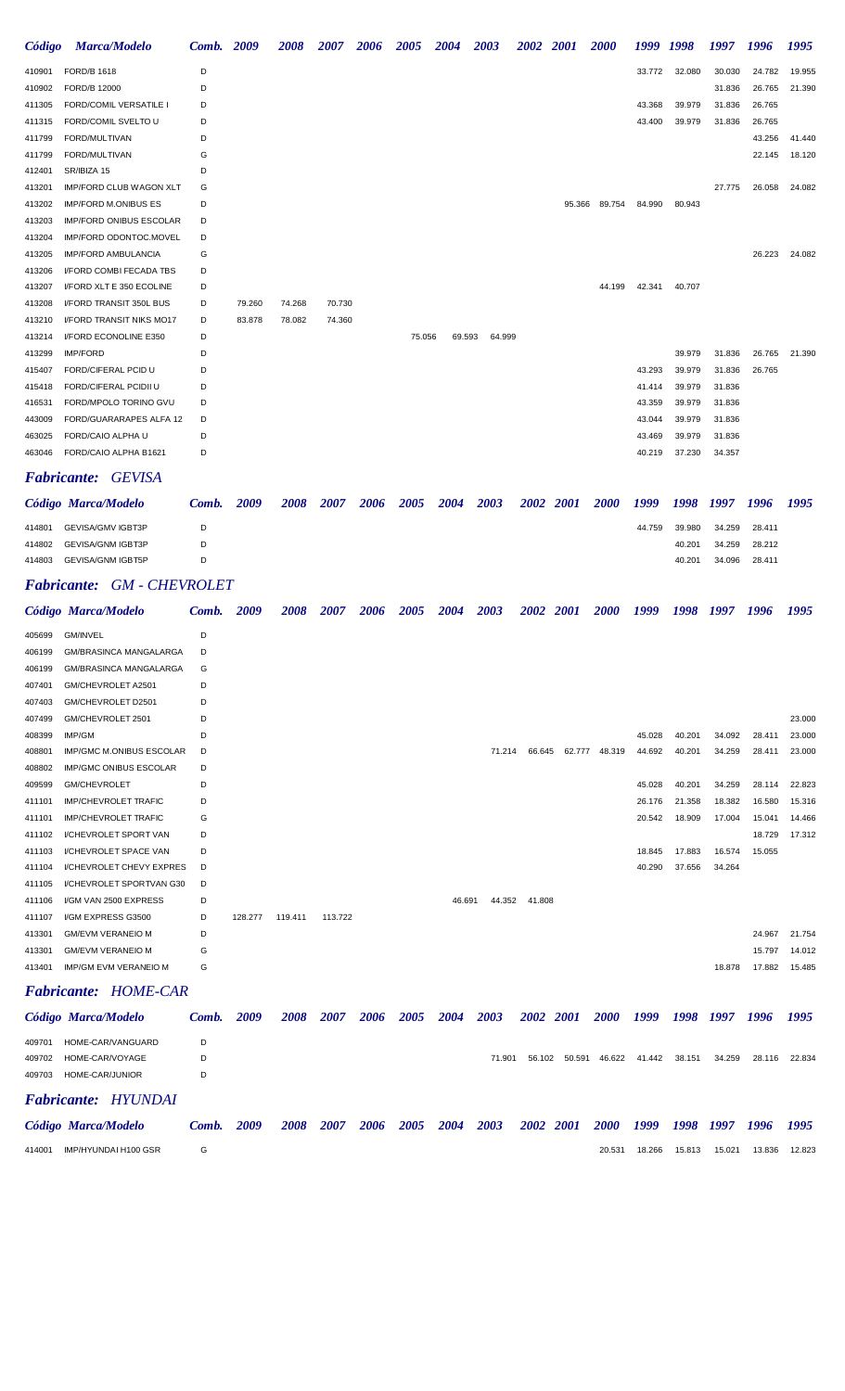| Código | <b>Marca/Modelo</b>             | Comb. 2009 |        | <b>2008</b> | 2007   | 2006 | 2005   | 2004 | 2003   |        | <b>2002</b> | <b>2001</b> | <b>2000</b> | 1999   | 1998   | 1997   | 1996   | 1995   |
|--------|---------------------------------|------------|--------|-------------|--------|------|--------|------|--------|--------|-------------|-------------|-------------|--------|--------|--------|--------|--------|
| 410901 | <b>FORD/B 1618</b>              | D          |        |             |        |      |        |      |        |        |             |             |             | 33.772 | 32.080 | 30.030 | 24.782 | 19.955 |
| 410902 | FORD/B 12000                    | D          |        |             |        |      |        |      |        |        |             |             |             |        |        | 31.836 | 26.765 | 21.390 |
| 411305 | <b>FORD/COMIL VERSATILE I</b>   | D          |        |             |        |      |        |      |        |        |             |             |             | 43.368 | 39.979 | 31.836 | 26.765 |        |
| 411315 | FORD/COMIL SVELTO U             | D          |        |             |        |      |        |      |        |        |             |             |             | 43.400 | 39.979 | 31.836 | 26.765 |        |
| 411799 | FORD/MULTIVAN                   | D          |        |             |        |      |        |      |        |        |             |             |             |        |        |        | 43.256 | 41.440 |
| 411799 | FORD/MULTIVAN                   | G          |        |             |        |      |        |      |        |        |             |             |             |        |        |        | 22.145 | 18.120 |
| 412401 | SR/IBIZA 15                     | D          |        |             |        |      |        |      |        |        |             |             |             |        |        |        |        |        |
| 413201 | <b>IMP/FORD CLUB WAGON XLT</b>  | G          |        |             |        |      |        |      |        |        |             |             |             |        |        | 27.775 | 26.058 | 24.082 |
| 413202 | <b>IMP/FORD M.ONIBUS ES</b>     | D          |        |             |        |      |        |      |        |        |             | 95.366      | 89.754      | 84.990 | 80.943 |        |        |        |
| 413203 | IMP/FORD ONIBUS ESCOLAR         | D          |        |             |        |      |        |      |        |        |             |             |             |        |        |        |        |        |
| 413204 | IMP/FORD ODONTOC.MOVEL          | D          |        |             |        |      |        |      |        |        |             |             |             |        |        |        |        |        |
| 413205 | <b>IMP/FORD AMBULANCIA</b>      | G          |        |             |        |      |        |      |        |        |             |             |             |        |        |        | 26.223 | 24.082 |
| 413206 | I/FORD COMBI FECADA TBS         | D          |        |             |        |      |        |      |        |        |             |             |             |        |        |        |        |        |
| 413207 | I/FORD XLT E 350 ECOLINE        | D          |        |             |        |      |        |      |        |        |             |             | 44.199      | 42.341 | 40.707 |        |        |        |
| 413208 | I/FORD TRANSIT 350L BUS         | D          | 79.260 | 74.268      | 70.730 |      |        |      |        |        |             |             |             |        |        |        |        |        |
| 413210 | <b>I/FORD TRANSIT NIKS MO17</b> | D          | 83.878 | 78.082      | 74.360 |      |        |      |        |        |             |             |             |        |        |        |        |        |
| 413214 | I/FORD ECONOLINE E350           | D          |        |             |        |      | 75.056 |      | 69.593 | 64.999 |             |             |             |        |        |        |        |        |
| 413299 | <b>IMP/FORD</b>                 | D          |        |             |        |      |        |      |        |        |             |             |             |        | 39.979 | 31.836 | 26.765 | 21.390 |
| 415407 | FORD/CIFERAL PCID U             | D          |        |             |        |      |        |      |        |        |             |             |             | 43.293 | 39.979 | 31.836 | 26.765 |        |
| 415418 | FORD/CIFERAL PCIDII U           | D          |        |             |        |      |        |      |        |        |             |             |             | 41.414 | 39.979 | 31.836 |        |        |
| 416531 | FORD/MPOLO TORINO GVU           | D          |        |             |        |      |        |      |        |        |             |             |             | 43.359 | 39.979 | 31.836 |        |        |
| 443009 | FORD/GUARARAPES ALFA 12         | D          |        |             |        |      |        |      |        |        |             |             |             | 43.044 | 39.979 | 31.836 |        |        |
| 463025 | FORD/CAIO ALPHA U               | D          |        |             |        |      |        |      |        |        |             |             |             | 43.469 | 39.979 | 31.836 |        |        |
| 463046 | FORD/CAIO ALPHA B1621           | D          |        |             |        |      |        |      |        |        |             |             |             | 40.219 | 37.230 | 34.357 |        |        |

#### *Fabricante: GEVISA*

|        | Código Marca/Modelo | Comb. | 2009 | 2008 | 2007 | 2006 | 2005 | 2004 | 2003 | 2002 2001 | <b>2000</b> | 1999   | 1998 1997 |        | - 1996 | 1995 |
|--------|---------------------|-------|------|------|------|------|------|------|------|-----------|-------------|--------|-----------|--------|--------|------|
| 414801 | GEVISA/GMV IGBT3P   | D     |      |      |      |      |      |      |      |           |             | 44.759 | 39.980    | 34.259 | 28.411 |      |
| 414802 | GEVISA/GNM IGBT3P   | D.    |      |      |      |      |      |      |      |           |             |        | 40.201    | 34.259 | 28.212 |      |
| 414803 | GEVISA/GNM IGBT5P   | D.    |      |      |      |      |      |      |      |           |             |        | 40.201    | 34.096 | 28.411 |      |

# *Fabricante: GM - CHEVROLET*

|        | Código Marca/Modelo             | Comb. | 2009    | 2008    | 2007    | 2006 | 2005 | 2004   | 2003   |        | 2002 2001 | <b>2000</b> | 1999   | 1998   | 1997   | 1996   | 1995   |
|--------|---------------------------------|-------|---------|---------|---------|------|------|--------|--------|--------|-----------|-------------|--------|--------|--------|--------|--------|
| 405699 | <b>GM/INVEL</b>                 | D     |         |         |         |      |      |        |        |        |           |             |        |        |        |        |        |
| 406199 | <b>GM/BRASINCA MANGALARGA</b>   | D     |         |         |         |      |      |        |        |        |           |             |        |        |        |        |        |
| 406199 | <b>GM/BRASINCA MANGALARGA</b>   | G     |         |         |         |      |      |        |        |        |           |             |        |        |        |        |        |
| 407401 | GM/CHEVROLET A2501              | D     |         |         |         |      |      |        |        |        |           |             |        |        |        |        |        |
| 407403 | GM/CHEVROLET D2501              | D     |         |         |         |      |      |        |        |        |           |             |        |        |        |        |        |
| 407499 | GM/CHEVROLET 2501               | D     |         |         |         |      |      |        |        |        |           |             |        |        |        |        | 23.000 |
| 408399 | IMP/GM                          | D     |         |         |         |      |      |        |        |        |           |             | 45.028 | 40.201 | 34.092 | 28.411 | 23.000 |
| 408801 | <b>IMP/GMC M.ONIBUS ESCOLAR</b> | D     |         |         |         |      |      |        | 71.214 | 66.645 | 62.777    | 48.319      | 44.692 | 40.201 | 34.259 | 28.411 | 23.000 |
| 408802 | <b>IMP/GMC ONIBUS ESCOLAR</b>   | D     |         |         |         |      |      |        |        |        |           |             |        |        |        |        |        |
| 409599 | <b>GM/CHEVROLET</b>             | D     |         |         |         |      |      |        |        |        |           |             | 45.028 | 40.201 | 34.259 | 28.114 | 22.823 |
| 411101 | <b>IMP/CHEVROLET TRAFIC</b>     | D     |         |         |         |      |      |        |        |        |           |             | 26.176 | 21.358 | 18.382 | 16.580 | 15.316 |
| 411101 | <b>IMP/CHEVROLET TRAFIC</b>     | G     |         |         |         |      |      |        |        |        |           |             | 20.542 | 18.909 | 17.004 | 15.041 | 14.466 |
| 411102 | I/CHEVROLET SPORT VAN           | D     |         |         |         |      |      |        |        |        |           |             |        |        |        | 18.729 | 17.312 |
| 411103 | <b>I/CHEVROLET SPACE VAN</b>    | D     |         |         |         |      |      |        |        |        |           |             | 18.845 | 17.883 | 16.574 | 15.055 |        |
| 411104 | I/CHEVROLET CHEVY EXPRES        | D     |         |         |         |      |      |        |        |        |           |             | 40.290 | 37.656 | 34.264 |        |        |
| 411105 | I/CHEVROLET SPORTVAN G30        | D     |         |         |         |      |      |        |        |        |           |             |        |        |        |        |        |
| 411106 | I/GM VAN 2500 EXPRESS           | D     |         |         |         |      |      | 46.691 | 44.352 | 41.808 |           |             |        |        |        |        |        |
| 411107 | I/GM EXPRESS G3500              | D     | 128.277 | 119.411 | 113.722 |      |      |        |        |        |           |             |        |        |        |        |        |
| 413301 | <b>GM/EVM VERANEIO M</b>        | D     |         |         |         |      |      |        |        |        |           |             |        |        |        | 24.967 | 21.754 |
| 413301 | <b>GM/EVM VERANEIO M</b>        | G     |         |         |         |      |      |        |        |        |           |             |        |        |        | 15.797 | 14.012 |
| 413401 | IMP/GM EVM VERANEIO M           | G     |         |         |         |      |      |        |        |        |           |             |        |        | 18.878 | 17.882 | 15.485 |
|        | <b>Fabricante: HOME-CAR</b>     |       |         |         |         |      |      |        |        |        |           |             |        |        |        |        |        |

Código Marca/Modelo Comb. 2009 2008 2007 2006 2005 2004 2003 2002 2001 2000 1999 1998 1997 1996 1995 HOME-CAR/VANGUARD D HOME-CAR/VOYAGE D 71.901 56.102 50.591 46.622 41.442 38.151 34.259 28.116 22.834 HOME-CAR/JUNIOR D

# *Fabricante: HYUNDAI*

|        | Código Marca/Modelo  | Comb. | 2009 | <b>2008</b> |  | 2007 2006 2005 2004 2003 |  |  | * 2002 2001 2000 1999 1998 1997 1996 |        |        |        |        | 1995   |
|--------|----------------------|-------|------|-------------|--|--------------------------|--|--|--------------------------------------|--------|--------|--------|--------|--------|
| 414001 | IMP/HYUNDAI H100 GSR |       |      |             |  |                          |  |  | 20.531                               | 18.266 | 15.813 | 15.021 | 13.836 | 12.823 |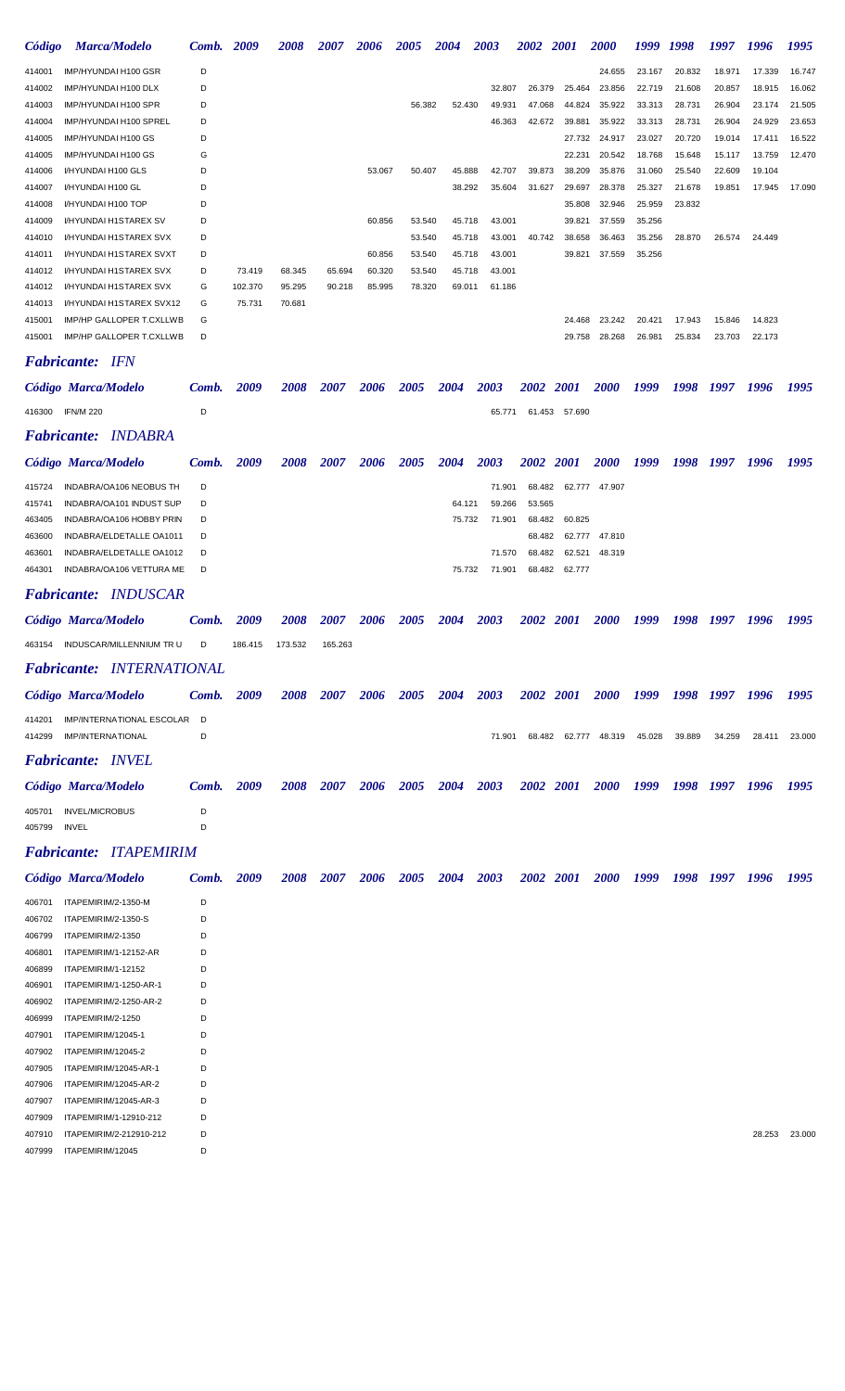| Código           | <b>Marca/Modelo</b>                                  | Comb.  | 2009    | <i><b>2008</b></i> | <i><b>2007</b></i> | 2006        | 2005               | 2004        | 2003   | <b>2002</b>        | <b>2001</b>      | <i><b>2000</b></i>   | 1999             | 1998             | 1997             | 1996             | 1995   |
|------------------|------------------------------------------------------|--------|---------|--------------------|--------------------|-------------|--------------------|-------------|--------|--------------------|------------------|----------------------|------------------|------------------|------------------|------------------|--------|
| 414001           | IMP/HYUNDAI H100 GSR                                 | D      |         |                    |                    |             |                    |             |        |                    |                  | 24.655               | 23.167           | 20.832           | 18.971           | 17.339           | 16.747 |
| 414002           | IMP/HYUNDAI H100 DLX                                 | D      |         |                    |                    |             |                    |             | 32.807 | 26.379             | 25.464           | 23.856               | 22.719           | 21.608           | 20.857           | 18.915           | 16.062 |
| 414003           | IMP/HYUNDAI H100 SPR                                 | D      |         |                    |                    |             | 56.382             | 52.430      | 49.931 | 47.068             | 44.824           | 35.922               | 33.313           | 28.731           | 26.904           | 23.174           | 21.505 |
| 414004           | IMP/HYUNDAI H100 SPREL                               | D      |         |                    |                    |             |                    |             | 46.363 | 42.672             | 39.881           | 35.922               | 33.313           | 28.731           | 26.904           | 24.929           | 23.653 |
| 414005           | IMP/HYUNDAI H100 GS                                  | D      |         |                    |                    |             |                    |             |        |                    | 27.732           | 24.917               | 23.027           | 20.720           | 19.014           | 17.411           | 16.522 |
| 414005<br>414006 | IMP/HYUNDAI H100 GS<br>I/HYUNDAI H100 GLS            | G<br>D |         |                    |                    | 53.067      | 50.407             | 45.888      | 42.707 | 39.873             | 22.231<br>38.209 | 20.542<br>35.876     | 18.768<br>31.060 | 15.648<br>25.540 | 15.117<br>22.609 | 13.759<br>19.104 | 12.470 |
| 414007           | I/HYUNDAI H100 GL                                    | D      |         |                    |                    |             |                    | 38.292      | 35.604 | 31.627             | 29.697           | 28.378               | 25.327           | 21.678           | 19.851           | 17.945           | 17.090 |
| 414008           | I/HYUNDAI H100 TOP                                   | D      |         |                    |                    |             |                    |             |        |                    | 35.808           | 32.946               | 25.959           | 23.832           |                  |                  |        |
| 414009           | I/HYUNDAI H1STAREX SV                                | D      |         |                    |                    | 60.856      | 53.540             | 45.718      | 43.001 |                    | 39.821           | 37.559               | 35.256           |                  |                  |                  |        |
| 414010           | I/HYUNDAI H1STAREX SVX                               | D      |         |                    |                    |             | 53.540             | 45.718      | 43.001 | 40.742             | 38.658           | 36.463               | 35.256           | 28.870           | 26.574           | 24.449           |        |
| 414011           | I/HYUNDAI H1STAREX SVXT                              | D      |         |                    |                    | 60.856      | 53.540             | 45.718      | 43.001 |                    | 39.821           | 37.559               | 35.256           |                  |                  |                  |        |
| 414012           | I/HYUNDAI H1STAREX SVX                               | D      | 73.419  | 68.345             | 65.694             | 60.320      | 53.540             | 45.718      | 43.001 |                    |                  |                      |                  |                  |                  |                  |        |
| 414012           | I/HYUNDAI H1STAREX SVX                               | G      | 102.370 | 95.295             | 90.218             | 85.995      | 78.320             | 69.011      | 61.186 |                    |                  |                      |                  |                  |                  |                  |        |
| 414013<br>415001 | I/HYUNDAI H1STAREX SVX12<br>IMP/HP GALLOPER T.CXLLWB | G<br>G | 75.731  | 70.681             |                    |             |                    |             |        |                    | 24.468           | 23.242               | 20.421           | 17.943           | 15.846           | 14.823           |        |
| 415001           | IMP/HP GALLOPER T.CXLLWB                             | D      |         |                    |                    |             |                    |             |        |                    | 29.758           | 28.268               | 26.981           | 25.834           | 23.703           | 22.173           |        |
|                  |                                                      |        |         |                    |                    |             |                    |             |        |                    |                  |                      |                  |                  |                  |                  |        |
|                  | <b>Fabricante:</b> IFN                               |        |         |                    |                    |             |                    |             |        |                    |                  |                      |                  |                  |                  |                  |        |
|                  | Código Marca/Modelo                                  | Comb.  | 2009    | 2008               | 2007               | <b>2006</b> | <b>2005</b>        | 2004        | 2003   | <i><b>2002</b></i> | <b>2001</b>      | <b>2000</b>          | 1999             | 1998             | 1997             | 1996             | 1995   |
| 416300           | <b>IFN/M 220</b>                                     | D      |         |                    |                    |             |                    |             | 65.771 | 61.453 57.690      |                  |                      |                  |                  |                  |                  |        |
|                  | <b>Fabricante: INDABRA</b>                           |        |         |                    |                    |             |                    |             |        |                    |                  |                      |                  |                  |                  |                  |        |
|                  |                                                      |        |         |                    |                    |             |                    |             |        |                    |                  |                      |                  |                  |                  |                  |        |
|                  | Código Marca/Modelo                                  | Comb.  | 2009    | 2008               | 2007               | 2006        | 2005               | 2004        | 2003   | 2002               | <b>2001</b>      | <i><b>2000</b></i>   | 1999             | 1998             | 1997             | 1996             | 1995   |
| 415724           | INDABRA/OA106 NEOBUS TH                              | D      |         |                    |                    |             |                    |             | 71.901 | 68.482             | 62.777           | 47.907               |                  |                  |                  |                  |        |
| 415741           | INDABRA/OA101 INDUST SUP                             | D      |         |                    |                    |             |                    | 64.121      | 59.266 | 53.565             |                  |                      |                  |                  |                  |                  |        |
| 463405           | INDABRA/OA106 HOBBY PRIN                             | D      |         |                    |                    |             |                    | 75.732      | 71.901 | 68.482             | 60.825           |                      |                  |                  |                  |                  |        |
| 463600           | INDABRA/ELDETALLE OA1011                             | D      |         |                    |                    |             |                    |             |        | 68.482             | 62.777           | 47.810               |                  |                  |                  |                  |        |
| 463601           | INDABRA/ELDETALLE OA1012                             | D      |         |                    |                    |             |                    |             | 71.570 | 68.482             | 62.521           | 48.319               |                  |                  |                  |                  |        |
| 464301           | INDABRA/OA106 VETTURA ME                             | D      |         |                    |                    |             |                    | 75.732      | 71.901 | 68.482             | 62.777           |                      |                  |                  |                  |                  |        |
|                  | <b>Fabricante: INDUSCAR</b>                          |        |         |                    |                    |             |                    |             |        |                    |                  |                      |                  |                  |                  |                  |        |
|                  | Código Marca/Modelo                                  | Comb.  | 2009    | 2008               | 2007               | 2006        | <i><b>2005</b></i> | 2004        | 2003   | 2002               | <b>2001</b>      | <i><b>2000</b></i>   | 1999             | 1998             | 1997             | 1996             | 1995   |
| 463154           | INDUSCAR/MILLENNIUM TR U                             | D      | 186.415 | 173.532            | 165.263            |             |                    |             |        |                    |                  |                      |                  |                  |                  |                  |        |
|                  |                                                      |        |         |                    |                    |             |                    |             |        |                    |                  |                      |                  |                  |                  |                  |        |
|                  | <b>Fabricante: INTERNATIONAL</b>                     |        |         |                    |                    |             |                    |             |        |                    |                  |                      |                  |                  |                  |                  |        |
|                  | Código Marca/Modelo                                  | Comb.  | 2009    | <b>2008</b>        | <b>2007</b>        | <b>2006</b> | <b>2005</b>        | <b>2004</b> | 2003   | 2002 2001          |                  |                      | 1999             |                  |                  | 1998 1997 1996   | 1995   |
| 414201           |                                                      |        |         |                    |                    |             |                    |             |        |                    |                  | <b>2000</b>          |                  |                  |                  |                  |        |
|                  | IMP/INTERNATIONAL ESCOLAR                            | D      |         |                    |                    |             |                    |             |        |                    |                  |                      |                  |                  |                  |                  |        |
| 414299           | IMP/INTERNATIONAL                                    | D      |         |                    |                    |             |                    |             | 71.901 |                    |                  | 68.482 62.777 48.319 | 45.028           | 39.889           | 34.259           | 28.411           | 23.000 |
|                  |                                                      |        |         |                    |                    |             |                    |             |        |                    |                  |                      |                  |                  |                  |                  |        |
|                  | <b>Fabricante: INVEL</b>                             |        |         |                    |                    |             |                    |             |        |                    |                  |                      |                  |                  |                  |                  |        |
|                  | Código Marca/Modelo                                  | Comb.  | 2009    | <b>2008</b>        | 2007               | <b>2006</b> | <b>2005</b>        | 2004        | 2003   | 2002 2001          |                  | <i>2000</i>          | 1999             | 1998             | 1997             | 1996             | 1995   |
| 405701           | <b>INVEL/MICROBUS</b>                                | D      |         |                    |                    |             |                    |             |        |                    |                  |                      |                  |                  |                  |                  |        |
| 405799           | INVEL                                                | D      |         |                    |                    |             |                    |             |        |                    |                  |                      |                  |                  |                  |                  |        |
|                  | <b>Fabricante: ITAPEMIRIM</b>                        |        |         |                    |                    |             |                    |             |        |                    |                  |                      |                  |                  |                  |                  |        |
|                  |                                                      |        |         |                    |                    |             |                    |             |        |                    |                  |                      |                  |                  |                  |                  |        |
|                  | Código Marca/Modelo                                  | Comb.  | 2009    | <b>2008</b>        | 2007               | <b>2006</b> | <b>2005</b>        | <b>2004</b> | 2003   | 2002 2001          |                  | <b>2000</b>          | 1999             | 1998             | 1997 1996        |                  | 1995   |
| 406701           | ITAPEMIRIM/2-1350-M                                  | D      |         |                    |                    |             |                    |             |        |                    |                  |                      |                  |                  |                  |                  |        |
| 406702           | ITAPEMIRIM/2-1350-S                                  | D      |         |                    |                    |             |                    |             |        |                    |                  |                      |                  |                  |                  |                  |        |
| 406799           | ITAPEMIRIM/2-1350                                    | D      |         |                    |                    |             |                    |             |        |                    |                  |                      |                  |                  |                  |                  |        |
| 406801           | ITAPEMIRIM/1-12152-AR                                | D      |         |                    |                    |             |                    |             |        |                    |                  |                      |                  |                  |                  |                  |        |
| 406899           | ITAPEMIRIM/1-12152                                   | D      |         |                    |                    |             |                    |             |        |                    |                  |                      |                  |                  |                  |                  |        |
| 406901           | ITAPEMIRIM/1-1250-AR-1                               | D      |         |                    |                    |             |                    |             |        |                    |                  |                      |                  |                  |                  |                  |        |
| 406902           | ITAPEMIRIM/2-1250-AR-2                               | D      |         |                    |                    |             |                    |             |        |                    |                  |                      |                  |                  |                  |                  |        |
| 406999           | ITAPEMIRIM/2-1250                                    | D      |         |                    |                    |             |                    |             |        |                    |                  |                      |                  |                  |                  |                  |        |
| 407901           | ITAPEMIRIM/12045-1                                   | D      |         |                    |                    |             |                    |             |        |                    |                  |                      |                  |                  |                  |                  |        |
| 407902           | ITAPEMIRIM/12045-2                                   | D<br>D |         |                    |                    |             |                    |             |        |                    |                  |                      |                  |                  |                  |                  |        |
| 407905<br>407906 | ITAPEMIRIM/12045-AR-1<br>ITAPEMIRIM/12045-AR-2       | D      |         |                    |                    |             |                    |             |        |                    |                  |                      |                  |                  |                  |                  |        |
| 407907           | ITAPEMIRIM/12045-AR-3                                | D      |         |                    |                    |             |                    |             |        |                    |                  |                      |                  |                  |                  |                  |        |
| 407909           | ITAPEMIRIM/1-12910-212                               | D      |         |                    |                    |             |                    |             |        |                    |                  |                      |                  |                  |                  |                  |        |
| 407910           | ITAPEMIRIM/2-212910-212                              | D      |         |                    |                    |             |                    |             |        |                    |                  |                      |                  |                  |                  | 28.253           | 23.000 |
| 407999           | ITAPEMIRIM/12045                                     | D      |         |                    |                    |             |                    |             |        |                    |                  |                      |                  |                  |                  |                  |        |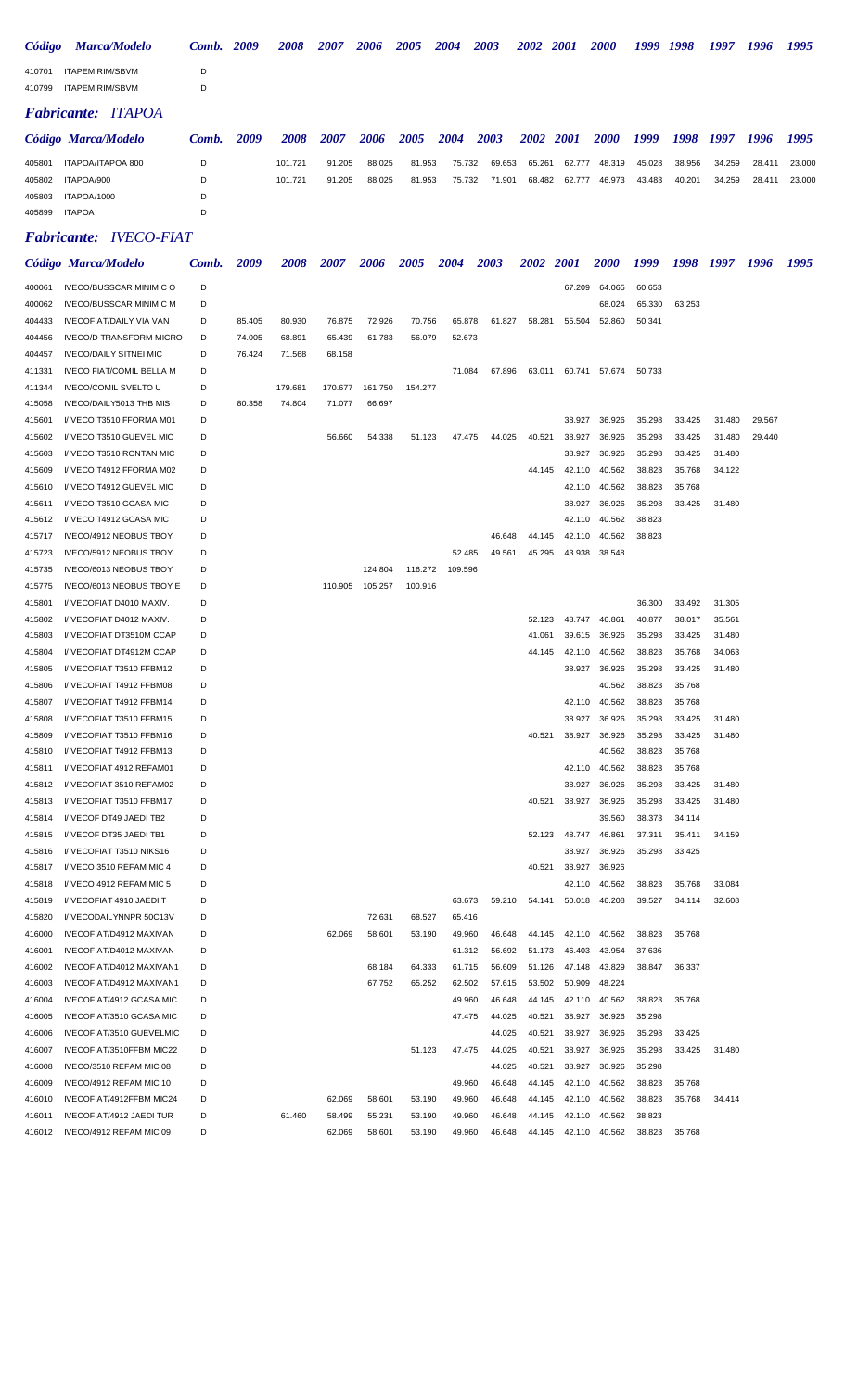| Código | <b>Marca/Modelo</b>       | Comb. | 2009 | 2008    | 2007   | 2006   | 2005   | 2004   | 2003   | 2002      | <b>2001</b> | <b>2000</b> | 1999   | 1998   | 1997   | 1996   | 1995   |
|--------|---------------------------|-------|------|---------|--------|--------|--------|--------|--------|-----------|-------------|-------------|--------|--------|--------|--------|--------|
| 410701 | ITAPEMIRIM/SBVM           | D     |      |         |        |        |        |        |        |           |             |             |        |        |        |        |        |
| 410799 | ITAPEMIRIM/SBVM           | D     |      |         |        |        |        |        |        |           |             |             |        |        |        |        |        |
|        | <b>Fabricante: ITAPOA</b> |       |      |         |        |        |        |        |        |           |             |             |        |        |        |        |        |
|        | Código Marca/Modelo       | Comb. | 2009 | 2008    | 2007   | 2006   | 2005   | 2004   | 2003   | 2002 2001 |             | <b>2000</b> | 1999   | 1998   | 1997   | 1996   | 1995   |
| 405801 | ITAPOA/ITAPOA 800         | D     |      | 101.721 | 91.205 | 88.025 | 81.953 | 75.732 | 69.653 | 65.261    | 62.777      | 48.319      | 45.028 | 38.956 | 34.259 | 28.411 | 23,000 |
| 405802 | ITAPOA/900                | D     |      | 101.721 | 91.205 | 88.025 | 81.953 | 75.732 | 71.901 | 68.482    | 62.777      | 46.973      | 43.483 | 40.201 | 34.259 | 28.411 | 23,000 |
| 405803 | ITAPOA/1000               | D     |      |         |        |        |        |        |        |           |             |             |        |        |        |        |        |
| 405899 | <b>ITAPOA</b>             | D     |      |         |        |        |        |        |        |           |             |             |        |        |        |        |        |

### *Fabricante: IVECO-FIAT*

|        | Código Marca/Modelo             | Comb. | 2009   | <i><b>2008</b></i> | <i><b>2007</b></i> | 2006    | 2005    | 2004    | 2003   | 2002   | <i>2001</i>   | <i><b>2000</b></i> | 1999   | 1998   | 1997   | 1996   | 1995 |
|--------|---------------------------------|-------|--------|--------------------|--------------------|---------|---------|---------|--------|--------|---------------|--------------------|--------|--------|--------|--------|------|
| 400061 | <b>IVECO/BUSSCAR MINIMIC O</b>  | D     |        |                    |                    |         |         |         |        |        | 67.209        | 64.065             | 60.653 |        |        |        |      |
| 400062 | <b>IVECO/BUSSCAR MINIMIC M</b>  | D     |        |                    |                    |         |         |         |        |        |               | 68.024             | 65.330 | 63.253 |        |        |      |
| 404433 | IVECOFIAT/DAILY VIA VAN         | D     | 85.405 | 80.930             | 76.875             | 72.926  | 70.756  | 65.878  | 61.827 | 58.281 | 55.504        | 52.860             | 50.341 |        |        |        |      |
| 404456 | <b>IVECO/D TRANSFORM MICRO</b>  | D     | 74.005 | 68.891             | 65.439             | 61.783  | 56.079  | 52.673  |        |        |               |                    |        |        |        |        |      |
| 404457 | <b>IVECO/DAILY SITNEI MIC</b>   | D     | 76.424 | 71.568             | 68.158             |         |         |         |        |        |               |                    |        |        |        |        |      |
| 411331 | <b>IVECO FIAT/COMIL BELLA M</b> | D     |        |                    |                    |         |         | 71.084  | 67.896 | 63.011 |               | 60.741 57.674      | 50.733 |        |        |        |      |
| 411344 | <b>IVECO/COMIL SVELTO U</b>     | D     |        | 179.681            | 170.677            | 161.750 | 154.277 |         |        |        |               |                    |        |        |        |        |      |
| 415058 | IVECO/DAILY5013 THB MIS         | D     | 80.358 | 74.804             | 71.077             | 66.697  |         |         |        |        |               |                    |        |        |        |        |      |
| 415601 | I/IVECO T3510 FFORMA M01        | D     |        |                    |                    |         |         |         |        |        | 38.927        | 36.926             | 35.298 | 33.425 | 31.480 | 29.567 |      |
| 415602 | I/IVECO T3510 GUEVEL MIC        | D     |        |                    | 56.660             | 54.338  | 51.123  | 47.475  | 44.025 | 40.521 | 38.927        | 36.926             | 35.298 | 33.425 | 31.480 | 29.440 |      |
| 415603 | I/IVECO T3510 RONTAN MIC        | D     |        |                    |                    |         |         |         |        |        | 38.927        | 36.926             | 35.298 | 33.425 | 31.480 |        |      |
| 415609 | I/IVECO T4912 FFORMA M02        | D     |        |                    |                    |         |         |         |        | 44.145 | 42.110        | 40.562             | 38.823 | 35.768 | 34.122 |        |      |
| 415610 | I/IVECO T4912 GUEVEL MIC        | D     |        |                    |                    |         |         |         |        |        | 42.110        | 40.562             | 38.823 | 35.768 |        |        |      |
| 415611 | I/IVECO T3510 GCASA MIC         | D     |        |                    |                    |         |         |         |        |        | 38.927        | 36.926             | 35.298 | 33.425 | 31.480 |        |      |
| 415612 | I/IVECO T4912 GCASA MIC         | D     |        |                    |                    |         |         |         |        |        | 42.110        | 40.562             | 38.823 |        |        |        |      |
| 415717 | IVECO/4912 NEOBUS TBOY          | D     |        |                    |                    |         |         |         | 46.648 | 44.145 | 42.110        | 40.562             | 38.823 |        |        |        |      |
| 415723 | IVECO/5912 NEOBUS TBOY          | D     |        |                    |                    |         |         | 52.485  | 49.561 | 45.295 | 43.938        | 38.548             |        |        |        |        |      |
| 415735 | IVECO/6013 NEOBUS TBOY          | D     |        |                    |                    | 124.804 | 116.272 | 109.596 |        |        |               |                    |        |        |        |        |      |
| 415775 | IVECO/6013 NEOBUS TBOY E        | D     |        |                    | 110.905            | 105.257 | 100.916 |         |        |        |               |                    |        |        |        |        |      |
| 415801 | I/IVECOFIAT D4010 MAXIV.        | D     |        |                    |                    |         |         |         |        |        |               |                    | 36.300 | 33.492 | 31.305 |        |      |
| 415802 | I/IVECOFIAT D4012 MAXIV.        | D     |        |                    |                    |         |         |         |        | 52.123 | 48.747        | 46.861             | 40.877 | 38.017 | 35.561 |        |      |
| 415803 | <b>I/IVECOFIAT DT3510M CCAP</b> | D     |        |                    |                    |         |         |         |        | 41.061 | 39.615        | 36.926             | 35.298 | 33.425 | 31.480 |        |      |
| 415804 | <b>I/IVECOFIAT DT4912M CCAP</b> | D     |        |                    |                    |         |         |         |        | 44.145 | 42.110        | 40.562             | 38.823 | 35.768 | 34.063 |        |      |
| 415805 | I/IVECOFIAT T3510 FFBM12        | D     |        |                    |                    |         |         |         |        |        | 38.927        | 36.926             | 35.298 | 33.425 | 31.480 |        |      |
| 415806 | I/IVECOFIAT T4912 FFBM08        | D     |        |                    |                    |         |         |         |        |        |               | 40.562             | 38.823 | 35.768 |        |        |      |
| 415807 | I/IVECOFIAT T4912 FFBM14        | D     |        |                    |                    |         |         |         |        |        | 42.110        | 40.562             | 38.823 | 35.768 |        |        |      |
| 415808 | I/IVECOFIAT T3510 FFBM15        | D     |        |                    |                    |         |         |         |        |        | 38.927        | 36.926             | 35.298 | 33.425 | 31.480 |        |      |
| 415809 | I/IVECOFIAT T3510 FFBM16        | D     |        |                    |                    |         |         |         |        | 40.521 | 38.927        | 36.926             | 35.298 | 33.425 | 31.480 |        |      |
| 415810 | I/IVECOFIAT T4912 FFBM13        | D     |        |                    |                    |         |         |         |        |        |               | 40.562             | 38.823 | 35.768 |        |        |      |
| 415811 | I/IVECOFIAT 4912 REFAM01        | D     |        |                    |                    |         |         |         |        |        | 42.110        | 40.562             | 38.823 | 35.768 |        |        |      |
| 415812 | I/IVECOFIAT 3510 REFAM02        | D     |        |                    |                    |         |         |         |        |        | 38.927        | 36.926             | 35.298 | 33.425 | 31.480 |        |      |
| 415813 | <b>I/IVECOFIAT T3510 FFBM17</b> | D     |        |                    |                    |         |         |         |        | 40.521 | 38.927        | 36.926             | 35.298 | 33.425 | 31.480 |        |      |
| 415814 | <b>I/IVECOF DT49 JAEDI TB2</b>  | D     |        |                    |                    |         |         |         |        |        |               | 39.560             | 38.373 | 34.114 |        |        |      |
| 415815 | I/IVECOF DT35 JAEDI TB1         | D     |        |                    |                    |         |         |         |        | 52.123 | 48.747        | 46.861             | 37.311 | 35.411 | 34.159 |        |      |
| 415816 | I/IVECOFIAT T3510 NIKS16        | D     |        |                    |                    |         |         |         |        |        | 38.927        | 36.926             | 35.298 | 33.425 |        |        |      |
| 415817 | I/IVECO 3510 REFAM MIC 4        | D     |        |                    |                    |         |         |         |        | 40.521 | 38.927        | 36.926             |        |        |        |        |      |
| 415818 | I/IVECO 4912 REFAM MIC 5        | D     |        |                    |                    |         |         |         |        |        | 42.110        | 40.562             | 38.823 | 35.768 | 33.084 |        |      |
| 415819 | I/IVECOFIAT 4910 JAEDI T        | D     |        |                    |                    |         |         | 63.673  | 59.210 | 54.141 | 50.018        | 46.208             | 39.527 | 34.114 | 32.608 |        |      |
| 415820 | I/IVECODAILYNNPR 50C13V         | D     |        |                    |                    | 72.631  | 68.527  | 65.416  |        |        |               |                    |        |        |        |        |      |
| 416000 | IVECOFIAT/D4912 MAXIVAN         | D     |        |                    | 62.069             | 58.601  | 53.190  | 49.960  | 46.648 | 44.145 | 42.110        | 40.562             | 38.823 | 35.768 |        |        |      |
| 416001 | IVECOFIAT/D4012 MAXIVAN         | D     |        |                    |                    |         |         | 61.312  | 56.692 | 51.173 | 46.403        | 43.954             | 37.636 |        |        |        |      |
| 416002 | IVECOFIAT/D4012 MAXIVAN1        | D     |        |                    |                    | 68.184  | 64.333  | 61.715  | 56.609 | 51.126 | 47.148        | 43.829             | 38.847 | 36.337 |        |        |      |
| 416003 | IVECOFIAT/D4912 MAXIVAN1        | D     |        |                    |                    | 67.752  | 65.252  | 62.502  | 57.615 | 53.502 | 50.909        | 48.224             |        |        |        |        |      |
| 416004 | <b>IVECOFIAT/4912 GCASA MIC</b> | D     |        |                    |                    |         |         | 49.960  | 46.648 | 44.145 | 42.110        | 40.562             | 38.823 | 35.768 |        |        |      |
| 416005 | IVECOFIAT/3510 GCASA MIC        | D     |        |                    |                    |         |         | 47.475  | 44.025 | 40.521 | 38.927        | 36.926             | 35.298 |        |        |        |      |
| 416006 | IVECOFIAT/3510 GUEVELMIC        | D     |        |                    |                    |         |         |         | 44.025 | 40.521 | 38.927        | 36.926             | 35.298 | 33.425 |        |        |      |
| 416007 | IVECOFIAT/3510FFBM MIC22        | D     |        |                    |                    |         | 51.123  | 47.475  | 44.025 | 40.521 | 38.927        | 36.926             | 35.298 | 33.425 | 31.480 |        |      |
| 416008 | IVECO/3510 REFAM MIC 08         | D     |        |                    |                    |         |         |         | 44.025 | 40.521 | 38.927        | 36.926             | 35.298 |        |        |        |      |
| 416009 | IVECO/4912 REFAM MIC 10         | D     |        |                    |                    |         |         | 49.960  | 46.648 | 44.145 | 42.110        | 40.562             | 38.823 | 35.768 |        |        |      |
| 416010 | IVECOFIAT/4912FFBM MIC24        | D     |        |                    | 62.069             | 58.601  | 53.190  | 49.960  | 46.648 | 44.145 | 42.110        | 40.562             | 38.823 | 35.768 | 34.414 |        |      |
| 416011 | IVECOFIAT/4912 JAEDI TUR        | D     |        | 61.460             | 58.499             | 55.231  | 53.190  | 49.960  | 46.648 | 44.145 | 42.110        | 40.562             | 38.823 |        |        |        |      |
| 416012 | IVECO/4912 REFAM MIC 09         | D     |        |                    | 62.069             | 58.601  | 53.190  | 49.960  | 46.648 |        | 44.145 42.110 | 40.562             | 38.823 | 35.768 |        |        |      |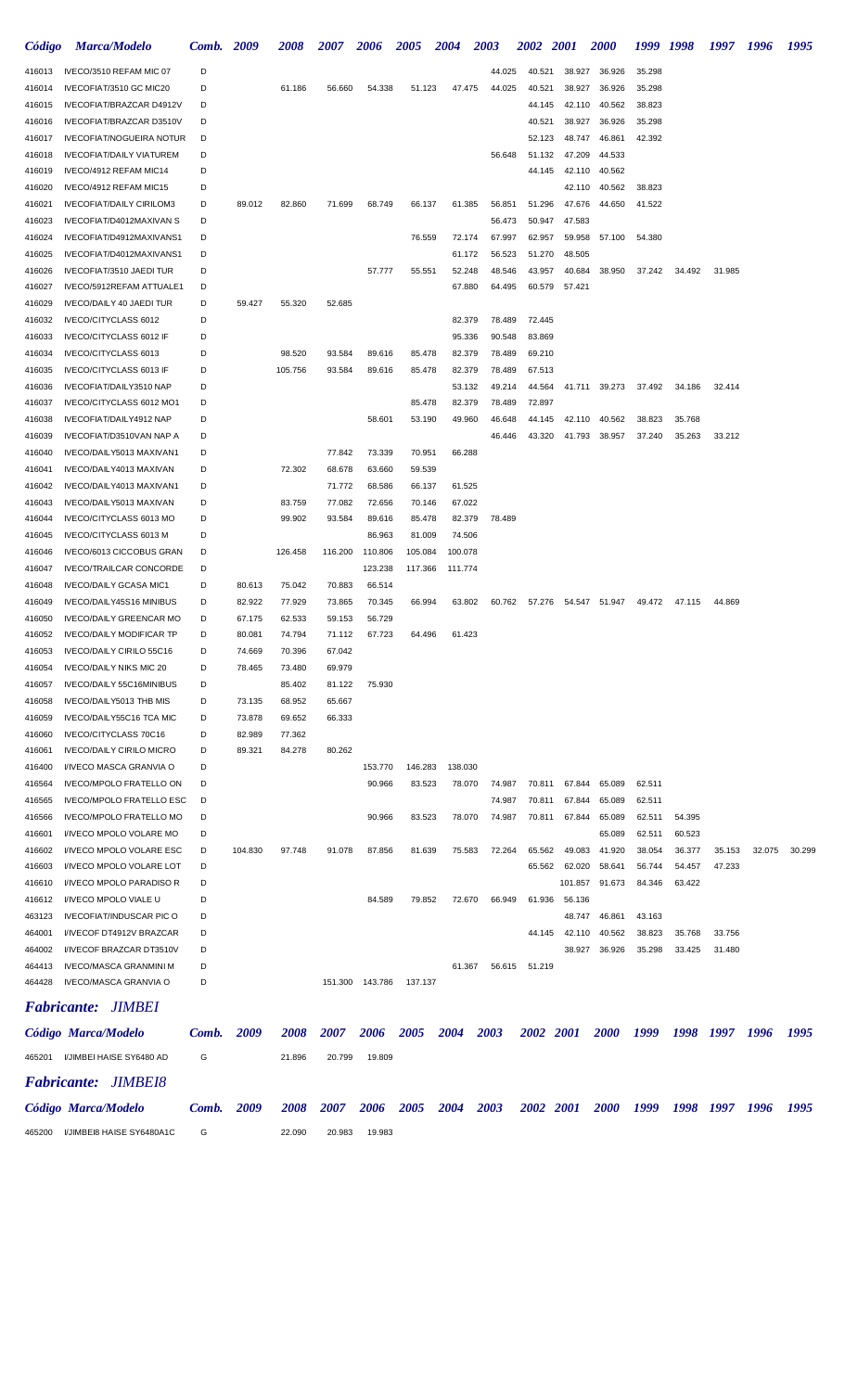| Código           | <b>Marca/Modelo</b>                                        | Comb.  | 2009             | <i><b>2008</b></i> | <i><b>2007</b></i> | <b>2006</b>        | 2005               | <b>2004</b>        | 2003             | <i><b>2002</b></i> | <i>2001</i>      | <i><b>2000</b></i> | 1999 1998 |        | 1997   | 1996   | 1995   |
|------------------|------------------------------------------------------------|--------|------------------|--------------------|--------------------|--------------------|--------------------|--------------------|------------------|--------------------|------------------|--------------------|-----------|--------|--------|--------|--------|
| 416013           | IVECO/3510 REFAM MIC 07                                    | D      |                  |                    |                    |                    |                    |                    | 44.025           | 40.521             | 38.927           | 36.926             | 35.298    |        |        |        |        |
| 416014           | IVECOFIAT/3510 GC MIC20                                    | D      |                  | 61.186             | 56.660             | 54.338             | 51.123             | 47.475             | 44.025           | 40.521             | 38.927           | 36.926             | 35.298    |        |        |        |        |
| 416015           | IVECOFIAT/BRAZCAR D4912V                                   | D      |                  |                    |                    |                    |                    |                    |                  | 44.145             | 42.110           | 40.562             | 38.823    |        |        |        |        |
| 416016           | IVECOFIAT/BRAZCAR D3510V                                   | D      |                  |                    |                    |                    |                    |                    |                  | 40.521             | 38.927           | 36.926             | 35.298    |        |        |        |        |
| 416017           | <b>IVECOFIAT/NOGUEIRA NOTUR</b>                            | D      |                  |                    |                    |                    |                    |                    |                  | 52.123             | 48.747           | 46.861             | 42.392    |        |        |        |        |
| 416018           | <b>IVECOFIAT/DAILY VIATUREM</b>                            | D<br>D |                  |                    |                    |                    |                    |                    | 56.648           | 51.132             | 47.209           | 44.533             |           |        |        |        |        |
| 416019<br>416020 | IVECO/4912 REFAM MIC14<br>IVECO/4912 REFAM MIC15           | D      |                  |                    |                    |                    |                    |                    |                  | 44.145             | 42.110<br>42.110 | 40.562<br>40.562   | 38.823    |        |        |        |        |
| 416021           | <b>IVECOFIAT/DAILY CIRILOM3</b>                            | D      | 89.012           | 82.860             | 71.699             | 68.749             | 66.137             | 61.385             | 56.851           | 51.296             | 47.676           | 44.650             | 41.522    |        |        |        |        |
| 416023           | IVECOFIAT/D4012MAXIVAN S                                   | D      |                  |                    |                    |                    |                    |                    | 56.473           | 50.947             | 47.583           |                    |           |        |        |        |        |
| 416024           | IVECOFIAT/D4912MAXIVANS1                                   | D      |                  |                    |                    |                    | 76.559             | 72.174             | 67.997           | 62.957             | 59.958           | 57.100             | 54.380    |        |        |        |        |
| 416025           | IVECOFIAT/D4012MAXIVANS1                                   | D      |                  |                    |                    |                    |                    | 61.172             | 56.523           | 51.270             | 48.505           |                    |           |        |        |        |        |
| 416026           | IVECOFIAT/3510 JAEDI TUR                                   | D      |                  |                    |                    | 57.777             | 55.551             | 52.248             | 48.546           | 43.957             | 40.684           | 38.950             | 37.242    | 34.492 | 31.985 |        |        |
| 416027           | IVECO/5912REFAM ATTUALE1                                   | D      |                  |                    |                    |                    |                    | 67.880             | 64.495           | 60.579             | 57.421           |                    |           |        |        |        |        |
| 416029           | IVECO/DAILY 40 JAEDI TUR                                   | D      | 59.427           | 55.320             | 52.685             |                    |                    |                    |                  |                    |                  |                    |           |        |        |        |        |
| 416032           | IVECO/CITYCLASS 6012                                       | D      |                  |                    |                    |                    |                    | 82.379             | 78.489           | 72.445             |                  |                    |           |        |        |        |        |
| 416033           | <b>IVECO/CITYCLASS 6012 IF</b>                             | D      |                  |                    |                    |                    |                    | 95.336             | 90.548           | 83.869             |                  |                    |           |        |        |        |        |
| 416034           | IVECO/CITYCLASS 6013                                       | D      |                  | 98.520             | 93.584             | 89.616             | 85.478             | 82.379             | 78.489           | 69.210             |                  |                    |           |        |        |        |        |
| 416035<br>416036 | IVECO/CITYCLASS 6013 IF<br>IVECOFIAT/DAILY3510 NAP         | D<br>D |                  | 105.756            | 93.584             | 89.616             | 85.478             | 82.379<br>53.132   | 78.489<br>49.214 | 67.513<br>44.564   |                  | 41.711 39.273      | 37.492    | 34.186 | 32.414 |        |        |
| 416037           | IVECO/CITYCLASS 6012 MO1                                   | D      |                  |                    |                    |                    | 85.478             | 82.379             | 78.489           | 72.897             |                  |                    |           |        |        |        |        |
| 416038           | IVECOFIAT/DAILY4912 NAP                                    | D      |                  |                    |                    | 58.601             | 53.190             | 49.960             | 46.648           | 44.145             | 42.110           | 40.562             | 38.823    | 35.768 |        |        |        |
| 416039           | IVECOFIAT/D3510VAN NAP A                                   | D      |                  |                    |                    |                    |                    |                    | 46.446           | 43.320             | 41.793           | 38.957             | 37.240    | 35.263 | 33.212 |        |        |
| 416040           | IVECO/DAILY5013 MAXIVAN1                                   | D      |                  |                    | 77.842             | 73.339             | 70.951             | 66.288             |                  |                    |                  |                    |           |        |        |        |        |
| 416041           | IVECO/DAILY4013 MAXIVAN                                    | D      |                  | 72.302             | 68.678             | 63.660             | 59.539             |                    |                  |                    |                  |                    |           |        |        |        |        |
| 416042           | IVECO/DAILY4013 MAXIVAN1                                   | D      |                  |                    | 71.772             | 68.586             | 66.137             | 61.525             |                  |                    |                  |                    |           |        |        |        |        |
| 416043           | IVECO/DAILY5013 MAXIVAN                                    | D      |                  | 83.759             | 77.082             | 72.656             | 70.146             | 67.022             |                  |                    |                  |                    |           |        |        |        |        |
| 416044           | IVECO/CITYCLASS 6013 MO                                    | D      |                  | 99.902             | 93.584             | 89.616             | 85.478             | 82.379             | 78.489           |                    |                  |                    |           |        |        |        |        |
| 416045           | IVECO/CITYCLASS 6013 M                                     | D      |                  |                    |                    | 86.963             | 81.009             | 74.506             |                  |                    |                  |                    |           |        |        |        |        |
| 416046<br>416047 | IVECO/6013 CICCOBUS GRAN<br><b>IVECO/TRAILCAR CONCORDE</b> | D<br>D |                  | 126.458            | 116.200            | 110.806<br>123.238 | 105.084<br>117.366 | 100.078<br>111.774 |                  |                    |                  |                    |           |        |        |        |        |
| 416048           | <b>IVECO/DAILY GCASA MIC1</b>                              | D      | 80.613           | 75.042             | 70.883             | 66.514             |                    |                    |                  |                    |                  |                    |           |        |        |        |        |
| 416049           | IVECO/DAILY45S16 MINIBUS                                   | D      | 82.922           | 77.929             | 73.865             | 70.345             | 66.994             | 63.802             | 60.762           | 57.276             |                  | 54.547 51.947      | 49.472    | 47.115 | 44.869 |        |        |
| 416050           | <b>IVECO/DAILY GREENCAR MO</b>                             | D      | 67.175           | 62.533             | 59.153             | 56.729             |                    |                    |                  |                    |                  |                    |           |        |        |        |        |
| 416052           | <b>IVECO/DAILY MODIFICAR TP</b>                            | D      | 80.081           | 74.794             | 71.112             | 67.723             | 64.496             | 61.423             |                  |                    |                  |                    |           |        |        |        |        |
| 416053           | IVECO/DAILY CIRILO 55C16                                   | D      | 74.669           | 70.396             | 67.042             |                    |                    |                    |                  |                    |                  |                    |           |        |        |        |        |
| 416054           | <b>IVECO/DAILY NIKS MIC 20</b>                             | D      | 78.465           | 73.480             | 69.979             |                    |                    |                    |                  |                    |                  |                    |           |        |        |        |        |
| 416057           | IVECO/DAILY 55C16MINIBUS                                   | D      |                  | 85.402             | 81.122             | 75.930             |                    |                    |                  |                    |                  |                    |           |        |        |        |        |
| 416058           | IVECO/DAILY5013 THB MIS                                    | D      | 73.135           | 68.952             | 65.667             |                    |                    |                    |                  |                    |                  |                    |           |        |        |        |        |
| 416059           | IVECO/DAILY55C16 TCA MIC<br>IVECO/CITYCLASS 70C16          | D<br>D | 73.878           | 69.652             | 66.333             |                    |                    |                    |                  |                    |                  |                    |           |        |        |        |        |
| 416060<br>416061 | <b>IVECO/DAILY CIRILO MICRO</b>                            | D      | 82.989<br>89.321 | 77.362<br>84.278   | 80.262             |                    |                    |                    |                  |                    |                  |                    |           |        |        |        |        |
| 416400           | I/IVECO MASCA GRANVIA O                                    | D      |                  |                    |                    | 153.770            | 146.283            | 138.030            |                  |                    |                  |                    |           |        |        |        |        |
| 416564           | <b>IVECO/MPOLO FRATELLO ON</b>                             | D      |                  |                    |                    | 90.966             | 83.523             | 78.070             | 74.987           | 70.811             | 67.844           | 65.089             | 62.511    |        |        |        |        |
| 416565           | <b>IVECO/MPOLO FRATELLO ESC</b>                            | D      |                  |                    |                    |                    |                    |                    | 74.987           | 70.811             | 67.844           | 65.089             | 62.511    |        |        |        |        |
| 416566           | <b>IVECO/MPOLO FRATELLO MO</b>                             | D      |                  |                    |                    | 90.966             | 83.523             | 78.070             | 74.987           | 70.811             | 67.844           | 65.089             | 62.511    | 54.395 |        |        |        |
| 416601           | I/IVECO MPOLO VOLARE MO                                    | D      |                  |                    |                    |                    |                    |                    |                  |                    |                  | 65.089             | 62.511    | 60.523 |        |        |        |
| 416602           | I/IVECO MPOLO VOLARE ESC                                   | D      | 104.830          | 97.748             | 91.078             | 87.856             | 81.639             | 75.583             | 72.264           | 65.562             | 49.083           | 41.920             | 38.054    | 36.377 | 35.153 | 32.075 | 30.299 |
| 416603           | I/IVECO MPOLO VOLARE LOT                                   | D      |                  |                    |                    |                    |                    |                    |                  | 65.562             | 62.020           | 58.641             | 56.744    | 54.457 | 47.233 |        |        |
| 416610           | I/IVECO MPOLO PARADISO R                                   | D      |                  |                    |                    |                    |                    |                    |                  |                    | 101.857          | 91.673             | 84.346    | 63.422 |        |        |        |
| 416612<br>463123 | I/IVECO MPOLO VIALE U<br><b>IVECOFIAT/INDUSCAR PIC O</b>   | D<br>D |                  |                    |                    | 84.589             | 79.852             | 72.670             | 66.949           | 61.936             | 56.136<br>48.747 | 46.861             | 43.163    |        |        |        |        |
| 464001           | I/IVECOF DT4912V BRAZCAR                                   | D      |                  |                    |                    |                    |                    |                    |                  | 44.145             | 42.110           | 40.562             | 38.823    | 35.768 | 33.756 |        |        |
| 464002           | I/IVECOF BRAZCAR DT3510V                                   | D      |                  |                    |                    |                    |                    |                    |                  |                    | 38.927           | 36.926             | 35.298    | 33.425 | 31.480 |        |        |
| 464413           | <b>IVECO/MASCA GRANMINI M</b>                              | D      |                  |                    |                    |                    |                    | 61.367             | 56.615           | 51.219             |                  |                    |           |        |        |        |        |
| 464428           | <b>IVECO/MASCA GRANVIA O</b>                               | D      |                  |                    |                    | 151.300 143.786    | 137.137            |                    |                  |                    |                  |                    |           |        |        |        |        |
|                  | <b>Fabricante: JIMBEI</b>                                  |        |                  |                    |                    |                    |                    |                    |                  |                    |                  |                    |           |        |        |        |        |
|                  | Código Marca/Modelo                                        | Comb.  | 2009             | <i><b>2008</b></i> | <i><b>2007</b></i> | 2006               | 2005               | 2004               | 2003             | 2002 2001          |                  | <i>2000</i>        | 1999      | 1998   | 1997   | 1996   | 1995   |
| 465201           | I/JIMBEI HAISE SY6480 AD<br><b>Fabricante: JIMBEI8</b>     | G      |                  | 21.896             | 20.799             | 19.809             |                    |                    |                  |                    |                  |                    |           |        |        |        |        |
|                  | Código Marca/Modelo                                        | Comb.  | 2009             | <i><b>2008</b></i> | <i><b>2007</b></i> | 2006               | 2005               | 2004               | 2003             | 2002 2001          |                  | <b>2000</b>        | 1999      | 1998   | 1997   | - 1996 | 1995   |
| 465200           | I/JIMBEI8 HAISE SY6480A1C                                  | G      |                  | 22.090             | 20.983             | 19.983             |                    |                    |                  |                    |                  |                    |           |        |        |        |        |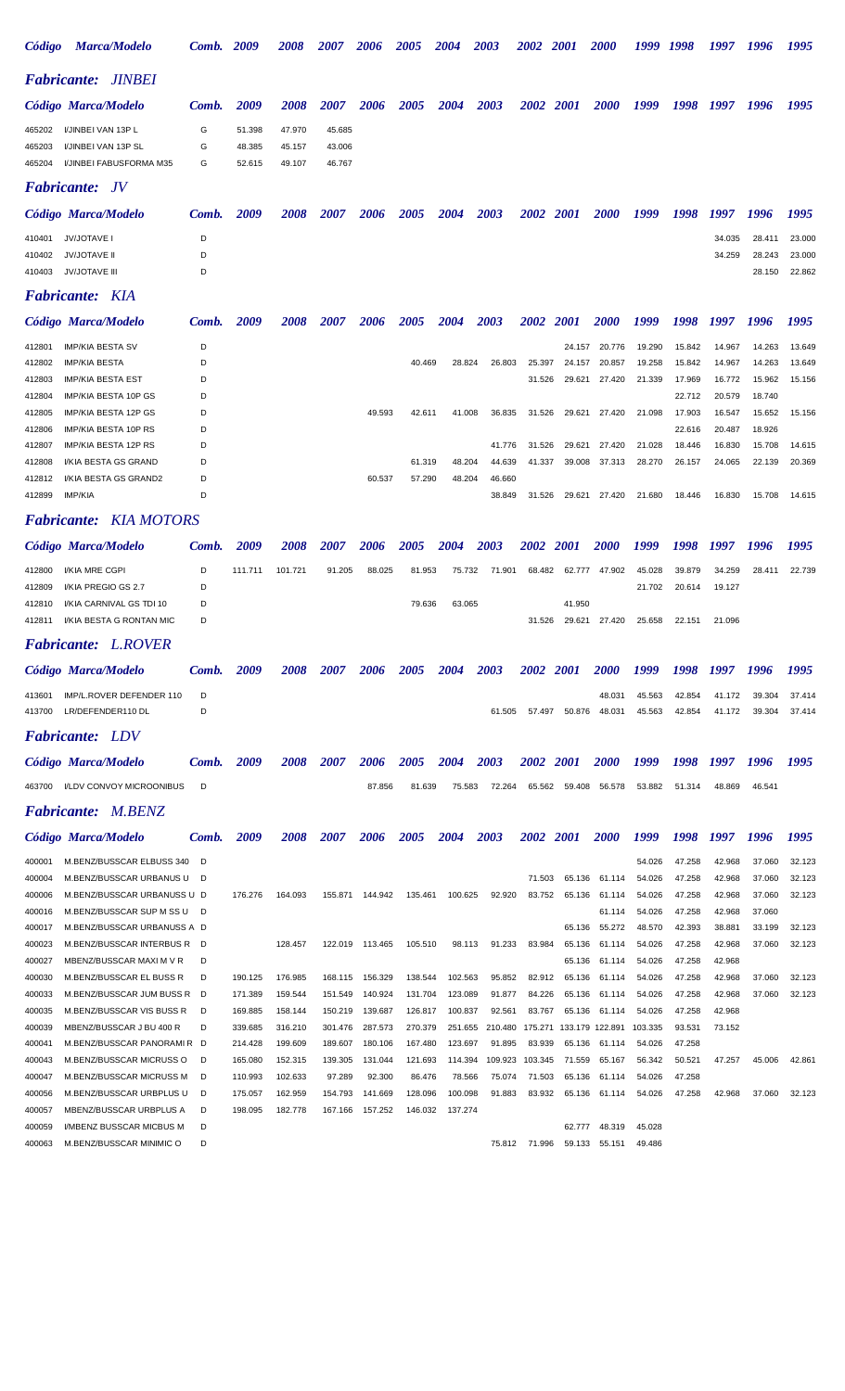| <i><b>Código</b></i> | <b>Marca/Modelo</b>                                      | Comb.  | 2009               | <i><b>2008</b></i> | <i><b>2007</b></i> | 2006               | <i><b>2005</b></i> | 2004               | 2003              | <i><b>2002</b></i> | - 2001           | <i><b>2000</b></i> | 1999             | 1998             | 1997             | 1996             | 1995             |
|----------------------|----------------------------------------------------------|--------|--------------------|--------------------|--------------------|--------------------|--------------------|--------------------|-------------------|--------------------|------------------|--------------------|------------------|------------------|------------------|------------------|------------------|
|                      | <b>Fabricante: JINBEI</b>                                |        |                    |                    |                    |                    |                    |                    |                   |                    |                  |                    |                  |                  |                  |                  |                  |
|                      | Código Marca/Modelo                                      | Comb.  | 2009               | 2008               | 2007               | 2006               | 2005               | 2004               | 2003              | <b>2002</b>        | <b>2001</b>      | <b>2000</b>        | 1999             | 1998             | 1997             | 1996             | 1995             |
| 465202               | I/JINBEI VAN 13P L                                       | G      | 51.398             | 47.970             | 45.685             |                    |                    |                    |                   |                    |                  |                    |                  |                  |                  |                  |                  |
| 465203               | I/JINBEI VAN 13P SL                                      | G      | 48.385             | 45.157             | 43.006             |                    |                    |                    |                   |                    |                  |                    |                  |                  |                  |                  |                  |
| 465204               | I/JINBEI FABUSFORMA M35                                  | G      | 52.615             | 49.107             | 46.767             |                    |                    |                    |                   |                    |                  |                    |                  |                  |                  |                  |                  |
|                      | <b>Fabricante:</b> JV                                    |        |                    |                    |                    |                    |                    |                    |                   |                    |                  |                    |                  |                  |                  |                  |                  |
|                      | Código Marca/Modelo                                      | Comb.  | 2009               | <i><b>2008</b></i> | 2007               | 2006               | <i><b>2005</b></i> | 2004               | 2003              | <i><b>2002</b></i> | <i>2001</i>      | <i><b>2000</b></i> | 1999             | 1998             | 1997             | 1996             | 1995             |
| 410401               | <b>JV/JOTAVE I</b>                                       | D      |                    |                    |                    |                    |                    |                    |                   |                    |                  |                    |                  |                  | 34.035           | 28.411           | 23.000           |
| 410402<br>410403     | <b>JV/JOTAVE II</b>                                      | D<br>D |                    |                    |                    |                    |                    |                    |                   |                    |                  |                    |                  |                  | 34.259           | 28.243           | 23.000<br>22.862 |
|                      | <b>JV/JOTAVE III</b>                                     |        |                    |                    |                    |                    |                    |                    |                   |                    |                  |                    |                  |                  |                  | 28.150           |                  |
|                      | <b>Fabricante:</b> KIA                                   |        |                    |                    |                    |                    |                    |                    |                   |                    |                  |                    |                  |                  |                  |                  |                  |
|                      | Código Marca/Modelo                                      | Comb.  | 2009               | <i><b>2008</b></i> | 2007               | 2006               | <i><b>2005</b></i> | 2004               | 2003              | <b>2002</b>        | <i>2001</i>      | <i><b>2000</b></i> | 1999             | 1998             | 1997             | 1996             | 1995             |
| 412801               | <b>IMP/KIA BESTA SV</b>                                  | D      |                    |                    |                    |                    |                    |                    |                   |                    | 24.157           | 20.776             | 19.290           | 15.842           | 14.967           | 14.263           | 13.649           |
| 412802<br>412803     | <b>IMP/KIA BESTA</b><br><b>IMP/KIA BESTA EST</b>         | D<br>D |                    |                    |                    |                    | 40.469             | 28.824             | 26.803            | 25.397<br>31.526   | 24.157<br>29.621 | 20.857<br>27.420   | 19.258<br>21.339 | 15.842<br>17.969 | 14.967<br>16.772 | 14.263<br>15.962 | 13.649<br>15.156 |
| 412804               | IMP/KIA BESTA 10P GS                                     | D      |                    |                    |                    |                    |                    |                    |                   |                    |                  |                    |                  | 22.712           | 20.579           | 18.740           |                  |
| 412805               | IMP/KIA BESTA 12P GS                                     | D      |                    |                    |                    | 49.593             | 42.611             | 41.008             | 36.835            | 31.526             | 29.621           | 27.420             | 21.098           | 17.903           | 16.547           | 15.652           | 15.156           |
| 412806<br>412807     | IMP/KIA BESTA 10P RS<br>IMP/KIA BESTA 12P RS             | D<br>D |                    |                    |                    |                    |                    |                    | 41.776            | 31.526             | 29.621           | 27.420             | 21.028           | 22.616<br>18.446 | 20.487<br>16.830 | 18.926<br>15.708 | 14.615           |
| 412808               | I/KIA BESTA GS GRAND                                     | D      |                    |                    |                    |                    | 61.319             | 48.204             | 44.639            | 41.337             | 39.008           | 37.313             | 28.270           | 26.157           | 24.065           | 22.139           | 20.369           |
| 412812               | I/KIA BESTA GS GRAND2                                    | D      |                    |                    |                    | 60.537             | 57.290             | 48.204             | 46.660            |                    |                  |                    |                  |                  |                  |                  |                  |
| 412899               | <b>IMP/KIA</b>                                           | D      |                    |                    |                    |                    |                    |                    | 38.849            | 31.526             | 29.621           | 27.420             | 21.680           | 18.446           | 16.830           | 15.708           | 14.615           |
|                      | <b>Fabricante:</b> KIA MOTORS                            |        |                    |                    |                    |                    |                    |                    |                   |                    |                  |                    |                  |                  |                  |                  |                  |
|                      | Código Marca/Modelo                                      | Comb.  | 2009               | <i><b>2008</b></i> | <i>2007</i>        | 2006               | <i><b>2005</b></i> | 2004               | 2003              | <i><b>2002</b></i> | <i>2001</i>      | <i><b>2000</b></i> | 1999             | 1998             | 1997             | 1996             | 1995             |
| 412800               | I/KIA MRE CGPI                                           | D      | 111.711            | 101.721            | 91.205             | 88.025             | 81.953             | 75.732             | 71.901            | 68.482             | 62.777           | 47.902             | 45.028           | 39.879           | 34.259           | 28.411           | 22.739           |
| 412809               | I/KIA PREGIO GS 2.7                                      | D      |                    |                    |                    |                    |                    |                    |                   |                    |                  |                    | 21.702           | 20.614           | 19.127           |                  |                  |
| 412810<br>412811     | I/KIA CARNIVAL GS TDI 10<br>I/KIA BESTA G RONTAN MIC     | D<br>D |                    |                    |                    |                    | 79.636             | 63.065             |                   | 31.526             | 41.950<br>29.621 | 27.420             | 25.658           | 22.151           | 21.096           |                  |                  |
|                      |                                                          |        |                    |                    |                    |                    |                    |                    |                   |                    |                  |                    |                  |                  |                  |                  |                  |
|                      | <b>Fabricante: L.ROVER</b>                               |        |                    |                    |                    |                    |                    |                    |                   |                    |                  |                    |                  |                  |                  |                  |                  |
|                      | Código Marca/Modelo                                      | Comb.  | 2009               | <i><b>2008</b></i> | <i><b>2007</b></i> | 2006               | <i><b>2005</b></i> | 2004               | 2003              | <i><b>2002</b></i> | <i>2001</i>      | <i><b>2000</b></i> | 1999             | 1998             | 1997             | 1996             | 1995             |
| 413601               | IMP/L.ROVER DEFENDER 110                                 | D      |                    |                    |                    |                    |                    |                    |                   |                    |                  | 48.031             | 45.563           | 42.854           | 41.172           | 39.304           | 37.414           |
| 413700               | LR/DEFENDER110 DL                                        | D      |                    |                    |                    |                    |                    |                    | 61.505            | 57.497             | 50.876           | 48.031             | 45.563           | 42.854           | 41.172           | 39.304           | 37.414           |
|                      | <b>Fabricante:</b> LDV                                   |        |                    |                    |                    |                    |                    |                    |                   |                    |                  |                    |                  |                  |                  |                  |                  |
|                      | Código Marca/Modelo                                      | Comb.  | 2009               | 2008               | 2007               | 2006               | 2005               | 2004               | 2003              | <b>2002</b>        | <b>2001</b>      | <i><b>2000</b></i> | 1999             | 1998             | 1997             | 1996             | 1995             |
| 463700               | I/LDV CONVOY MICROONIBUS                                 | D      |                    |                    |                    | 87.856             | 81.639             | 75.583             | 72.264            | 65.562             | 59.408           | 56.578             | 53.882           | 51.314           | 48.869           | 46.541           |                  |
|                      | <b>Fabricante: M.BENZ</b>                                |        |                    |                    |                    |                    |                    |                    |                   |                    |                  |                    |                  |                  |                  |                  |                  |
|                      | Código Marca/Modelo                                      | Comb.  | 2009               | 2008               | <i><b>2007</b></i> | 2006               | 2005               | 2004               | 2003              | <b>2002</b>        | <b>2001</b>      | <b>2000</b>        | 1999             | 1998             | 1997             | 1996             | 1995             |
| 400001               | M.BENZ/BUSSCAR ELBUSS 340                                | D      |                    |                    |                    |                    |                    |                    |                   |                    |                  |                    | 54.026           | 47.258           | 42.968           | 37.060           | 32.123           |
| 400004               | M.BENZ/BUSSCAR URBANUS U                                 | D      |                    |                    |                    |                    |                    |                    |                   | 71.503             | 65.136           | 61.114             | 54.026           | 47.258           | 42.968           | 37.060           | 32.123           |
| 400006               | M.BENZ/BUSSCAR URBANUSS U D                              |        | 176.276            | 164.093            | 155.871            | 144.942            | 135.461            | 100.625            | 92.920            | 83.752             | 65.136           | 61.114             | 54.026           | 47.258           | 42.968           | 37.060           | 32.123           |
| 400016<br>400017     | M.BENZ/BUSSCAR SUP M SS U<br>M.BENZ/BUSSCAR URBANUSS A D | D      |                    |                    |                    |                    |                    |                    |                   |                    | 65.136           | 61.114<br>55.272   | 54.026<br>48.570 | 47.258<br>42.393 | 42.968<br>38.881 | 37.060<br>33.199 | 32.123           |
| 400023               | M.BENZ/BUSSCAR INTERBUS R                                | D      |                    | 128.457            | 122.019            | 113.465            | 105.510            | 98.113             | 91.233            | 83.984             | 65.136           | 61.114             | 54.026           | 47.258           | 42.968           | 37.060           | 32.123           |
| 400027               | MBENZ/BUSSCAR MAXI M V R                                 | D      |                    |                    |                    |                    |                    |                    |                   |                    | 65.136           | 61.114             | 54.026           | 47.258           | 42.968           |                  |                  |
| 400030               | M.BENZ/BUSSCAR EL BUSS R                                 | D      | 190.125            | 176.985            | 168.115            | 156.329            | 138.544            | 102.563            | 95.852            | 82.912             | 65.136           | 61.114             | 54.026<br>54.026 | 47.258           | 42.968           | 37.060           | 32.123<br>32.123 |
| 400033<br>400035     | M.BENZ/BUSSCAR JUM BUSS R<br>M.BENZ/BUSSCAR VIS BUSS R   | D<br>D | 171.389<br>169.885 | 159.544<br>158.144 | 151.549<br>150.219 | 140.924<br>139.687 | 131.704<br>126.817 | 123.089<br>100.837 | 91.877<br>92.561  | 84.226<br>83.767   | 65.136<br>65.136 | 61.114<br>61.114   | 54.026           | 47.258<br>47.258 | 42.968<br>42.968 | 37.060           |                  |
| 400039               | MBENZ/BUSSCAR J BU 400 R                                 | D      | 339.685            | 316.210            | 301.476            | 287.573            | 270.379            | 251.655            | 210.480           | 175.271            | 133.179          | 122.891            | 103.335          | 93.531           | 73.152           |                  |                  |
| 400041               | M.BENZ/BUSSCAR PANORAMIR D                               |        | 214.428            | 199.609            | 189.607            | 180.106            | 167.480            | 123.697            | 91.895            | 83.939             | 65.136           | 61.114             | 54.026           | 47.258           |                  |                  |                  |
| 400043<br>400047     | M.BENZ/BUSSCAR MICRUSS O<br>M.BENZ/BUSSCAR MICRUSS M     | D<br>D | 165.080<br>110.993 | 152.315<br>102.633 | 139.305<br>97.289  | 131.044<br>92.300  | 121.693<br>86.476  | 114.394<br>78.566  | 109.923<br>75.074 | 103.345<br>71.503  | 71.559<br>65.136 | 65.167<br>61.114   | 56.342<br>54.026 | 50.521<br>47.258 | 47.257           | 45.006           | 42.861           |
| 400056               | M.BENZ/BUSSCAR URBPLUS U                                 | D      | 175.057            | 162.959            | 154.793            | 141.669            | 128.096            | 100.098            | 91.883            | 83.932             | 65.136           | 61.114             | 54.026           | 47.258           | 42.968           | 37.060           | 32.123           |
| 400057               | MBENZ/BUSSCAR URBPLUS A                                  | D      | 198.095            | 182.778            | 167.166            | 157.252            | 146.032            | 137.274            |                   |                    |                  |                    |                  |                  |                  |                  |                  |
| 400059<br>400063     | I/MBENZ BUSSCAR MICBUS M<br>M.BENZ/BUSSCAR MINIMIC O     | D<br>D |                    |                    |                    |                    |                    |                    | 75.812            | 71.996             | 62.777<br>59.133 | 48.319<br>55.151   | 45.028<br>49.486 |                  |                  |                  |                  |
|                      |                                                          |        |                    |                    |                    |                    |                    |                    |                   |                    |                  |                    |                  |                  |                  |                  |                  |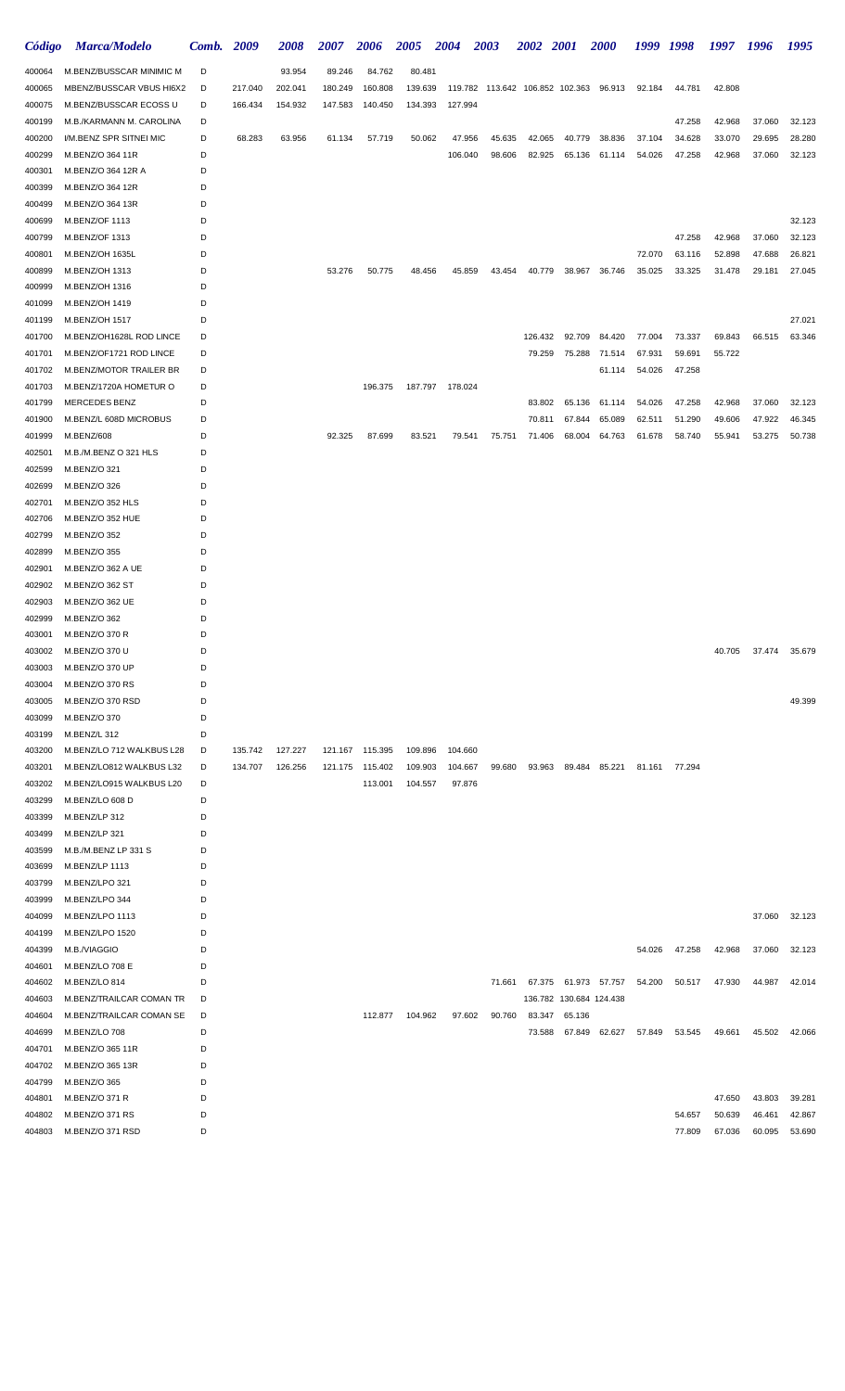| Código           | Marca/Modelo                     | Comb.  | 2009    | 2008    | <i><b>2007</b></i> | 2006            | 2005    | <b>2004</b>     | <b>2003</b>                            | 2002 2001 |                         | <b>2000</b>          | 1999   | 1998   | 1997   | 1996   | 1995   |
|------------------|----------------------------------|--------|---------|---------|--------------------|-----------------|---------|-----------------|----------------------------------------|-----------|-------------------------|----------------------|--------|--------|--------|--------|--------|
| 400064           | M.BENZ/BUSSCAR MINIMIC M         | D      |         | 93.954  | 89.246             | 84.762          | 80.481  |                 |                                        |           |                         |                      |        |        |        |        |        |
| 400065           | MBENZ/BUSSCAR VBUS HI6X2         | D      | 217.040 | 202.041 | 180.249            | 160.808         | 139.639 |                 | 119.782 113.642 106.852 102.363 96.913 |           |                         |                      | 92.184 | 44.781 | 42.808 |        |        |
| 400075           | M.BENZ/BUSSCAR ECOSS U           | D      | 166.434 | 154.932 | 147.583            | 140.450         | 134.393 | 127.994         |                                        |           |                         |                      |        |        |        |        |        |
| 400199           | M.B./KARMANN M. CAROLINA         | D      |         |         |                    |                 |         |                 |                                        |           |                         |                      |        | 47.258 | 42.968 | 37.060 | 32.123 |
| 400200           | I/M.BENZ SPR SITNEI MIC          | D      | 68.283  | 63.956  | 61.134             | 57.719          | 50.062  | 47.956          | 45.635                                 | 42.065    | 40.779                  | 38.836               | 37.104 | 34.628 | 33.070 | 29.695 | 28.280 |
| 400299           | M.BENZ/O 364 11R                 | D      |         |         |                    |                 |         | 106.040         | 98.606                                 | 82.925    | 65.136                  | 61.114               | 54.026 | 47.258 | 42.968 | 37.060 | 32.123 |
| 400301           | M.BENZ/O 364 12R A               | D      |         |         |                    |                 |         |                 |                                        |           |                         |                      |        |        |        |        |        |
| 400399           | M.BENZ/O 364 12R                 | D      |         |         |                    |                 |         |                 |                                        |           |                         |                      |        |        |        |        |        |
| 400499           | M.BENZ/O 364 13R                 | D      |         |         |                    |                 |         |                 |                                        |           |                         |                      |        |        |        |        |        |
| 400699           | M.BENZ/OF 1113                   | D      |         |         |                    |                 |         |                 |                                        |           |                         |                      |        |        |        |        | 32.123 |
| 400799           | M.BENZ/OF 1313                   | D      |         |         |                    |                 |         |                 |                                        |           |                         |                      |        | 47.258 | 42.968 | 37.060 | 32.123 |
| 400801           | M.BENZ/OH 1635L                  | D      |         |         |                    |                 |         |                 |                                        |           |                         |                      | 72.070 | 63.116 | 52.898 | 47.688 | 26.821 |
| 400899           | M.BENZ/OH 1313                   | D<br>D |         |         | 53.276             | 50.775          | 48.456  | 45.859          | 43.454                                 | 40.779    | 38.967                  | 36.746               | 35.025 | 33.325 | 31.478 | 29.181 | 27.045 |
| 400999<br>401099 | M.BENZ/OH 1316<br>M.BENZ/OH 1419 | D      |         |         |                    |                 |         |                 |                                        |           |                         |                      |        |        |        |        |        |
| 401199           | M.BENZ/OH 1517                   | D      |         |         |                    |                 |         |                 |                                        |           |                         |                      |        |        |        |        | 27.021 |
| 401700           | M.BENZ/OH1628L ROD LINCE         | D      |         |         |                    |                 |         |                 |                                        | 126.432   | 92.709                  | 84.420               | 77.004 | 73.337 | 69.843 | 66.515 | 63.346 |
| 401701           | M.BENZ/OF1721 ROD LINCE          | D      |         |         |                    |                 |         |                 |                                        | 79.259    | 75.288                  | 71.514               | 67.931 | 59.691 | 55.722 |        |        |
| 401702           | M.BENZ/MOTOR TRAILER BR          | D      |         |         |                    |                 |         |                 |                                        |           |                         | 61.114               | 54.026 | 47.258 |        |        |        |
| 401703           | M.BENZ/1720A HOMETUR O           | D      |         |         |                    | 196.375         |         | 187.797 178.024 |                                        |           |                         |                      |        |        |        |        |        |
| 401799           | MERCEDES BENZ                    | D      |         |         |                    |                 |         |                 |                                        | 83.802    | 65.136                  | 61.114               | 54.026 | 47.258 | 42.968 | 37.060 | 32.123 |
| 401900           | M.BENZ/L 608D MICROBUS           | D      |         |         |                    |                 |         |                 |                                        | 70.811    | 67.844                  | 65.089               | 62.511 | 51.290 | 49.606 | 47.922 | 46.345 |
| 401999           | M.BENZ/608                       | D      |         |         | 92.325             | 87.699          | 83.521  | 79.541          | 75.751                                 | 71.406    | 68.004                  | 64.763               | 61.678 | 58.740 | 55.941 | 53.275 | 50.738 |
| 402501           | M.B./M.BENZ O 321 HLS            | D      |         |         |                    |                 |         |                 |                                        |           |                         |                      |        |        |        |        |        |
| 402599           | M.BENZ/O 321                     | D      |         |         |                    |                 |         |                 |                                        |           |                         |                      |        |        |        |        |        |
| 402699           | M.BENZ/O 326                     | D      |         |         |                    |                 |         |                 |                                        |           |                         |                      |        |        |        |        |        |
| 402701           | M.BENZ/O 352 HLS                 | D      |         |         |                    |                 |         |                 |                                        |           |                         |                      |        |        |        |        |        |
| 402706           | M.BENZ/O 352 HUE                 | D      |         |         |                    |                 |         |                 |                                        |           |                         |                      |        |        |        |        |        |
| 402799           | M.BENZ/O 352                     | D      |         |         |                    |                 |         |                 |                                        |           |                         |                      |        |        |        |        |        |
| 402899           | M.BENZ/O 355                     | D      |         |         |                    |                 |         |                 |                                        |           |                         |                      |        |        |        |        |        |
| 402901           | M.BENZ/O 362 A UE                | D      |         |         |                    |                 |         |                 |                                        |           |                         |                      |        |        |        |        |        |
| 402902           | M.BENZ/O 362 ST                  | D      |         |         |                    |                 |         |                 |                                        |           |                         |                      |        |        |        |        |        |
| 402903           | M.BENZ/O 362 UE                  | D      |         |         |                    |                 |         |                 |                                        |           |                         |                      |        |        |        |        |        |
| 402999           | M.BENZ/O 362                     | D      |         |         |                    |                 |         |                 |                                        |           |                         |                      |        |        |        |        |        |
| 403001           | M.BENZ/O 370 R                   | D      |         |         |                    |                 |         |                 |                                        |           |                         |                      |        |        |        |        |        |
| 403002           | M.BENZ/O 370 U                   | D      |         |         |                    |                 |         |                 |                                        |           |                         |                      |        |        | 40.705 | 37.474 | 35.679 |
| 403003           | M.BENZ/O 370 UP                  | D      |         |         |                    |                 |         |                 |                                        |           |                         |                      |        |        |        |        |        |
| 403004           | M.BENZ/O 370 RS                  | D      |         |         |                    |                 |         |                 |                                        |           |                         |                      |        |        |        |        |        |
| 403005           | M.BENZ/O 370 RSD                 | D      |         |         |                    |                 |         |                 |                                        |           |                         |                      |        |        |        |        | 49.399 |
| 403099           | M.BENZ/O 370                     | D      |         |         |                    |                 |         |                 |                                        |           |                         |                      |        |        |        |        |        |
| 403199           | M.BENZ/L 312                     | D      |         |         |                    |                 |         |                 |                                        |           |                         |                      |        |        |        |        |        |
| 403200           | M.BENZ/LO 712 WALKBUS L28        | D      | 135.742 | 127.227 |                    | 121.167 115.395 | 109.896 | 104.660         |                                        |           |                         |                      |        |        |        |        |        |
| 403201           | M.BENZ/LO812 WALKBUS L32         | D      | 134.707 | 126.256 |                    | 121.175 115.402 | 109.903 | 104.667         | 99.680                                 | 93.963    |                         | 89.484 85.221        | 81.161 | 77.294 |        |        |        |
| 403202           | M.BENZ/LO915 WALKBUS L20         | D      |         |         |                    | 113.001         | 104.557 | 97.876          |                                        |           |                         |                      |        |        |        |        |        |
| 403299           | M.BENZ/LO 608 D                  | D      |         |         |                    |                 |         |                 |                                        |           |                         |                      |        |        |        |        |        |
| 403399           | M.BENZ/LP 312                    | D      |         |         |                    |                 |         |                 |                                        |           |                         |                      |        |        |        |        |        |
| 403499           | M.BENZ/LP 321                    | D      |         |         |                    |                 |         |                 |                                        |           |                         |                      |        |        |        |        |        |
| 403599           | M.B./M.BENZ LP 331 S             | D      |         |         |                    |                 |         |                 |                                        |           |                         |                      |        |        |        |        |        |
| 403699           | M.BENZ/LP 1113                   | D      |         |         |                    |                 |         |                 |                                        |           |                         |                      |        |        |        |        |        |
| 403799           | M.BENZ/LPO 321<br>M.BENZ/LPO 344 | D<br>D |         |         |                    |                 |         |                 |                                        |           |                         |                      |        |        |        |        |        |
| 403999<br>404099 | M.BENZ/LPO 1113                  | D      |         |         |                    |                 |         |                 |                                        |           |                         |                      |        |        |        | 37.060 | 32.123 |
| 404199           | M.BENZ/LPO 1520                  | D      |         |         |                    |                 |         |                 |                                        |           |                         |                      |        |        |        |        |        |
| 404399           | M.B./VIAGGIO                     | D      |         |         |                    |                 |         |                 |                                        |           |                         |                      | 54.026 | 47.258 | 42.968 | 37.060 | 32.123 |
| 404601           | M.BENZ/LO 708 E                  | D      |         |         |                    |                 |         |                 |                                        |           |                         |                      |        |        |        |        |        |
| 404602           | M.BENZ/LO 814                    | D      |         |         |                    |                 |         |                 | 71.661                                 |           |                         | 67.375 61.973 57.757 | 54.200 | 50.517 | 47.930 | 44.987 | 42.014 |
| 404603           | M.BENZ/TRAILCAR COMAN TR         | D      |         |         |                    |                 |         |                 |                                        |           | 136.782 130.684 124.438 |                      |        |        |        |        |        |
| 404604           | M.BENZ/TRAILCAR COMAN SE         | D      |         |         |                    | 112.877         | 104.962 | 97.602          | 90.760                                 | 83.347    | 65.136                  |                      |        |        |        |        |        |
| 404699           | M.BENZ/LO 708                    | D      |         |         |                    |                 |         |                 |                                        | 73.588    |                         | 67.849 62.627        | 57.849 | 53.545 | 49.661 | 45.502 | 42.066 |
| 404701           | M.BENZ/O 365 11R                 | D      |         |         |                    |                 |         |                 |                                        |           |                         |                      |        |        |        |        |        |
| 404702           | M.BENZ/O 365 13R                 | D      |         |         |                    |                 |         |                 |                                        |           |                         |                      |        |        |        |        |        |
| 404799           | M.BENZ/O 365                     | D      |         |         |                    |                 |         |                 |                                        |           |                         |                      |        |        |        |        |        |
| 404801           | M.BENZ/O 371 R                   | D      |         |         |                    |                 |         |                 |                                        |           |                         |                      |        |        | 47.650 | 43.803 | 39.281 |
| 404802           | M.BENZ/O 371 RS                  | D      |         |         |                    |                 |         |                 |                                        |           |                         |                      |        | 54.657 | 50.639 | 46.461 | 42.867 |
| 404803           | M.BENZ/O 371 RSD                 | D      |         |         |                    |                 |         |                 |                                        |           |                         |                      |        | 77.809 | 67.036 | 60.095 | 53.690 |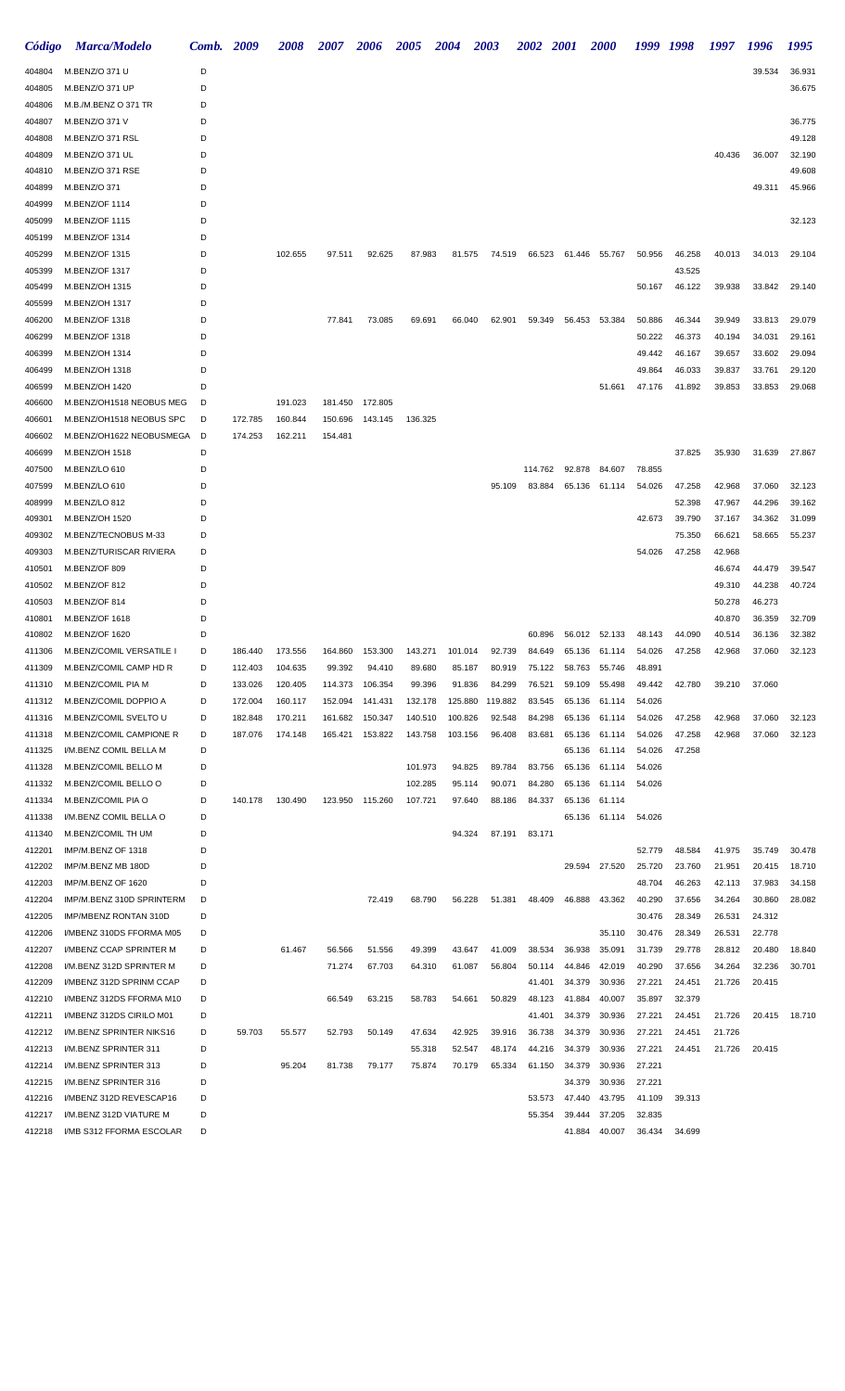| Código           | <b>Marca/Modelo</b>                      | Comb.  | 2009    | 2008    | <i><b>2007</b></i> | <b>2006</b> | 2005    | <b>2004</b> | <b>2003</b> | <i><b>2002 2001</b></i> |        | <i><b>2000</b></i> | 1999             | 1998             | 1997             | 1996             | 1995             |
|------------------|------------------------------------------|--------|---------|---------|--------------------|-------------|---------|-------------|-------------|-------------------------|--------|--------------------|------------------|------------------|------------------|------------------|------------------|
| 404804           | M.BENZ/O 371 U                           | D      |         |         |                    |             |         |             |             |                         |        |                    |                  |                  |                  | 39.534           | 36.931           |
| 404805           | M.BENZ/O 371 UP                          | D      |         |         |                    |             |         |             |             |                         |        |                    |                  |                  |                  |                  | 36.675           |
| 404806           | M.B./M.BENZ O 371 TR                     | D      |         |         |                    |             |         |             |             |                         |        |                    |                  |                  |                  |                  |                  |
| 404807           | M.BENZ/O 371 V                           | D      |         |         |                    |             |         |             |             |                         |        |                    |                  |                  |                  |                  | 36.775           |
| 404808           | M.BENZ/O 371 RSL                         | D      |         |         |                    |             |         |             |             |                         |        |                    |                  |                  |                  |                  | 49.128           |
| 404809           | M.BENZ/O 371 UL                          | D      |         |         |                    |             |         |             |             |                         |        |                    |                  |                  | 40.436           | 36.007           | 32.190           |
| 404810           | M.BENZ/O 371 RSE                         | D      |         |         |                    |             |         |             |             |                         |        |                    |                  |                  |                  |                  | 49.608           |
| 404899           | M.BENZ/O 371                             | D      |         |         |                    |             |         |             |             |                         |        |                    |                  |                  |                  | 49.311           | 45.966           |
| 404999           | M.BENZ/OF 1114                           | D      |         |         |                    |             |         |             |             |                         |        |                    |                  |                  |                  |                  |                  |
| 405099           | M.BENZ/OF 1115                           | D      |         |         |                    |             |         |             |             |                         |        |                    |                  |                  |                  |                  | 32.123           |
| 405199           | M.BENZ/OF 1314                           | D      |         |         |                    |             |         |             |             |                         |        |                    |                  |                  |                  |                  |                  |
| 405299           | M.BENZ/OF 1315                           | D      |         | 102.655 | 97.511             | 92.625      | 87.983  | 81.575      | 74.519      | 66.523                  | 61.446 | 55.767             | 50.956           | 46.258           | 40.013           | 34.013           | 29.104           |
| 405399           | M.BENZ/OF 1317                           | D      |         |         |                    |             |         |             |             |                         |        |                    |                  | 43.525           |                  |                  |                  |
| 405499           | M.BENZ/OH 1315                           | D      |         |         |                    |             |         |             |             |                         |        |                    | 50.167           | 46.122           | 39.938           | 33.842           | 29.140           |
| 405599           | M.BENZ/OH 1317                           | D      |         |         |                    |             |         |             |             |                         |        |                    |                  |                  |                  |                  |                  |
| 406200           | M.BENZ/OF 1318                           | D      |         |         | 77.841             | 73.085      | 69.691  | 66.040      | 62.901      | 59.349                  | 56.453 | 53.384             | 50.886           | 46.344           | 39.949           | 33.813           | 29.079           |
| 406299           | M.BENZ/OF 1318                           | D<br>D |         |         |                    |             |         |             |             |                         |        |                    | 50.222           | 46.373           | 40.194           | 34.031<br>33.602 | 29.161           |
| 406399<br>406499 | M.BENZ/OH 1314<br>M.BENZ/OH 1318         | D      |         |         |                    |             |         |             |             |                         |        |                    | 49.442<br>49.864 | 46.167<br>46.033 | 39.657<br>39.837 | 33.761           | 29.094<br>29.120 |
| 406599           | M.BENZ/OH 1420                           | D      |         |         |                    |             |         |             |             |                         |        | 51.661             | 47.176           | 41.892           | 39.853           | 33.853           | 29.068           |
| 406600           | M.BENZ/OH1518 NEOBUS MEG                 | D      |         | 191.023 | 181.450            | 172.805     |         |             |             |                         |        |                    |                  |                  |                  |                  |                  |
| 406601           | M.BENZ/OH1518 NEOBUS SPC                 | D      | 172.785 | 160.844 | 150.696            | 143.145     | 136.325 |             |             |                         |        |                    |                  |                  |                  |                  |                  |
| 406602           | M.BENZ/OH1622 NEOBUSMEGA                 | D      | 174.253 | 162.211 | 154.481            |             |         |             |             |                         |        |                    |                  |                  |                  |                  |                  |
| 406699           | M.BENZ/OH 1518                           | D      |         |         |                    |             |         |             |             |                         |        |                    |                  | 37.825           | 35.930           | 31.639           | 27.867           |
| 407500           | M.BENZ/LO 610                            | D      |         |         |                    |             |         |             |             | 114.762                 | 92.878 | 84.607             | 78.855           |                  |                  |                  |                  |
| 407599           | M.BENZ/LO 610                            | D      |         |         |                    |             |         |             | 95.109      | 83.884                  | 65.136 | 61.114             | 54.026           | 47.258           | 42.968           | 37.060           | 32.123           |
| 408999           | M.BENZ/LO 812                            | D      |         |         |                    |             |         |             |             |                         |        |                    |                  | 52.398           | 47.967           | 44.296           | 39.162           |
| 409301           | M.BENZ/OH 1520                           | D      |         |         |                    |             |         |             |             |                         |        |                    | 42.673           | 39.790           | 37.167           | 34.362           | 31.099           |
| 409302           | M.BENZ/TECNOBUS M-33                     | D      |         |         |                    |             |         |             |             |                         |        |                    |                  | 75.350           | 66.621           | 58.665           | 55.237           |
| 409303           | M.BENZ/TURISCAR RIVIERA                  | D      |         |         |                    |             |         |             |             |                         |        |                    | 54.026           | 47.258           | 42.968           |                  |                  |
| 410501           | M.BENZ/OF 809                            | D      |         |         |                    |             |         |             |             |                         |        |                    |                  |                  | 46.674           | 44.479           | 39.547           |
| 410502           | M.BENZ/OF 812                            | D      |         |         |                    |             |         |             |             |                         |        |                    |                  |                  | 49.310           | 44.238           | 40.724           |
| 410503           | M.BENZ/OF 814                            | D      |         |         |                    |             |         |             |             |                         |        |                    |                  |                  | 50.278           | 46.273           |                  |
| 410801           | M.BENZ/OF 1618                           | D      |         |         |                    |             |         |             |             |                         |        |                    |                  |                  | 40.870           | 36.359           | 32.709           |
| 410802           | M.BENZ/OF 1620                           | D      |         |         |                    |             |         |             |             | 60.896                  | 56.012 | 52.133             | 48.143           | 44.090           | 40.514           | 36.136           | 32.382           |
| 411306           | M.BENZ/COMIL VERSATILE                   | D      | 186.440 | 173.556 | 164.860            | 153.300     | 143.271 | 101.014     | 92.739      | 84.649                  | 65.136 | 61.114             | 54.026           | 47.258           | 42.968           | 37.060           | 32.123           |
| 411309           | M.BENZ/COMIL CAMP HD R                   | D      | 112.403 | 104.635 | 99.392             | 94.410      | 89.680  | 85.187      | 80.919      | 75.122                  | 58.763 | 55.746             | 48.891           |                  |                  |                  |                  |
| 411310           | M.BENZ/COMIL PIA M                       | D      | 133.026 | 120.405 | 114.373            | 106.354     | 99.396  | 91.836      | 84.299      | 76.521                  | 59.109 | 55.498             | 49.442           | 42.780           | 39.210           | 37.060           |                  |
| 411312           | M.BENZ/COMIL DOPPIO A                    | D      | 172.004 | 160.117 | 152.094            | 141.431     | 132.178 | 125.880     | 119.882     | 83.545                  | 65.136 | 61.114             | 54.026           |                  |                  |                  |                  |
| 411316           | M.BENZ/COMIL SVELTO U                    | D      | 182.848 | 170.211 | 161.682            | 150.347     | 140.510 | 100.826     | 92.548      | 84.298                  | 65.136 | 61.114             | 54.026           | 47.258           | 42.968           | 37.060           | 32.123           |
| 411318           | M.BENZ/COMIL CAMPIONE R                  | D      | 187.076 | 174.148 | 165.421            | 153.822     | 143.758 | 103.156     | 96.408      | 83.681                  | 65.136 | 61.114             | 54.026           | 47.258           | 42.968           | 37.060           | 32.123           |
| 411325           | I/M.BENZ COMIL BELLA M                   | D      |         |         |                    |             |         |             |             |                         | 65.136 | 61.114             | 54.026           | 47.258           |                  |                  |                  |
| 411328           | M.BENZ/COMIL BELLO M                     | D      |         |         |                    |             | 101.973 | 94.825      | 89.784      | 83.756                  | 65.136 | 61.114             | 54.026           |                  |                  |                  |                  |
| 411332           | M.BENZ/COMIL BELLO O                     | D      |         |         |                    |             | 102.285 | 95.114      | 90.071      | 84.280                  | 65.136 | 61.114             | 54.026           |                  |                  |                  |                  |
| 411334           | M.BENZ/COMIL PIA O                       | D      | 140.178 | 130.490 | 123.950            | 115.260     | 107.721 | 97.640      | 88.186      | 84.337                  | 65.136 | 61.114             |                  |                  |                  |                  |                  |
| 411338           | I/M.BENZ COMIL BELLA O                   | D      |         |         |                    |             |         |             |             |                         |        | 65.136 61.114      | 54.026           |                  |                  |                  |                  |
| 411340           | M.BENZ/COMIL TH UM                       | D      |         |         |                    |             |         | 94.324      | 87.191      | 83.171                  |        |                    |                  |                  |                  |                  |                  |
| 412201           | IMP/M.BENZ OF 1318                       | D      |         |         |                    |             |         |             |             |                         |        |                    | 52.779           | 48.584           | 41.975           | 35.749           | 30.478           |
| 412202           | IMP/M.BENZ MB 180D<br>IMP/M.BENZ OF 1620 | D<br>D |         |         |                    |             |         |             |             |                         | 29.594 | 27.520             | 25.720<br>48.704 | 23.760<br>46.263 | 21.951<br>42.113 | 20.415<br>37.983 | 18.710<br>34.158 |
| 412203<br>412204 | IMP/M.BENZ 310D SPRINTERM                | D      |         |         |                    | 72.419      | 68.790  | 56.228      | 51.381      | 48.409                  | 46.888 | 43.362             | 40.290           | 37.656           | 34.264           | 30.860           | 28.082           |
| 412205           | IMP/MBENZ RONTAN 310D                    | D      |         |         |                    |             |         |             |             |                         |        |                    | 30.476           | 28.349           | 26.531           | 24.312           |                  |
| 412206           | I/MBENZ 310DS FFORMA M05                 | D      |         |         |                    |             |         |             |             |                         |        | 35.110             | 30.476           | 28.349           | 26.531           | 22.778           |                  |
| 412207           | I/MBENZ CCAP SPRINTER M                  | D      |         | 61.467  | 56.566             | 51.556      | 49.399  | 43.647      | 41.009      | 38.534                  | 36.938 | 35.091             | 31.739           | 29.778           | 28.812           | 20.480           | 18.840           |
| 412208           | I/M.BENZ 312D SPRINTER M                 | D      |         |         | 71.274             | 67.703      | 64.310  | 61.087      | 56.804      | 50.114                  | 44.846 | 42.019             | 40.290           | 37.656           | 34.264           | 32.236           | 30.701           |
| 412209           | I/MBENZ 312D SPRINM CCAP                 | D      |         |         |                    |             |         |             |             | 41.401                  | 34.379 | 30.936             | 27.221           | 24.451           | 21.726           | 20.415           |                  |
| 412210           | I/MBENZ 312DS FFORMA M10                 | D      |         |         | 66.549             | 63.215      | 58.783  | 54.661      | 50.829      | 48.123                  | 41.884 | 40.007             | 35.897           | 32.379           |                  |                  |                  |
| 412211           | I/MBENZ 312DS CIRILO M01                 | D      |         |         |                    |             |         |             |             | 41.401                  | 34.379 | 30.936             | 27.221           | 24.451           | 21.726           | 20.415           | 18.710           |
| 412212           | I/M.BENZ SPRINTER NIKS16                 | D      | 59.703  | 55.577  | 52.793             | 50.149      | 47.634  | 42.925      | 39.916      | 36.738                  | 34.379 | 30.936             | 27.221           | 24.451           | 21.726           |                  |                  |
| 412213           | I/M.BENZ SPRINTER 311                    | D      |         |         |                    |             | 55.318  | 52.547      | 48.174      | 44.216                  | 34.379 | 30.936             | 27.221           | 24.451           | 21.726           | 20.415           |                  |
| 412214           | I/M.BENZ SPRINTER 313                    | D      |         | 95.204  | 81.738             | 79.177      | 75.874  | 70.179      | 65.334      | 61.150                  | 34.379 | 30.936             | 27.221           |                  |                  |                  |                  |
| 412215           | I/M.BENZ SPRINTER 316                    | D      |         |         |                    |             |         |             |             |                         | 34.379 | 30.936             | 27.221           |                  |                  |                  |                  |
| 412216           | I/MBENZ 312D REVESCAP16                  | D      |         |         |                    |             |         |             |             | 53.573                  | 47.440 | 43.795             | 41.109           | 39.313           |                  |                  |                  |
| 412217           | I/M.BENZ 312D VIATURE M                  | D      |         |         |                    |             |         |             |             | 55.354                  | 39.444 | 37.205             | 32.835           |                  |                  |                  |                  |
| 412218           | I/MB S312 FFORMA ESCOLAR                 | D      |         |         |                    |             |         |             |             |                         | 41.884 | 40.007             | 36.434           | 34.699           |                  |                  |                  |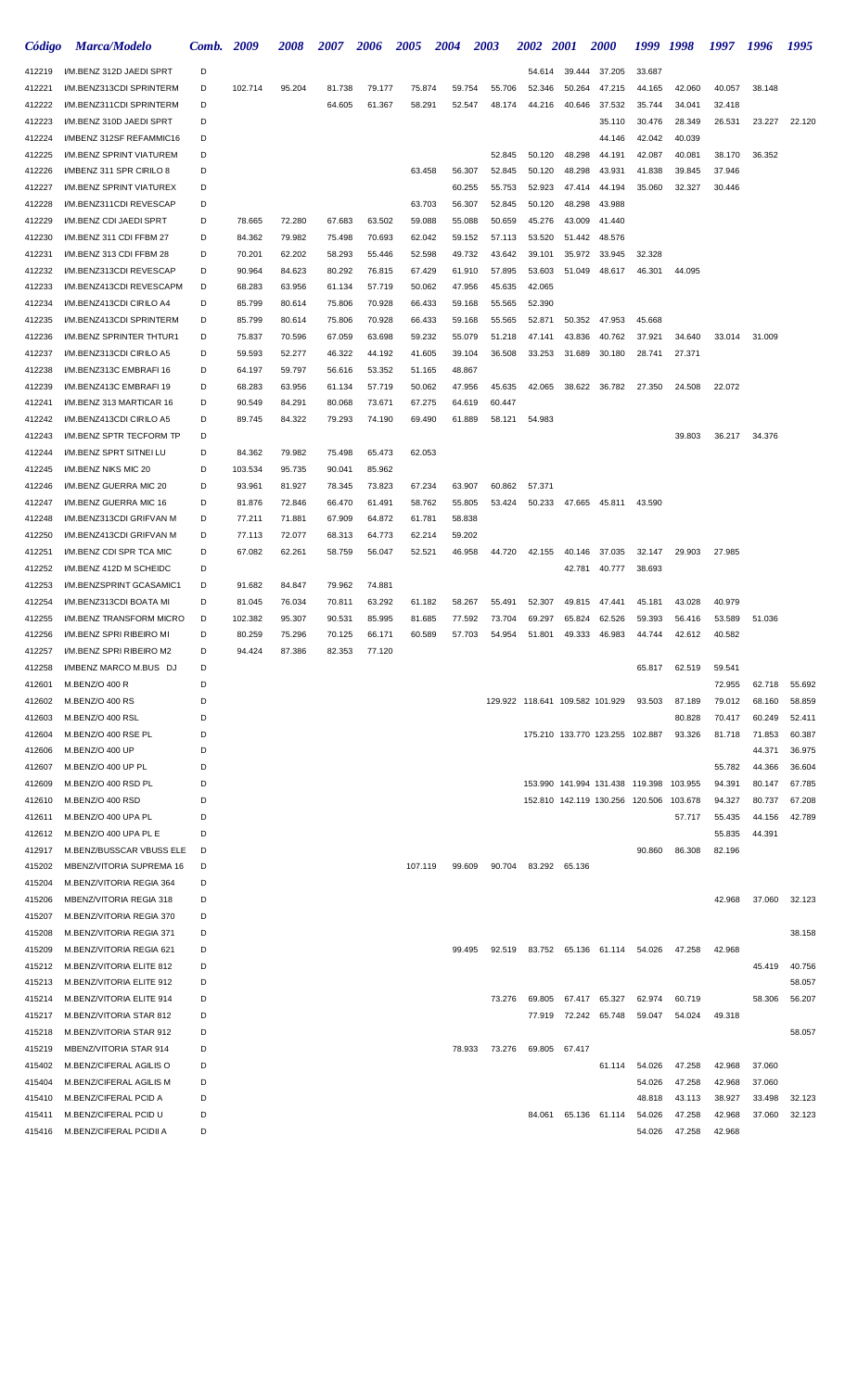| Código           | <b>Marca/Modelo</b>                                  | Comb.  | 2009             | <i><b>2008</b></i> | <i><b>2007</b></i> | 2006             | <b>2005</b>      | 2004             | <b>2003</b>      | <i><b>2002</b></i>              | <b>2001</b>   | <b>2000</b>                             | 1999 1998 |        | 1997   | 1996             | 1995             |
|------------------|------------------------------------------------------|--------|------------------|--------------------|--------------------|------------------|------------------|------------------|------------------|---------------------------------|---------------|-----------------------------------------|-----------|--------|--------|------------------|------------------|
| 412219           | I/M.BENZ 312D JAEDI SPRT                             | D      |                  |                    |                    |                  |                  |                  |                  | 54.614                          | 39.444        | 37.205                                  | 33.687    |        |        |                  |                  |
| 412221           | I/M.BENZ313CDI SPRINTERM                             | D      | 102.714          | 95.204             | 81.738             | 79.177           | 75.874           | 59.754           | 55.706           | 52.346                          | 50.264        | 47.215                                  | 44.165    | 42.060 | 40.057 | 38.148           |                  |
| 412222           | I/M.BENZ311CDI SPRINTERM                             | D      |                  |                    | 64.605             | 61.367           | 58.291           | 52.547           | 48.174           | 44.216                          | 40.646        | 37.532                                  | 35.744    | 34.041 | 32.418 |                  |                  |
| 412223           | I/M.BENZ 310D JAEDI SPRT                             | D      |                  |                    |                    |                  |                  |                  |                  |                                 |               | 35.110                                  | 30.476    | 28.349 | 26.531 | 23.227           | 22.120           |
| 412224           | I/MBENZ 312SF REFAMMIC16                             | D      |                  |                    |                    |                  |                  |                  |                  |                                 |               | 44.146                                  | 42.042    | 40.039 |        |                  |                  |
| 412225           | I/M.BENZ SPRINT VIATUREM                             | D      |                  |                    |                    |                  |                  |                  | 52.845           | 50.120                          | 48.298        | 44.191                                  | 42.087    | 40.081 | 38.170 | 36.352           |                  |
| 412226           | I/MBENZ 311 SPR CIRILO 8                             | D      |                  |                    |                    |                  | 63.458           | 56.307           | 52.845           | 50.120                          | 48.298        | 43.931                                  | 41.838    | 39.845 | 37.946 |                  |                  |
| 412227           | I/M.BENZ SPRINT VIATUREX                             | D      |                  |                    |                    |                  |                  | 60.255           | 55.753           | 52.923                          | 47.414        | 44.194                                  | 35.060    | 32.327 | 30.446 |                  |                  |
| 412228           | I/M.BENZ311CDI REVESCAP                              | D      |                  |                    |                    |                  | 63.703           | 56.307           | 52.845           | 50.120                          | 48.298        | 43.988                                  |           |        |        |                  |                  |
| 412229           | I/M.BENZ CDI JAEDI SPRT                              | D      | 78.665           | 72.280             | 67.683             | 63.502           | 59.088           | 55.088           | 50.659           | 45.276                          | 43.009        | 41.440                                  |           |        |        |                  |                  |
| 412230           | I/M.BENZ 311 CDI FFBM 27                             | D      | 84.362           | 79.982             | 75.498             | 70.693           | 62.042           | 59.152           | 57.113           | 53.520                          | 51.442        | 48.576                                  |           |        |        |                  |                  |
| 412231           | I/M.BENZ 313 CDI FFBM 28                             | D      | 70.201           | 62.202             | 58.293             | 55.446           | 52.598           | 49.732           | 43.642           | 39.101                          | 35.972        | 33.945                                  | 32.328    |        |        |                  |                  |
| 412232           | I/M.BENZ313CDI REVESCAP                              | D      | 90.964           | 84.623             | 80.292             | 76.815           | 67.429           | 61.910           | 57.895           | 53.603                          | 51.049        | 48.617                                  | 46.301    | 44.095 |        |                  |                  |
| 412233           | I/M.BENZ413CDI REVESCAPM                             | D      | 68.283           | 63.956             | 61.134             | 57.719           | 50.062           | 47.956           | 45.635           | 42.065                          |               |                                         |           |        |        |                  |                  |
| 412234           | I/M.BENZ413CDI CIRILO A4                             | D      | 85.799           | 80.614<br>80.614   | 75.806<br>75.806   | 70.928<br>70.928 | 66.433<br>66.433 | 59.168<br>59.168 | 55.565           | 52.390                          | 50.352        | 47.953                                  | 45.668    |        |        |                  |                  |
| 412235<br>412236 | I/M.BENZ413CDI SPRINTERM<br>I/M.BENZ SPRINTER THTUR1 | D<br>D | 85.799<br>75.837 | 70.596             | 67.059             | 63.698           | 59.232           | 55.079           | 55.565<br>51.218 | 52.871<br>47.141                | 43.836        | 40.762                                  | 37.921    | 34.640 | 33.014 | 31.009           |                  |
| 412237           | I/M.BENZ313CDI CIRILO A5                             | D      | 59.593           | 52.277             | 46.322             | 44.192           | 41.605           | 39.104           | 36.508           | 33.253                          | 31.689        | 30.180                                  | 28.741    | 27.371 |        |                  |                  |
| 412238           | I/M.BENZ313C EMBRAFI 16                              | D      | 64.197           | 59.797             | 56.616             | 53.352           | 51.165           | 48.867           |                  |                                 |               |                                         |           |        |        |                  |                  |
| 412239           | I/M.BENZ413C EMBRAFI 19                              | D      | 68.283           | 63.956             | 61.134             | 57.719           | 50.062           | 47.956           | 45.635           | 42.065                          | 38.622        | 36.782                                  | 27.350    | 24.508 | 22.072 |                  |                  |
| 412241           | I/M.BENZ 313 MARTICAR 16                             | D      | 90.549           | 84.291             | 80.068             | 73.671           | 67.275           | 64.619           | 60.447           |                                 |               |                                         |           |        |        |                  |                  |
| 412242           | I/M.BENZ413CDI CIRILO A5                             | D      | 89.745           | 84.322             | 79.293             | 74.190           | 69.490           | 61.889           | 58.121           | 54.983                          |               |                                         |           |        |        |                  |                  |
| 412243           | I/M.BENZ SPTR TECFORM TP                             | D      |                  |                    |                    |                  |                  |                  |                  |                                 |               |                                         |           | 39.803 | 36.217 | 34.376           |                  |
| 412244           | I/M.BENZ SPRT SITNEI LU                              | D      | 84.362           | 79.982             | 75.498             | 65.473           | 62.053           |                  |                  |                                 |               |                                         |           |        |        |                  |                  |
| 412245           | I/M.BENZ NIKS MIC 20                                 | D      | 103.534          | 95.735             | 90.041             | 85.962           |                  |                  |                  |                                 |               |                                         |           |        |        |                  |                  |
| 412246           | I/M.BENZ GUERRA MIC 20                               | D      | 93.961           | 81.927             | 78.345             | 73.823           | 67.234           | 63.907           | 60.862           | 57.371                          |               |                                         |           |        |        |                  |                  |
| 412247           | I/M.BENZ GUERRA MIC 16                               | D      | 81.876           | 72.846             | 66.470             | 61.491           | 58.762           | 55.805           | 53.424           | 50.233                          |               | 47.665 45.811                           | 43.590    |        |        |                  |                  |
| 412248           | I/M.BENZ313CDI GRIFVAN M                             | D      | 77.211           | 71.881             | 67.909             | 64.872           | 61.781           | 58.838           |                  |                                 |               |                                         |           |        |        |                  |                  |
| 412250           | I/M.BENZ413CDI GRIFVAN M                             | D      | 77.113           | 72.077             | 68.313             | 64.773           | 62.214           | 59.202           |                  |                                 |               |                                         |           |        |        |                  |                  |
| 412251           | I/M.BENZ CDI SPR TCA MIC                             | D      | 67.082           | 62.261             | 58.759             | 56.047           | 52.521           | 46.958           | 44.720           | 42.155                          | 40.146        | 37.035                                  | 32.147    | 29.903 | 27.985 |                  |                  |
| 412252           | I/M.BENZ 412D M SCHEIDC                              | D      |                  |                    |                    |                  |                  |                  |                  |                                 | 42.781        | 40.777                                  | 38.693    |        |        |                  |                  |
| 412253           | I/M.BENZSPRINT GCASAMIC1                             | D      | 91.682           | 84.847             | 79.962             | 74.881           |                  |                  |                  |                                 |               |                                         |           |        |        |                  |                  |
| 412254           | I/M.BENZ313CDI BOATA MI                              | D      | 81.045           | 76.034             | 70.811             | 63.292           | 61.182           | 58.267           | 55.491           | 52.307                          | 49.815        | 47.441                                  | 45.181    | 43.028 | 40.979 |                  |                  |
| 412255           | I/M.BENZ TRANSFORM MICRO                             | D      | 102.382          | 95.307             | 90.531             | 85.995           | 81.685           | 77.592           | 73.704           | 69.297                          | 65.824        | 62.526                                  | 59.393    | 56.416 | 53.589 | 51.036           |                  |
| 412256           | I/M.BENZ SPRI RIBEIRO MI                             | D      | 80.259           | 75.296             | 70.125             | 66.171           | 60.589           | 57.703           | 54.954           | 51.801                          | 49.333        | 46.983                                  | 44.744    | 42.612 | 40.582 |                  |                  |
| 412257           | I/M.BENZ SPRI RIBEIRO M2                             | D      | 94.424           | 87.386             | 82.353             | 77.120           |                  |                  |                  |                                 |               |                                         |           |        |        |                  |                  |
| 412258           | I/MBENZ MARCO M.BUS DJ                               | D      |                  |                    |                    |                  |                  |                  |                  |                                 |               |                                         | 65.817    | 62.519 | 59.541 |                  |                  |
| 412601           | M.BENZ/O 400 R                                       | D      |                  |                    |                    |                  |                  |                  |                  |                                 |               |                                         |           |        | 72.955 | 62.718           | 55.692           |
| 412602           | M.BENZ/O 400 RS                                      | D      |                  |                    |                    |                  |                  |                  |                  | 129.922 118.641 109.582 101.929 |               |                                         | 93.503    | 87.189 | 79.012 | 68.160           | 58.859           |
| 412603           | M.BENZ/O 400 RSL                                     | D      |                  |                    |                    |                  |                  |                  |                  |                                 |               |                                         |           | 80.828 | 70.417 | 60.249           | 52.411           |
| 412604           | M.BENZ/O 400 RSE PL                                  | D      |                  |                    |                    |                  |                  |                  |                  |                                 |               | 175.210 133.770 123.255 102.887         |           | 93.326 | 81.718 | 71.853           | 60.387           |
| 412606<br>412607 | M.BENZ/O 400 UP<br>M.BENZ/O 400 UP PL                | D<br>D |                  |                    |                    |                  |                  |                  |                  |                                 |               |                                         |           |        | 55.782 | 44.371<br>44.366 | 36.975<br>36.604 |
| 412609           | M.BENZ/O 400 RSD PL                                  | D      |                  |                    |                    |                  |                  |                  |                  |                                 |               | 153.990 141.994 131.438 119.398 103.955 |           |        | 94.391 | 80.147           | 67.785           |
| 412610           | M.BENZ/O 400 RSD                                     | D      |                  |                    |                    |                  |                  |                  |                  |                                 |               | 152.810 142.119 130.256 120.506 103.678 |           |        | 94.327 | 80.737           | 67.208           |
| 412611           | M.BENZ/O 400 UPA PL                                  | D      |                  |                    |                    |                  |                  |                  |                  |                                 |               |                                         |           | 57.717 | 55.435 | 44.156           | 42.789           |
| 412612           | M.BENZ/O 400 UPA PL E                                | D      |                  |                    |                    |                  |                  |                  |                  |                                 |               |                                         |           |        | 55.835 | 44.391           |                  |
| 412917           | M.BENZ/BUSSCAR VBUSS ELE                             | D      |                  |                    |                    |                  |                  |                  |                  |                                 |               |                                         | 90.860    | 86.308 | 82.196 |                  |                  |
| 415202           | MBENZ/VITORIA SUPREMA 16                             | D      |                  |                    |                    |                  | 107.119          | 99.609           | 90.704           |                                 | 83.292 65.136 |                                         |           |        |        |                  |                  |
| 415204           | M.BENZ/VITORIA REGIA 364                             | D      |                  |                    |                    |                  |                  |                  |                  |                                 |               |                                         |           |        |        |                  |                  |
| 415206           | MBENZ/VITORIA REGIA 318                              | D      |                  |                    |                    |                  |                  |                  |                  |                                 |               |                                         |           |        | 42.968 | 37.060           | 32.123           |
| 415207           | M.BENZ/VITORIA REGIA 370                             | D      |                  |                    |                    |                  |                  |                  |                  |                                 |               |                                         |           |        |        |                  |                  |
| 415208           | M.BENZ/VITORIA REGIA 371                             | D      |                  |                    |                    |                  |                  |                  |                  |                                 |               |                                         |           |        |        |                  | 38.158           |
| 415209           | M.BENZ/VITORIA REGIA 621                             | D      |                  |                    |                    |                  |                  | 99.495           | 92.519           |                                 |               | 83.752 65.136 61.114                    | 54.026    | 47.258 | 42.968 |                  |                  |
| 415212           | M.BENZ/VITORIA ELITE 812                             | D      |                  |                    |                    |                  |                  |                  |                  |                                 |               |                                         |           |        |        | 45.419           | 40.756           |
| 415213           | M.BENZ/VITORIA ELITE 912                             | D      |                  |                    |                    |                  |                  |                  |                  |                                 |               |                                         |           |        |        |                  | 58.057           |
| 415214           | M.BENZ/VITORIA ELITE 914                             | D      |                  |                    |                    |                  |                  |                  | 73.276           | 69.805                          |               | 67.417 65.327                           | 62.974    | 60.719 |        | 58.306           | 56.207           |
| 415217           | M.BENZ/VITORIA STAR 812                              | D      |                  |                    |                    |                  |                  |                  |                  | 77.919                          |               | 72.242 65.748                           | 59.047    | 54.024 | 49.318 |                  |                  |
| 415218           | M.BENZ/VITORIA STAR 912                              | D      |                  |                    |                    |                  |                  |                  |                  |                                 |               |                                         |           |        |        |                  | 58.057           |
| 415219           | MBENZ/VITORIA STAR 914                               | D      |                  |                    |                    |                  |                  | 78.933           | 73.276           | 69.805                          | 67.417        |                                         |           |        |        |                  |                  |
| 415402           | M.BENZ/CIFERAL AGILIS O                              | D      |                  |                    |                    |                  |                  |                  |                  |                                 |               | 61.114                                  | 54.026    | 47.258 | 42.968 | 37.060           |                  |
| 415404           | M.BENZ/CIFERAL AGILIS M                              | D      |                  |                    |                    |                  |                  |                  |                  |                                 |               |                                         | 54.026    | 47.258 | 42.968 | 37.060           |                  |
| 415410           | M.BENZ/CIFERAL PCID A                                | D      |                  |                    |                    |                  |                  |                  |                  |                                 |               |                                         | 48.818    | 43.113 | 38.927 | 33.498           | 32.123           |
| 415411           | M.BENZ/CIFERAL PCID U                                | D      |                  |                    |                    |                  |                  |                  |                  | 84.061                          |               | 65.136 61.114                           | 54.026    | 47.258 | 42.968 | 37.060           | 32.123           |
| 415416           | M.BENZ/CIFERAL PCIDII A                              | D      |                  |                    |                    |                  |                  |                  |                  |                                 |               |                                         | 54.026    | 47.258 | 42.968 |                  |                  |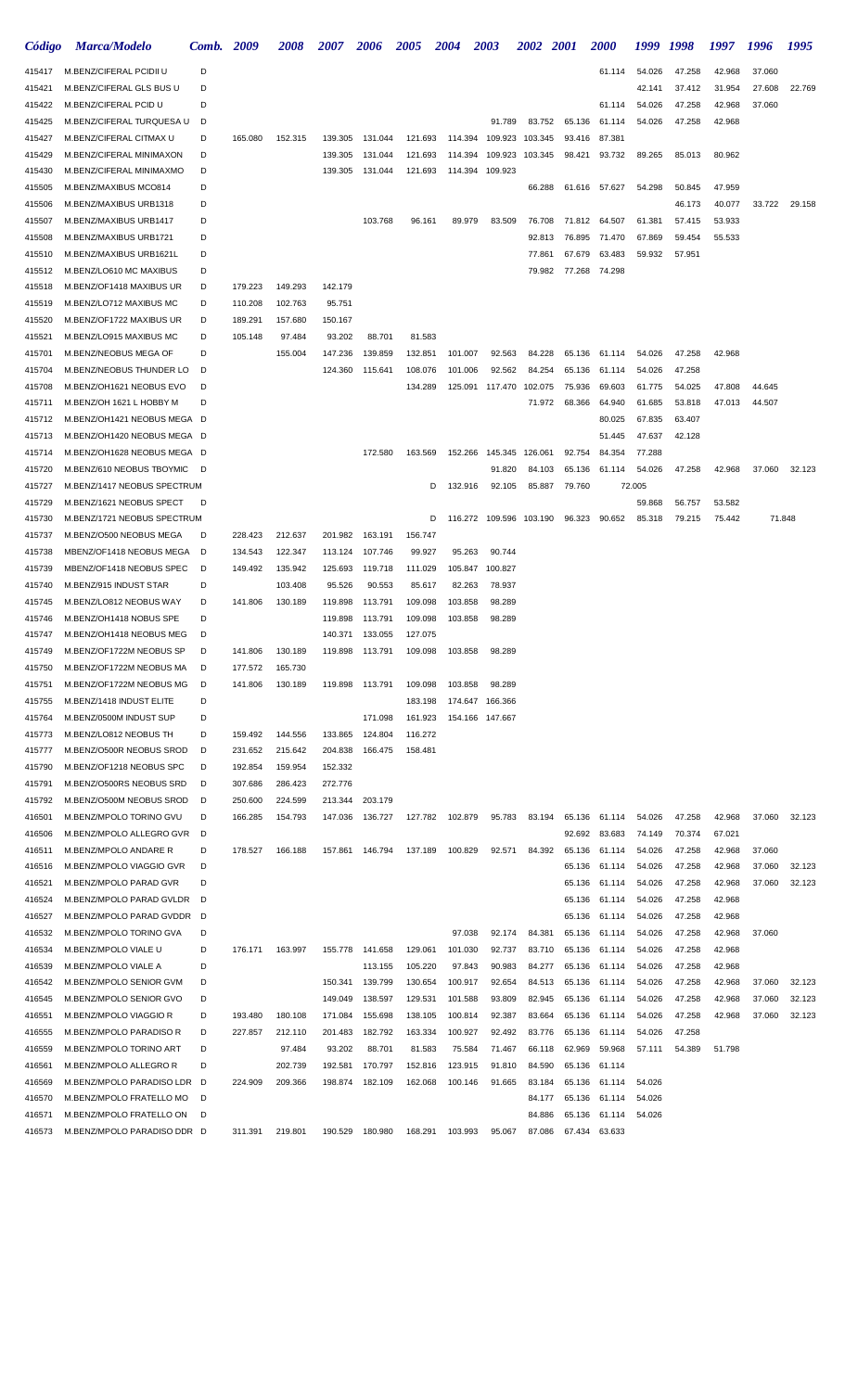| Código           | <b>Marca/Modelo</b>                                  | Comb.  | 2009               | <i><b>2008</b></i> | <i><b>2007</b></i> | 2006    | <i><b>2005</b></i> | <b>2004</b>  | 2003                    | <i><b>2002</b></i> | <b>2001</b> | <i><b>2000</b></i> | 1999   | 1998   | 1997   | 1996   | 1995   |
|------------------|------------------------------------------------------|--------|--------------------|--------------------|--------------------|---------|--------------------|--------------|-------------------------|--------------------|-------------|--------------------|--------|--------|--------|--------|--------|
| 415417           | M.BENZ/CIFERAL PCIDII U                              | D      |                    |                    |                    |         |                    |              |                         |                    |             | 61.114             | 54.026 | 47.258 | 42.968 | 37.060 |        |
| 415421           | M.BENZ/CIFERAL GLS BUS U                             | D      |                    |                    |                    |         |                    |              |                         |                    |             |                    | 42.141 | 37.412 | 31.954 | 27.608 | 22.769 |
| 415422           | M.BENZ/CIFERAL PCID U                                | D      |                    |                    |                    |         |                    |              |                         |                    |             | 61.114             | 54.026 | 47.258 | 42.968 | 37.060 |        |
| 415425           | M.BENZ/CIFERAL TURQUESA U                            | D      |                    |                    |                    |         |                    |              | 91.789                  | 83.752             | 65.136      | 61.114             | 54.026 | 47.258 | 42.968 |        |        |
| 415427           | M.BENZ/CIFERAL CITMAX U                              | D      | 165.080            | 152.315            | 139.305            | 131.044 | 121.693            | 114.394      | 109.923                 | 103.345            | 93.416      | 87.381             |        |        |        |        |        |
| 415429           | M.BENZ/CIFERAL MINIMAXON                             | D      |                    |                    | 139.305            | 131.044 | 121.693            | 114.394      | 109.923                 | 103.345            | 98.421      | 93.732             | 89.265 | 85.013 | 80.962 |        |        |
| 415430           | M.BENZ/CIFERAL MINIMAXMO                             | D      |                    |                    | 139.305            | 131.044 | 121.693            | 114.394      | 109.923                 |                    |             |                    |        |        |        |        |        |
| 415505           | M.BENZ/MAXIBUS MCO814                                | D      |                    |                    |                    |         |                    |              |                         | 66.288             | 61.616      | 57.627             | 54.298 | 50.845 | 47.959 |        |        |
| 415506           | M.BENZ/MAXIBUS URB1318                               | D      |                    |                    |                    |         |                    |              |                         |                    |             |                    |        | 46.173 | 40.077 | 33.722 | 29.158 |
| 415507           | M.BENZ/MAXIBUS URB1417                               | D      |                    |                    |                    | 103.768 | 96.161             | 89.979       | 83.509                  | 76.708             | 71.812      | 64.507             | 61.381 | 57.415 | 53.933 |        |        |
| 415508           | M.BENZ/MAXIBUS URB1721                               | D      |                    |                    |                    |         |                    |              |                         | 92.813             | 76.895      | 71.470             | 67.869 | 59.454 | 55.533 |        |        |
| 415510           | M.BENZ/MAXIBUS URB1621L                              | D      |                    |                    |                    |         |                    |              |                         | 77.861             | 67.679      | 63.483             | 59.932 | 57.951 |        |        |        |
| 415512           | M.BENZ/LO610 MC MAXIBUS                              | D      |                    |                    |                    |         |                    |              |                         | 79.982             | 77.268      | 74.298             |        |        |        |        |        |
| 415518<br>415519 | M.BENZ/OF1418 MAXIBUS UR<br>M.BENZ/LO712 MAXIBUS MC  | D<br>D | 179.223<br>110.208 | 149.293<br>102.763 | 142.179<br>95.751  |         |                    |              |                         |                    |             |                    |        |        |        |        |        |
| 415520           | M.BENZ/OF1722 MAXIBUS UR                             | D      | 189.291            | 157.680            | 150.167            |         |                    |              |                         |                    |             |                    |        |        |        |        |        |
| 415521           | M.BENZ/LO915 MAXIBUS MC                              | D      | 105.148            | 97.484             | 93.202             | 88.701  | 81.583             |              |                         |                    |             |                    |        |        |        |        |        |
| 415701           | M.BENZ/NEOBUS MEGA OF                                | D      |                    | 155.004            | 147.236            | 139.859 | 132.851            | 101.007      | 92.563                  | 84.228             | 65.136      | 61.114             | 54.026 | 47.258 | 42.968 |        |        |
| 415704           | M.BENZ/NEOBUS THUNDER LO                             | D      |                    |                    | 124.360            | 115.641 | 108.076            | 101.006      | 92.562                  | 84.254             | 65.136      | 61.114             | 54.026 | 47.258 |        |        |        |
| 415708           | M.BENZ/OH1621 NEOBUS EVO                             | D      |                    |                    |                    |         | 134.289            | 125.091      | 117.470                 | 102.075            | 75.936      | 69.603             | 61.775 | 54.025 | 47.808 | 44.645 |        |
| 415711           | M.BENZ/OH 1621 L HOBBY M                             | D      |                    |                    |                    |         |                    |              |                         | 71.972             | 68.366      | 64.940             | 61.685 | 53.818 | 47.013 | 44.507 |        |
| 415712           | M.BENZ/OH1421 NEOBUS MEGA D                          |        |                    |                    |                    |         |                    |              |                         |                    |             | 80.025             | 67.835 | 63.407 |        |        |        |
| 415713           | M.BENZ/OH1420 NEOBUS MEGA D                          |        |                    |                    |                    |         |                    |              |                         |                    |             | 51.445             | 47.637 | 42.128 |        |        |        |
| 415714           | M.BENZ/OH1628 NEOBUS MEGA D                          |        |                    |                    |                    | 172.580 | 163.569            | 152.266      | 145.345                 | 126.061            | 92.754      | 84.354             | 77.288 |        |        |        |        |
| 415720           | M.BENZ/610 NEOBUS TBOYMIC                            | D      |                    |                    |                    |         |                    |              | 91.820                  | 84.103             | 65.136      | 61.114             | 54.026 | 47.258 | 42.968 | 37.060 | 32.123 |
| 415727           | M.BENZ/1417 NEOBUS SPECTRUM                          |        |                    |                    |                    |         |                    | 132.916<br>D | 92.105                  | 85.887             | 79.760      |                    | 72.005 |        |        |        |        |
| 415729           | M.BENZ/1621 NEOBUS SPECT                             | D      |                    |                    |                    |         |                    |              |                         |                    |             |                    | 59.868 | 56.757 | 53.582 |        |        |
| 415730           | M.BENZ/1721 NEOBUS SPECTRUM                          |        |                    |                    |                    |         |                    | D            | 116.272 109.596 103.190 |                    | 96.323      | 90.652             | 85.318 | 79.215 | 75.442 | 71.848 |        |
| 415737           | M.BENZ/O500 NEOBUS MEGA                              | D      | 228.423            | 212.637            | 201.982            | 163.191 | 156.747            |              |                         |                    |             |                    |        |        |        |        |        |
| 415738           | MBENZ/OF1418 NEOBUS MEGA                             | D      | 134.543            | 122.347            | 113.124            | 107.746 | 99.927             | 95.263       | 90.744                  |                    |             |                    |        |        |        |        |        |
| 415739           | MBENZ/OF1418 NEOBUS SPEC                             | D      | 149.492            | 135.942            | 125.693            | 119.718 | 111.029            | 105.847      | 100.827                 |                    |             |                    |        |        |        |        |        |
| 415740           | M.BENZ/915 INDUST STAR                               | D      |                    | 103.408            | 95.526             | 90.553  | 85.617             | 82.263       | 78.937                  |                    |             |                    |        |        |        |        |        |
| 415745           | M.BENZ/LO812 NEOBUS WAY                              | D      | 141.806            | 130.189            | 119.898            | 113.791 | 109.098            | 103.858      | 98.289                  |                    |             |                    |        |        |        |        |        |
| 415746           | M.BENZ/OH1418 NOBUS SPE                              | D      |                    |                    | 119.898            | 113.791 | 109.098            | 103.858      | 98.289                  |                    |             |                    |        |        |        |        |        |
| 415747           | M.BENZ/OH1418 NEOBUS MEG                             | D      |                    |                    | 140.371            | 133.055 | 127.075            |              |                         |                    |             |                    |        |        |        |        |        |
| 415749           | M.BENZ/OF1722M NEOBUS SP                             | D      | 141.806            | 130.189            | 119.898            | 113.791 | 109.098            | 103.858      | 98.289                  |                    |             |                    |        |        |        |        |        |
| 415750           | M.BENZ/OF1722M NEOBUS MA                             | D      | 177.572            | 165.730            |                    |         |                    |              |                         |                    |             |                    |        |        |        |        |        |
| 415751           | M.BENZ/OF1722M NEOBUS MG                             | D      | 141.806            | 130.189            | 119.898            | 113.791 | 109.098            | 103.858      | 98.289                  |                    |             |                    |        |        |        |        |        |
| 415755           | M.BENZ/1418 INDUST ELITE                             | D      |                    |                    |                    |         | 183.198            | 174.647      | 166.366                 |                    |             |                    |        |        |        |        |        |
| 415764           | M.BENZ/0500M INDUST SUP                              | D      |                    |                    |                    | 171.098 | 161.923            |              | 154.166 147.667         |                    |             |                    |        |        |        |        |        |
| 415773           | M.BENZ/LO812 NEOBUS TH                               | D      | 159.492            | 144.556            | 133.865            | 124.804 | 116.272            |              |                         |                    |             |                    |        |        |        |        |        |
| 415777           | M.BENZ/O500R NEOBUS SROD<br>M.BENZ/OF1218 NEOBUS SPC | D<br>D | 231.652<br>192.854 | 215.642<br>159.954 | 204.838<br>152.332 | 166.475 | 158.481            |              |                         |                    |             |                    |        |        |        |        |        |
| 415790<br>415791 | M.BENZ/O500RS NEOBUS SRD                             | D      | 307.686            | 286.423            | 272.776            |         |                    |              |                         |                    |             |                    |        |        |        |        |        |
| 415792           | M.BENZ/O500M NEOBUS SROD                             | D      | 250.600            | 224.599            | 213.344            | 203.179 |                    |              |                         |                    |             |                    |        |        |        |        |        |
| 416501           | M.BENZ/MPOLO TORINO GVU                              | D      | 166.285            | 154.793            | 147.036            | 136.727 | 127.782            | 102.879      | 95.783                  | 83.194             | 65.136      | 61.114             | 54.026 | 47.258 | 42.968 | 37.060 | 32.123 |
| 416506           | M.BENZ/MPOLO ALLEGRO GVR                             | D      |                    |                    |                    |         |                    |              |                         |                    | 92.692      | 83.683             | 74.149 | 70.374 | 67.021 |        |        |
| 416511           | M.BENZ/MPOLO ANDARE R                                | D      | 178.527            | 166.188            | 157.861            | 146.794 | 137.189            | 100.829      | 92.571                  | 84.392             | 65.136      | 61.114             | 54.026 | 47.258 | 42.968 | 37.060 |        |
| 416516           | M.BENZ/MPOLO VIAGGIO GVR                             | D      |                    |                    |                    |         |                    |              |                         |                    | 65.136      | 61.114             | 54.026 | 47.258 | 42.968 | 37.060 | 32.123 |
| 416521           | M.BENZ/MPOLO PARAD GVR                               | D      |                    |                    |                    |         |                    |              |                         |                    | 65.136      | 61.114             | 54.026 | 47.258 | 42.968 | 37.060 | 32.123 |
| 416524           | M.BENZ/MPOLO PARAD GVLDR                             | D      |                    |                    |                    |         |                    |              |                         |                    | 65.136      | 61.114             | 54.026 | 47.258 | 42.968 |        |        |
| 416527           | M.BENZ/MPOLO PARAD GVDDR                             | D      |                    |                    |                    |         |                    |              |                         |                    | 65.136      | 61.114             | 54.026 | 47.258 | 42.968 |        |        |
| 416532           | M.BENZ/MPOLO TORINO GVA                              | D      |                    |                    |                    |         |                    | 97.038       | 92.174                  | 84.381             | 65.136      | 61.114             | 54.026 | 47.258 | 42.968 | 37.060 |        |
| 416534           | M.BENZ/MPOLO VIALE U                                 | D      | 176.171            | 163.997            | 155.778            | 141.658 | 129.061            | 101.030      | 92.737                  | 83.710             | 65.136      | 61.114             | 54.026 | 47.258 | 42.968 |        |        |
| 416539           | M.BENZ/MPOLO VIALE A                                 | D      |                    |                    |                    | 113.155 | 105.220            | 97.843       | 90.983                  | 84.277             | 65.136      | 61.114             | 54.026 | 47.258 | 42.968 |        |        |
| 416542           | M.BENZ/MPOLO SENIOR GVM                              | D      |                    |                    | 150.341            | 139.799 | 130.654            | 100.917      | 92.654                  | 84.513             | 65.136      | 61.114             | 54.026 | 47.258 | 42.968 | 37.060 | 32.123 |
| 416545           | M.BENZ/MPOLO SENIOR GVO                              | D      |                    |                    | 149.049            | 138.597 | 129.531            | 101.588      | 93.809                  | 82.945             | 65.136      | 61.114             | 54.026 | 47.258 | 42.968 | 37.060 | 32.123 |
| 416551           | M.BENZ/MPOLO VIAGGIO R                               | D      | 193.480            | 180.108            | 171.084            | 155.698 | 138.105            | 100.814      | 92.387                  | 83.664             | 65.136      | 61.114             | 54.026 | 47.258 | 42.968 | 37.060 | 32.123 |
| 416555           | M.BENZ/MPOLO PARADISO R                              | D      | 227.857            | 212.110            | 201.483            | 182.792 | 163.334            | 100.927      | 92.492                  | 83.776             | 65.136      | 61.114             | 54.026 | 47.258 |        |        |        |
| 416559           | M.BENZ/MPOLO TORINO ART                              | D      |                    | 97.484             | 93.202             | 88.701  | 81.583             | 75.584       | 71.467                  | 66.118             | 62.969      | 59.968             | 57.111 | 54.389 | 51.798 |        |        |
| 416561           | M.BENZ/MPOLO ALLEGRO R                               | D      |                    | 202.739            | 192.581            | 170.797 | 152.816            | 123.915      | 91.810                  | 84.590             | 65.136      | 61.114             |        |        |        |        |        |
| 416569           | M.BENZ/MPOLO PARADISO LDR D                          |        | 224.909            | 209.366            | 198.874            | 182.109 | 162.068            | 100.146      | 91.665                  | 83.184             | 65.136      | 61.114             | 54.026 |        |        |        |        |
| 416570           | M.BENZ/MPOLO FRATELLO MO                             | D      |                    |                    |                    |         |                    |              |                         | 84.177             | 65.136      | 61.114             | 54.026 |        |        |        |        |
| 416571           | M.BENZ/MPOLO FRATELLO ON                             | D      |                    |                    |                    |         |                    |              |                         | 84.886             | 65.136      | 61.114             | 54.026 |        |        |        |        |
| 416573           | M.BENZ/MPOLO PARADISO DDR D                          |        | 311.391            | 219.801            | 190.529            | 180.980 | 168.291            | 103.993      | 95.067                  | 87.086             |             | 67.434 63.633      |        |        |        |        |        |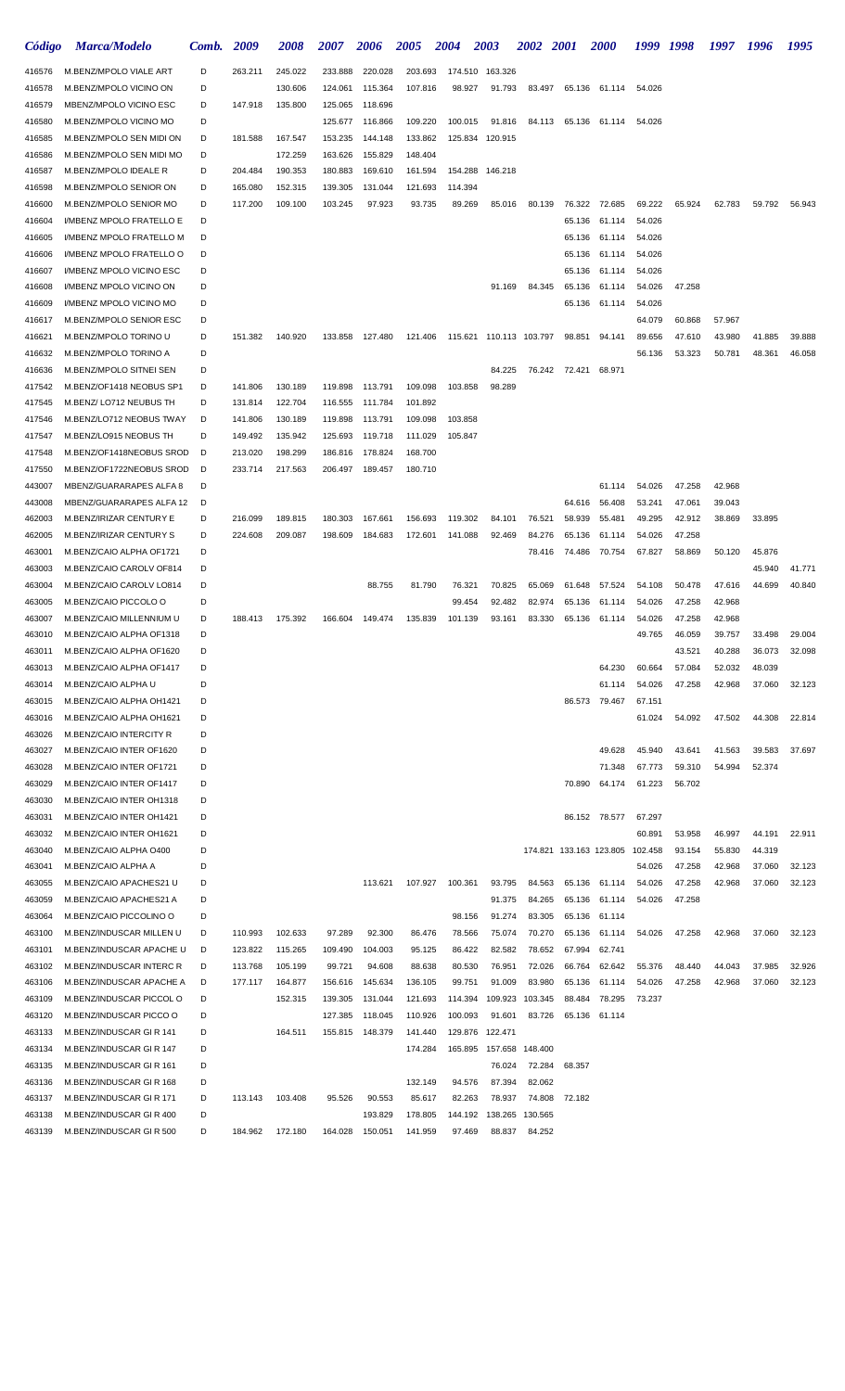| Código           | <b>Marca/Modelo</b>                                  | Comb.  | 2009               | <i><b>2008</b></i> | <i><b>2007</b></i> | 2006               | <i><b>2005</b></i> | <b>2004</b>        | 2003                    | <i><b>2002</b></i> | <b>2001</b>   | <i><b>2000</b></i>              | 1999             | -1998  | 1997   | 1996   | 1995   |
|------------------|------------------------------------------------------|--------|--------------------|--------------------|--------------------|--------------------|--------------------|--------------------|-------------------------|--------------------|---------------|---------------------------------|------------------|--------|--------|--------|--------|
| 416576           | M.BENZ/MPOLO VIALE ART                               | D      | 263.211            | 245.022            | 233.888            | 220.028            | 203.693            | 174.510            | 163.326                 |                    |               |                                 |                  |        |        |        |        |
| 416578           | M.BENZ/MPOLO VICINO ON                               | D      |                    | 130.606            | 124.061            | 115.364            | 107.816            | 98.927             | 91.793                  | 83.497             | 65.136        | 61.114                          | 54.026           |        |        |        |        |
| 416579           | MBENZ/MPOLO VICINO ESC                               | D      | 147.918            | 135.800            | 125.065            | 118.696            |                    |                    |                         |                    |               |                                 |                  |        |        |        |        |
| 416580           | M.BENZ/MPOLO VICINO MO                               | D      |                    |                    | 125.677            | 116.866            | 109.220            | 100.015            | 91.816                  |                    | 84.113 65.136 | 61.114                          | 54.026           |        |        |        |        |
| 416585           | M.BENZ/MPOLO SEN MIDI ON                             | D      | 181.588            | 167.547            | 153.235            | 144.148            | 133.862            |                    | 125.834 120.915         |                    |               |                                 |                  |        |        |        |        |
| 416586           | M.BENZ/MPOLO SEN MIDI MO                             | D      |                    | 172.259            | 163.626            | 155.829            | 148.404            |                    |                         |                    |               |                                 |                  |        |        |        |        |
| 416587           | M.BENZ/MPOLO IDEALE R                                | D      | 204.484            | 190.353            | 180.883            | 169.610            | 161.594            | 154.288            | 146.218                 |                    |               |                                 |                  |        |        |        |        |
| 416598           | M.BENZ/MPOLO SENIOR ON                               | D      | 165.080            | 152.315            | 139.305            | 131.044            | 121.693            | 114.394            |                         |                    |               |                                 |                  |        |        |        |        |
| 416600           | M.BENZ/MPOLO SENIOR MO                               | D      | 117.200            | 109.100            | 103.245            | 97.923             | 93.735             | 89.269             | 85.016                  | 80.139             | 76.322        | 72.685                          | 69.222           | 65.924 | 62.783 | 59.792 | 56.943 |
| 416604           | I/MBENZ MPOLO FRATELLO E                             | D      |                    |                    |                    |                    |                    |                    |                         |                    | 65.136        | 61.114                          | 54.026           |        |        |        |        |
| 416605           | I/MBENZ MPOLO FRATELLO M                             | D      |                    |                    |                    |                    |                    |                    |                         |                    | 65.136        | 61.114                          | 54.026           |        |        |        |        |
| 416606           | I/MBENZ MPOLO FRATELLO O                             | D      |                    |                    |                    |                    |                    |                    |                         |                    | 65.136        | 61.114                          | 54.026           |        |        |        |        |
| 416607           | I/MBENZ MPOLO VICINO ESC                             | D      |                    |                    |                    |                    |                    |                    |                         |                    | 65.136        | 61.114                          | 54.026           |        |        |        |        |
| 416608           | I/MBENZ MPOLO VICINO ON                              | D      |                    |                    |                    |                    |                    |                    | 91.169                  | 84.345             | 65.136        | 61.114                          | 54.026           | 47.258 |        |        |        |
| 416609           | I/MBENZ MPOLO VICINO MO                              | D      |                    |                    |                    |                    |                    |                    |                         |                    | 65.136        | 61.114                          | 54.026           |        |        |        |        |
| 416617           | M.BENZ/MPOLO SENIOR ESC                              | D      |                    |                    |                    |                    |                    |                    |                         |                    |               |                                 | 64.079           | 60.868 | 57.967 |        |        |
| 416621           | M.BENZ/MPOLO TORINO U                                | D      | 151.382            | 140.920            | 133.858            | 127.480            | 121.406            |                    | 115.621 110.113 103.797 |                    | 98.851        | 94.141                          | 89.656           | 47.610 | 43.980 | 41.885 | 39.888 |
| 416632           | M.BENZ/MPOLO TORINO A                                | D      |                    |                    |                    |                    |                    |                    |                         |                    |               |                                 | 56.136           | 53.323 | 50.781 | 48.361 | 46.058 |
| 416636           | M.BENZ/MPOLO SITNEI SEN                              | D      |                    |                    |                    |                    |                    |                    | 84.225                  | 76.242             | 72.421        | 68.971                          |                  |        |        |        |        |
| 417542           | M.BENZ/OF1418 NEOBUS SP1                             | D      | 141.806            | 130.189            | 119.898            | 113.791            | 109.098            | 103.858            | 98.289                  |                    |               |                                 |                  |        |        |        |        |
| 417545           | M.BENZ/LO712 NEUBUS TH                               | D      | 131.814            | 122.704            | 116.555            | 111.784            | 101.892            |                    |                         |                    |               |                                 |                  |        |        |        |        |
| 417546<br>417547 | M.BENZ/LO712 NEOBUS TWAY<br>M.BENZ/LO915 NEOBUS TH   | D<br>D | 141.806<br>149.492 | 130.189<br>135.942 | 119.898<br>125.693 | 113.791<br>119.718 | 109.098<br>111.029 | 103.858<br>105.847 |                         |                    |               |                                 |                  |        |        |        |        |
| 417548           | M.BENZ/OF1418NEOBUS SROD                             | D      | 213.020            | 198.299            | 186.816            | 178.824            | 168.700            |                    |                         |                    |               |                                 |                  |        |        |        |        |
| 417550           | M.BENZ/OF1722NEOBUS SROD                             | D      | 233.714            | 217.563            | 206.497            | 189.457            | 180.710            |                    |                         |                    |               |                                 |                  |        |        |        |        |
| 443007           | MBENZ/GUARARAPES ALFA 8                              | D      |                    |                    |                    |                    |                    |                    |                         |                    |               | 61.114                          | 54.026           | 47.258 | 42.968 |        |        |
| 443008           | MBENZ/GUARARAPES ALFA 12                             | D      |                    |                    |                    |                    |                    |                    |                         |                    | 64.616        | 56.408                          | 53.241           | 47.061 | 39.043 |        |        |
| 462003           | M.BENZ/IRIZAR CENTURY E                              | D      | 216.099            | 189.815            | 180.303            | 167.661            | 156.693            | 119.302            | 84.101                  | 76.521             | 58.939        | 55.481                          | 49.295           | 42.912 | 38.869 | 33.895 |        |
| 462005           | M.BENZ/IRIZAR CENTURY S                              | D      | 224.608            | 209.087            | 198.609            | 184.683            | 172.601            | 141.088            | 92.469                  | 84.276             | 65.136        | 61.114                          | 54.026           | 47.258 |        |        |        |
| 463001           | M.BENZ/CAIO ALPHA OF1721                             | D      |                    |                    |                    |                    |                    |                    |                         | 78.416             | 74.486        | 70.754                          | 67.827           | 58.869 | 50.120 | 45.876 |        |
| 463003           | M.BENZ/CAIO CAROLV OF814                             | D      |                    |                    |                    |                    |                    |                    |                         |                    |               |                                 |                  |        |        | 45.940 | 41.771 |
| 463004           | M.BENZ/CAIO CAROLV LO814                             | D      |                    |                    |                    | 88.755             | 81.790             | 76.321             | 70.825                  | 65.069             | 61.648        | 57.524                          | 54.108           | 50.478 | 47.616 | 44.699 | 40.840 |
| 463005           | M.BENZ/CAIO PICCOLO O                                | D      |                    |                    |                    |                    |                    | 99.454             | 92.482                  | 82.974             | 65.136        | 61.114                          | 54.026           | 47.258 | 42.968 |        |        |
| 463007           | M.BENZ/CAIO MILLENNIUM U                             | D      | 188.413            | 175.392            | 166.604            | 149.474            | 135.839            | 101.139            | 93.161                  | 83.330             | 65.136        | 61.114                          | 54.026           | 47.258 | 42.968 |        |        |
| 463010           | M.BENZ/CAIO ALPHA OF1318                             | D      |                    |                    |                    |                    |                    |                    |                         |                    |               |                                 | 49.765           | 46.059 | 39.757 | 33.498 | 29.004 |
| 463011           | M.BENZ/CAIO ALPHA OF1620                             | D      |                    |                    |                    |                    |                    |                    |                         |                    |               |                                 |                  | 43.521 | 40.288 | 36.073 | 32.098 |
| 463013           | M.BENZ/CAIO ALPHA OF1417                             | D      |                    |                    |                    |                    |                    |                    |                         |                    |               | 64.230                          | 60.664           | 57.084 | 52.032 | 48.039 |        |
| 463014           | M.BENZ/CAIO ALPHA U                                  | D      |                    |                    |                    |                    |                    |                    |                         |                    |               | 61.114                          | 54.026           | 47.258 | 42.968 | 37.060 | 32.123 |
| 463015           | M.BENZ/CAIO ALPHA OH1421                             | D      |                    |                    |                    |                    |                    |                    |                         |                    | 86.573        | 79.467                          | 67.151           |        |        |        |        |
| 463016           | M.BENZ/CAIO ALPHA OH1621                             | D      |                    |                    |                    |                    |                    |                    |                         |                    |               |                                 | 61.024           | 54.092 | 47.502 | 44.308 | 22.814 |
| 463026           | <b>M.BENZ/CAIO INTERCITY R</b>                       | D      |                    |                    |                    |                    |                    |                    |                         |                    |               |                                 |                  |        |        |        |        |
| 463027           | M.BENZ/CAIO INTER OF1620                             | D      |                    |                    |                    |                    |                    |                    |                         |                    |               | 49.628                          | 45.940           | 43.641 | 41.563 | 39.583 | 37.697 |
| 463028           | M.BENZ/CAIO INTER OF1721                             | D      |                    |                    |                    |                    |                    |                    |                         |                    |               | 71.348                          | 67.773           | 59.310 | 54.994 | 52.374 |        |
| 463029           | M.BENZ/CAIO INTER OF1417                             | D      |                    |                    |                    |                    |                    |                    |                         |                    | 70.890        | 64.174                          | 61.223           | 56.702 |        |        |        |
| 463030           | M.BENZ/CAIO INTER OH1318<br>M.BENZ/CAIO INTER OH1421 | D<br>D |                    |                    |                    |                    |                    |                    |                         |                    |               | 86.152 78.577                   |                  |        |        |        |        |
| 463031<br>463032 | M.BENZ/CAIO INTER OH1621                             | D      |                    |                    |                    |                    |                    |                    |                         |                    |               |                                 | 67.297<br>60.891 | 53.958 | 46.997 | 44.191 | 22.911 |
| 463040           | M.BENZ/CAIO ALPHA O400                               | D      |                    |                    |                    |                    |                    |                    |                         |                    |               | 174.821 133.163 123.805 102.458 |                  | 93.154 | 55.830 | 44.319 |        |
| 463041           | M.BENZ/CAIO ALPHA A                                  | D      |                    |                    |                    |                    |                    |                    |                         |                    |               |                                 | 54.026           | 47.258 | 42.968 | 37.060 | 32.123 |
| 463055           | M.BENZ/CAIO APACHES21 U                              | D      |                    |                    |                    | 113.621            | 107.927            | 100.361            | 93.795                  | 84.563             | 65.136        | 61.114                          | 54.026           | 47.258 | 42.968 | 37.060 | 32.123 |
| 463059           | M.BENZ/CAIO APACHES21 A                              | D      |                    |                    |                    |                    |                    |                    | 91.375                  | 84.265             | 65.136        | 61.114                          | 54.026           | 47.258 |        |        |        |
| 463064           | M.BENZ/CAIO PICCOLINO O                              | D      |                    |                    |                    |                    |                    | 98.156             | 91.274                  | 83.305             | 65.136        | 61.114                          |                  |        |        |        |        |
| 463100           | M.BENZ/INDUSCAR MILLEN U                             | D      | 110.993            | 102.633            | 97.289             | 92.300             | 86.476             | 78.566             | 75.074                  | 70.270             | 65.136        | 61.114                          | 54.026           | 47.258 | 42.968 | 37.060 | 32.123 |
| 463101           | M.BENZ/INDUSCAR APACHE U                             | D      | 123.822            | 115.265            | 109.490            | 104.003            | 95.125             | 86.422             | 82.582                  | 78.652             | 67.994        | 62.741                          |                  |        |        |        |        |
| 463102           | M.BENZ/INDUSCAR INTERC R                             | D      | 113.768            | 105.199            | 99.721             | 94.608             | 88.638             | 80.530             | 76.951                  | 72.026             | 66.764        | 62.642                          | 55.376           | 48.440 | 44.043 | 37.985 | 32.926 |
| 463106           | M.BENZ/INDUSCAR APACHE A                             | D      | 177.117            | 164.877            | 156.616            | 145.634            | 136.105            | 99.751             | 91.009                  | 83.980             | 65.136        | 61.114                          | 54.026           | 47.258 | 42.968 | 37.060 | 32.123 |
| 463109           | M.BENZ/INDUSCAR PICCOL O                             | D      |                    | 152.315            | 139.305            | 131.044            | 121.693            | 114.394            | 109.923                 | 103.345            | 88.484        | 78.295                          | 73.237           |        |        |        |        |
| 463120           | M.BENZ/INDUSCAR PICCO O                              | D      |                    |                    | 127.385            | 118.045            | 110.926            | 100.093            | 91.601                  | 83.726             | 65.136        | 61.114                          |                  |        |        |        |        |
| 463133           | M.BENZ/INDUSCAR GIR 141                              | D      |                    | 164.511            |                    | 155.815 148.379    | 141.440            |                    | 129.876 122.471         |                    |               |                                 |                  |        |        |        |        |
| 463134           | M.BENZ/INDUSCAR GIR 147                              | D      |                    |                    |                    |                    | 174.284            |                    | 165.895 157.658 148.400 |                    |               |                                 |                  |        |        |        |        |
| 463135           | M.BENZ/INDUSCAR GIR 161                              | D      |                    |                    |                    |                    |                    |                    | 76.024                  | 72.284             | 68.357        |                                 |                  |        |        |        |        |
| 463136           | M.BENZ/INDUSCAR GIR 168                              | D      |                    |                    |                    |                    | 132.149            | 94.576             | 87.394                  | 82.062             |               |                                 |                  |        |        |        |        |
| 463137           | M.BENZ/INDUSCAR GIR 171                              | D      | 113.143            | 103.408            | 95.526             | 90.553             | 85.617             | 82.263             | 78.937                  | 74.808             | 72.182        |                                 |                  |        |        |        |        |
| 463138           | M.BENZ/INDUSCAR GIR 400                              | D      |                    |                    |                    | 193.829            | 178.805            |                    | 144.192 138.265         | 130.565            |               |                                 |                  |        |        |        |        |
| 463139           | M.BENZ/INDUSCAR GIR 500                              | D      | 184.962            | 172.180            | 164.028            | 150.051            | 141.959            | 97.469             | 88.837                  | 84.252             |               |                                 |                  |        |        |        |        |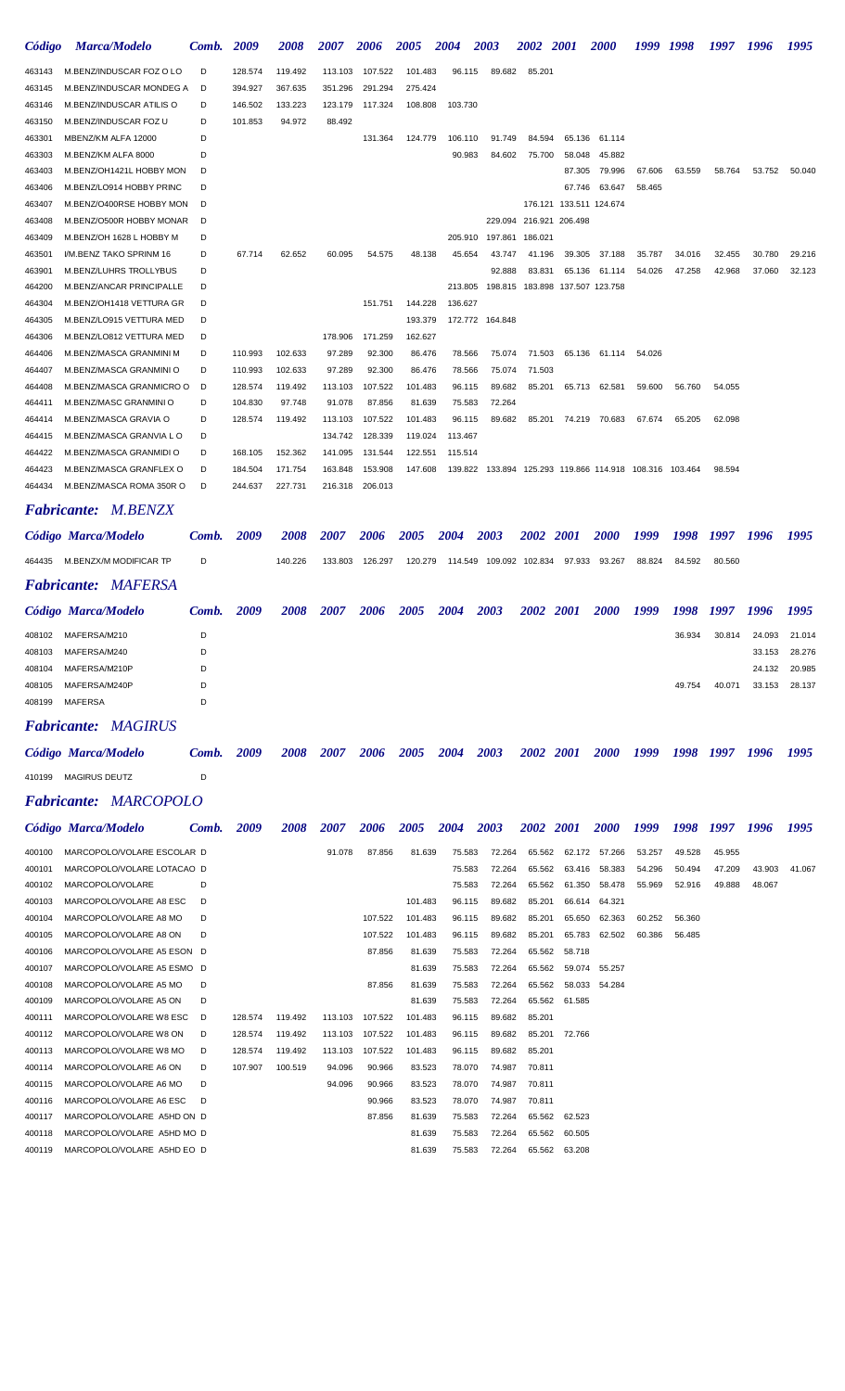| Código | <b>Marca/Modelo</b>           | Comb. 2009 |         | 2008    | 2007    | 2006    | 2005    | 2004    | 2003                                                          | 2002 2001                       |                         | <b>2000</b>          | 1999   | 1998   | 1997   | 1996   | 1995   |
|--------|-------------------------------|------------|---------|---------|---------|---------|---------|---------|---------------------------------------------------------------|---------------------------------|-------------------------|----------------------|--------|--------|--------|--------|--------|
| 463143 | M.BENZ/INDUSCAR FOZ O LO      | D          | 128.574 | 119.492 | 113.103 | 107.522 | 101.483 | 96.115  | 89.682                                                        | 85.201                          |                         |                      |        |        |        |        |        |
| 463145 | M.BENZ/INDUSCAR MONDEG A      | D          | 394.927 | 367.635 | 351.296 | 291.294 | 275.424 |         |                                                               |                                 |                         |                      |        |        |        |        |        |
| 463146 | M.BENZ/INDUSCAR ATILIS O      | D          | 146.502 | 133.223 | 123.179 | 117.324 | 108.808 | 103.730 |                                                               |                                 |                         |                      |        |        |        |        |        |
| 463150 | M.BENZ/INDUSCAR FOZ U         | D          | 101.853 | 94.972  | 88.492  |         |         |         |                                                               |                                 |                         |                      |        |        |        |        |        |
| 463301 | MBENZ/KM ALFA 12000           | D          |         |         |         | 131.364 | 124.779 | 106.110 | 91.749                                                        | 84.594                          | 65.136                  | 61.114               |        |        |        |        |        |
| 463303 | M.BENZ/KM ALFA 8000           | D          |         |         |         |         |         | 90.983  | 84.602                                                        | 75.700                          | 58.048                  | 45.882               |        |        |        |        |        |
| 463403 | M.BENZ/OH1421L HOBBY MON      | D          |         |         |         |         |         |         |                                                               |                                 | 87.305                  | 79.996               | 67.606 | 63.559 | 58.764 | 53.752 | 50.040 |
| 463406 | M.BENZ/LO914 HOBBY PRINC      | D          |         |         |         |         |         |         |                                                               |                                 | 67.746                  | 63.647               | 58.465 |        |        |        |        |
| 463407 | M.BENZ/O400RSE HOBBY MON      | D          |         |         |         |         |         |         |                                                               |                                 | 176.121 133.511 124.674 |                      |        |        |        |        |        |
| 463408 | M.BENZ/O500R HOBBY MONAR      | D          |         |         |         |         |         |         |                                                               | 229.094 216.921 206.498         |                         |                      |        |        |        |        |        |
| 463409 | M.BENZ/OH 1628 L HOBBY M      | D          |         |         |         |         |         | 205.910 |                                                               | 197.861 186.021                 |                         |                      |        |        |        |        |        |
| 463501 | I/M.BENZ TAKO SPRINM 16       | D          | 67.714  | 62.652  | 60.095  | 54.575  | 48.138  | 45.654  | 43.747                                                        | 41.196                          | 39.305                  | 37.188               | 35.787 | 34.016 | 32.455 | 30.780 | 29.216 |
| 463901 | <b>M.BENZ/LUHRS TROLLYBUS</b> | D          |         |         |         |         |         |         | 92.888                                                        | 83.831                          | 65.136                  | 61.114               | 54.026 | 47.258 | 42.968 | 37.060 | 32.123 |
| 464200 | M.BENZ/ANCAR PRINCIPALLE      | D          |         |         |         |         |         | 213.805 |                                                               | 198.815 183.898 137.507 123.758 |                         |                      |        |        |        |        |        |
| 464304 | M.BENZ/OH1418 VETTURA GR      | D          |         |         |         | 151.751 | 144.228 | 136.627 |                                                               |                                 |                         |                      |        |        |        |        |        |
| 464305 | M.BENZ/LO915 VETTURA MED      | D          |         |         |         |         | 193.379 |         | 172.772 164.848                                               |                                 |                         |                      |        |        |        |        |        |
| 464306 | M.BENZ/LO812 VETTURA MED      | D          |         |         | 178.906 | 171.259 | 162.627 |         |                                                               |                                 |                         |                      |        |        |        |        |        |
| 464406 | M.BENZ/MASCA GRANMINI M       | D          | 110.993 | 102.633 | 97.289  | 92.300  | 86.476  | 78.566  | 75.074                                                        | 71.503                          |                         | 65.136 61.114 54.026 |        |        |        |        |        |
| 464407 | M.BENZ/MASCA GRANMINI O       | D          | 110.993 | 102.633 | 97.289  | 92.300  | 86.476  | 78.566  | 75.074                                                        | 71.503                          |                         |                      |        |        |        |        |        |
| 464408 | M.BENZ/MASCA GRANMICRO O      | D          | 128.574 | 119.492 | 113.103 | 107.522 | 101.483 | 96.115  | 89.682                                                        | 85.201                          |                         | 65.713 62.581        | 59.600 | 56.760 | 54.055 |        |        |
| 464411 | M.BENZ/MASC GRANMINI O        | D          | 104.830 | 97.748  | 91.078  | 87.856  | 81.639  | 75.583  | 72.264                                                        |                                 |                         |                      |        |        |        |        |        |
| 464414 | M.BENZ/MASCA GRAVIA O         | D          | 128.574 | 119.492 | 113.103 | 107.522 | 101.483 | 96.115  | 89.682                                                        | 85.201                          | 74.219                  | 70.683               | 67.674 | 65.205 | 62.098 |        |        |
| 464415 | M.BENZ/MASCA GRANVIA LO       | D          |         |         | 134.742 | 128.339 | 119.024 | 113.467 |                                                               |                                 |                         |                      |        |        |        |        |        |
| 464422 | M.BENZ/MASCA GRANMIDI O       | D          | 168.105 | 152.362 | 141.095 | 131.544 | 122.551 | 115.514 |                                                               |                                 |                         |                      |        |        |        |        |        |
| 464423 | M.BENZ/MASCA GRANFLEX O       | D          | 184.504 | 171.754 | 163.848 | 153.908 | 147.608 |         | 139.822  133.894  125.293  119.866  114.918  108.316  103.464 |                                 |                         |                      |        |        | 98.594 |        |        |
| 464434 | M.BENZ/MASCA ROMA 350R O      | D          | 244.637 | 227.731 | 216.318 | 206.013 |         |         |                                                               |                                 |                         |                      |        |        |        |        |        |

#### *Fabricante: M.BENZX*

|        | Código Marca/Modelo        | Comb. | 2009 | <b>2008</b> | 2007    | 2006    | 2005    | <b>2004</b> | 2003 | 2002 2001       |             | <b>2000</b> | 1999   | 1998   | 1997   | 1996   | 1995   |
|--------|----------------------------|-------|------|-------------|---------|---------|---------|-------------|------|-----------------|-------------|-------------|--------|--------|--------|--------|--------|
| 464435 | M.BENZX/M MODIFICAR TP     | D     |      | 140.226     | 133.803 | 126.297 | 120.279 | 114.549     |      | 109.092 102.834 | 97.933      | 93.267      | 88.824 | 84.592 | 80.560 |        |        |
|        | <b>Fabricante: MAFERSA</b> |       |      |             |         |         |         |             |      |                 |             |             |        |        |        |        |        |
|        | Código Marca/Modelo        | Comb. | 2009 | 2008        | 2007    | 2006    | 2005    | 2004        | 2003 | 2002            | <b>2001</b> | <b>2000</b> | 1999   | 1998   | 1997   | 1996   | 1995   |
| 408102 | MAFERSA/M210               | D     |      |             |         |         |         |             |      |                 |             |             |        | 36.934 | 30.814 | 24.093 | 21.014 |
| 408103 | MAFERSA/M240               | D     |      |             |         |         |         |             |      |                 |             |             |        |        |        | 33.153 | 28.276 |
| 408104 | MAFERSA/M210P              | D     |      |             |         |         |         |             |      |                 |             |             |        |        |        | 24.132 | 20.985 |
| 408105 | MAFERSA/M240P              | D     |      |             |         |         |         |             |      |                 |             |             |        | 49.754 | 40.071 | 33.153 | 28.137 |
| 408199 | <b>MAFERSA</b>             | D     |      |             |         |         |         |             |      |                 |             |             |        |        |        |        |        |

#### *Fabricante: MAGIRUS*

|        | Código Marca/Modelo          | Comb. | 2009 | 2008 | 2007 | 2006 | 2005 | 2004 2003 | 2002 2001 | <b>2000</b> |  | 1999 1998 1997 1996 | - 1995 |
|--------|------------------------------|-------|------|------|------|------|------|-----------|-----------|-------------|--|---------------------|--------|
| 410199 | MAGIRUS DEUTZ                |       |      |      |      |      |      |           |           |             |  |                     |        |
|        | <b>Fabricante: MARCOPOLO</b> |       |      |      |      |      |      |           |           |             |  |                     |        |

|        | Código Marca/Modelo        | Comb. | 2009    | 2008    | 2007    | 2006    | 2005    | 2004   | 2003   | <b>2002</b> | <b>2001</b> | <b>2000</b>   | 1999   | 1998   | 1997   | 1996   | 1995   |
|--------|----------------------------|-------|---------|---------|---------|---------|---------|--------|--------|-------------|-------------|---------------|--------|--------|--------|--------|--------|
| 400100 | MARCOPOLO/VOLARE ESCOLAR D |       |         |         | 91.078  | 87.856  | 81.639  | 75.583 | 72.264 | 65.562      |             | 62.172 57.266 | 53.257 | 49.528 | 45.955 |        |        |
| 400101 | MARCOPOLO/VOLARE LOTACAO D |       |         |         |         |         |         | 75.583 | 72.264 | 65.562      | 63.416      | 58.383        | 54.296 | 50.494 | 47.209 | 43.903 | 41.067 |
| 400102 | MARCOPOLO/VOLARE           | D     |         |         |         |         |         | 75.583 | 72.264 | 65.562      | 61.350      | 58.478        | 55.969 | 52.916 | 49.888 | 48.067 |        |
| 400103 | MARCOPOLO/VOLARE A8 ESC    | D     |         |         |         |         | 101.483 | 96.115 | 89.682 | 85.201      |             | 66.614 64.321 |        |        |        |        |        |
| 400104 | MARCOPOLO/VOLARE A8 MO     | D     |         |         |         | 107.522 | 101.483 | 96.115 | 89.682 | 85.201      | 65.650      | 62.363        | 60.252 | 56.360 |        |        |        |
| 400105 | MARCOPOLO/VOLARE A8 ON     | D     |         |         |         | 107.522 | 101.483 | 96.115 | 89.682 | 85.201      | 65.783      | 62.502        | 60.386 | 56.485 |        |        |        |
| 400106 | MARCOPOLO/VOLARE A5 ESON D |       |         |         |         | 87.856  | 81.639  | 75.583 | 72.264 | 65.562      | 58.718      |               |        |        |        |        |        |
| 400107 | MARCOPOLO/VOLARE A5 ESMO D |       |         |         |         |         | 81.639  | 75.583 | 72.264 | 65.562      | 59.074      | 55.257        |        |        |        |        |        |
| 400108 | MARCOPOLO/VOLARE A5 MO     | D     |         |         |         | 87.856  | 81.639  | 75.583 | 72.264 | 65.562      |             | 58.033 54.284 |        |        |        |        |        |
| 400109 | MARCOPOLO/VOLARE A5 ON     | D     |         |         |         |         | 81.639  | 75.583 | 72.264 | 65.562      | 61.585      |               |        |        |        |        |        |
| 400111 | MARCOPOLO/VOLARE W8 ESC    | D     | 128.574 | 119.492 | 113.103 | 107.522 | 101.483 | 96.115 | 89.682 | 85.201      |             |               |        |        |        |        |        |
| 400112 | MARCOPOLO/VOLARE W8 ON     | D     | 128,574 | 119.492 | 113.103 | 107.522 | 101.483 | 96.115 | 89.682 | 85.201      | 72.766      |               |        |        |        |        |        |
| 400113 | MARCOPOLO/VOLARE W8 MO     | D     | 128.574 | 119.492 | 113.103 | 107.522 | 101.483 | 96.115 | 89.682 | 85.201      |             |               |        |        |        |        |        |
| 400114 | MARCOPOLO/VOLARE A6 ON     | D     | 107.907 | 100.519 | 94.096  | 90.966  | 83.523  | 78.070 | 74.987 | 70.811      |             |               |        |        |        |        |        |
| 400115 | MARCOPOLO/VOLARE A6 MO     | D     |         |         | 94.096  | 90.966  | 83.523  | 78.070 | 74.987 | 70.811      |             |               |        |        |        |        |        |
| 400116 | MARCOPOLO/VOLARE A6 ESC    | D     |         |         |         | 90.966  | 83.523  | 78.070 | 74.987 | 70.811      |             |               |        |        |        |        |        |
| 400117 | MARCOPOLO/VOLARE A5HD ON D |       |         |         |         | 87.856  | 81.639  | 75.583 | 72.264 | 65.562      | 62.523      |               |        |        |        |        |        |
| 400118 | MARCOPOLO/VOLARE A5HD MO D |       |         |         |         |         | 81.639  | 75.583 | 72.264 | 65.562      | 60.505      |               |        |        |        |        |        |
| 400119 | MARCOPOLO/VOLARE A5HD EO D |       |         |         |         |         | 81.639  | 75.583 | 72.264 | 65.562      | 63.208      |               |        |        |        |        |        |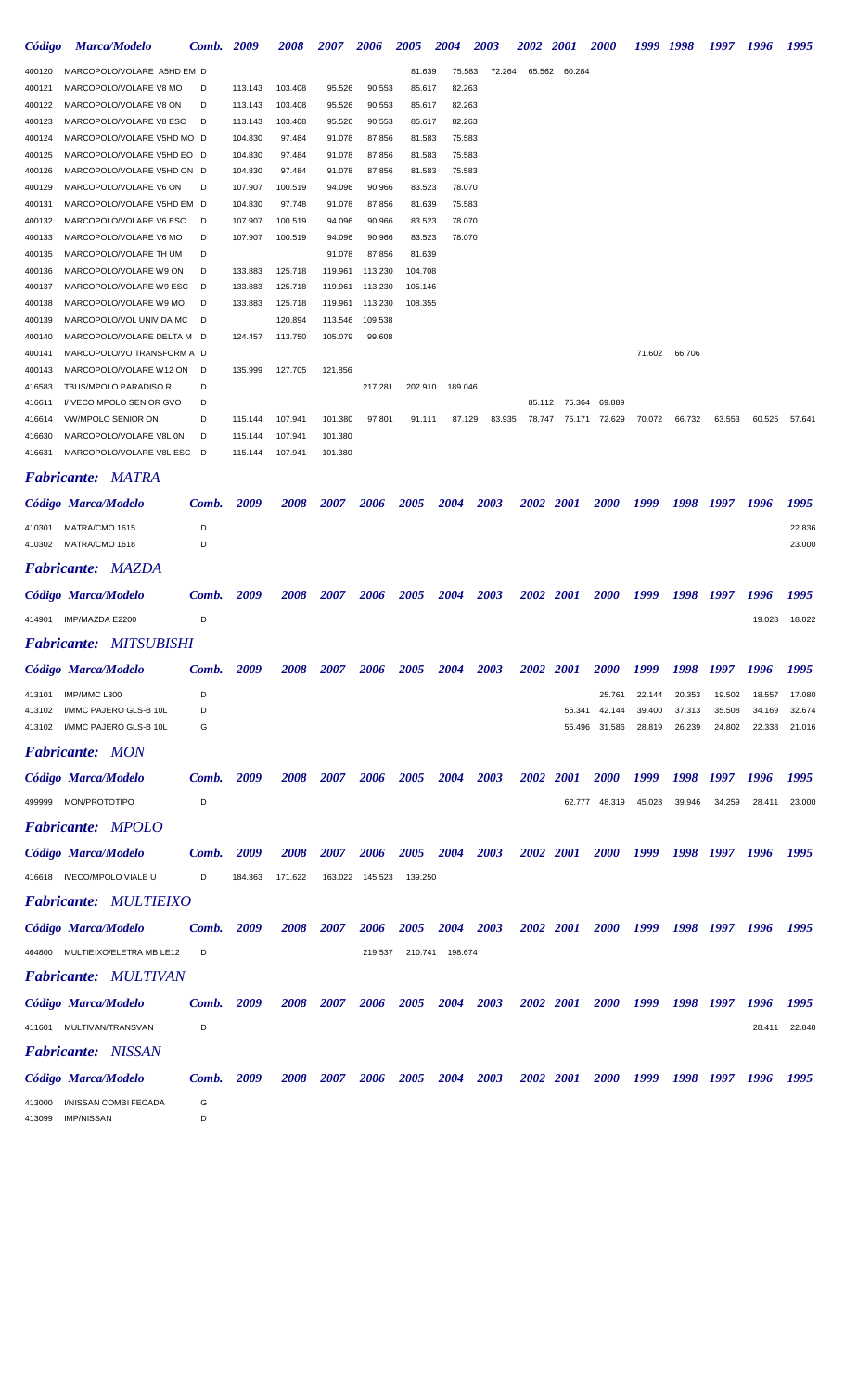| Código           | <b>Marca/Modelo</b>                                    | Comb.      | 2009               | <i><b>2008</b></i> | <i><b>2007</b></i> | 2006              | 2005             | <b>2004</b>      | 2003        | <i><b>2002</b></i> | <b>2001</b> | <i><b>2000</b></i> | 1999   | 1998                | 1997           | 1996   | 1995   |
|------------------|--------------------------------------------------------|------------|--------------------|--------------------|--------------------|-------------------|------------------|------------------|-------------|--------------------|-------------|--------------------|--------|---------------------|----------------|--------|--------|
| 400120           | MARCOPOLO/VOLARE A5HD EM D                             |            |                    |                    |                    |                   | 81.639           | 75.583           | 72.264      | 65.562             | 60.284      |                    |        |                     |                |        |        |
| 400121           | MARCOPOLO/VOLARE V8 MO                                 | D          | 113.143            | 103.408            | 95.526             | 90.553            | 85.617           | 82.263           |             |                    |             |                    |        |                     |                |        |        |
| 400122           | MARCOPOLO/VOLARE V8 ON                                 | D          | 113.143            | 103.408            | 95.526             | 90.553            | 85.617           | 82.263           |             |                    |             |                    |        |                     |                |        |        |
| 400123           | MARCOPOLO/VOLARE V8 ESC                                | D          | 113.143            | 103.408            | 95.526             | 90.553            | 85.617           | 82.263           |             |                    |             |                    |        |                     |                |        |        |
| 400124           | MARCOPOLO/VOLARE V5HD MO D                             |            | 104.830            | 97.484             | 91.078             | 87.856            | 81.583           | 75.583           |             |                    |             |                    |        |                     |                |        |        |
| 400125           | MARCOPOLO/VOLARE V5HD EO D                             |            | 104.830            | 97.484             | 91.078             | 87.856            | 81.583           | 75.583           |             |                    |             |                    |        |                     |                |        |        |
| 400126<br>400129 | MARCOPOLO/VOLARE V5HD ON D<br>MARCOPOLO/VOLARE V6 ON   | D          | 104.830<br>107.907 | 97.484<br>100.519  | 91.078<br>94.096   | 87.856<br>90.966  | 81.583<br>83.523 | 75.583<br>78.070 |             |                    |             |                    |        |                     |                |        |        |
| 400131           | MARCOPOLO/VOLARE V5HD EM D                             |            | 104.830            | 97.748             | 91.078             | 87.856            | 81.639           | 75.583           |             |                    |             |                    |        |                     |                |        |        |
| 400132           | MARCOPOLO/VOLARE V6 ESC                                | D          | 107.907            | 100.519            | 94.096             | 90.966            | 83.523           | 78.070           |             |                    |             |                    |        |                     |                |        |        |
| 400133           | MARCOPOLO/VOLARE V6 MO                                 | D          | 107.907            | 100.519            | 94.096             | 90.966            | 83.523           | 78.070           |             |                    |             |                    |        |                     |                |        |        |
| 400135           | MARCOPOLO/VOLARE TH UM                                 | D          |                    |                    | 91.078             | 87.856            | 81.639           |                  |             |                    |             |                    |        |                     |                |        |        |
| 400136           | MARCOPOLO/VOLARE W9 ON                                 | D          | 133.883            | 125.718            | 119.961            | 113.230           | 104.708          |                  |             |                    |             |                    |        |                     |                |        |        |
| 400137           | MARCOPOLO/VOLARE W9 ESC                                | D          | 133.883            | 125.718            | 119.961            | 113.230           | 105.146          |                  |             |                    |             |                    |        |                     |                |        |        |
| 400138           | MARCOPOLO/VOLARE W9 MO                                 | D          | 133.883            | 125.718            | 119.961            | 113.230           | 108.355          |                  |             |                    |             |                    |        |                     |                |        |        |
| 400139<br>400140 | MARCOPOLO/VOL UNIVIDA MC<br>MARCOPOLO/VOLARE DELTA M D | D          | 124.457            | 120.894<br>113.750 | 113.546<br>105.079 | 109.538<br>99.608 |                  |                  |             |                    |             |                    |        |                     |                |        |        |
| 400141           | MARCOPOLO/VO TRANSFORM A D                             |            |                    |                    |                    |                   |                  |                  |             |                    |             |                    | 71.602 | 66.706              |                |        |        |
| 400143           | MARCOPOLO/VOLARE W12 ON                                | D          | 135.999            | 127.705            | 121.856            |                   |                  |                  |             |                    |             |                    |        |                     |                |        |        |
| 416583           | TBUS/MPOLO PARADISO R                                  | D          |                    |                    |                    | 217.281           | 202.910          | 189.046          |             |                    |             |                    |        |                     |                |        |        |
| 416611           | I/IVECO MPOLO SENIOR GVO                               | D          |                    |                    |                    |                   |                  |                  |             | 85.112             | 75.364      | 69.889             |        |                     |                |        |        |
| 416614           | VW/MPOLO SENIOR ON                                     | D          | 115.144            | 107.941            | 101.380            | 97.801            | 91.111           | 87.129           | 83.935      | 78.747             | 75.171      | 72.629             | 70.072 | 66.732              | 63.553         | 60.525 | 57.641 |
| 416630           | MARCOPOLO/VOLARE V8L 0N                                | D          | 115.144            | 107.941            | 101.380            |                   |                  |                  |             |                    |             |                    |        |                     |                |        |        |
| 416631           | MARCOPOLO/VOLARE V8L ESC                               | D          | 115.144            | 107.941            | 101.380            |                   |                  |                  |             |                    |             |                    |        |                     |                |        |        |
|                  | <b>Fabricante: MATRA</b>                               |            |                    |                    |                    |                   |                  |                  |             |                    |             |                    |        |                     |                |        |        |
|                  | Código Marca/Modelo                                    | Comb.      | 2009               | <i><b>2008</b></i> | <i><b>2007</b></i> | 2006              | 2005             | 2004             | 2003        |                    | 2002 2001   | <i><b>2000</b></i> | 1999   | 1998                | 1997           | 1996   | 1995   |
| 410301           | MATRA/CMO 1615                                         | D          |                    |                    |                    |                   |                  |                  |             |                    |             |                    |        |                     |                |        | 22.836 |
| 410302           | MATRA/CMO 1618                                         | D          |                    |                    |                    |                   |                  |                  |             |                    |             |                    |        |                     |                |        | 23.000 |
|                  | <b>Fabricante: MAZDA</b>                               |            |                    |                    |                    |                   |                  |                  |             |                    |             |                    |        |                     |                |        |        |
|                  | Código Marca/Modelo                                    | Comb.      | 2009               | <i><b>2008</b></i> | <i><b>2007</b></i> | 2006              | 2005             | 2004             | <b>2003</b> |                    | 2002 2001   | <i><b>2000</b></i> | 1999   | 1998                | 1997           | 1996   | 1995   |
| 414901           | IMP/MAZDA E2200                                        | D          |                    |                    |                    |                   |                  |                  |             |                    |             |                    |        |                     |                | 19.028 | 18.022 |
|                  | <b>Fabricante: MITSUBISHI</b>                          |            |                    |                    |                    |                   |                  |                  |             |                    |             |                    |        |                     |                |        |        |
|                  |                                                        |            |                    |                    |                    |                   |                  |                  |             |                    |             |                    |        |                     |                |        |        |
|                  | Código Marca/Modelo                                    | Comb.      | 2009               | <i><b>2008</b></i> | <i><b>2007</b></i> | 2006              | 2005             | 2004             | 2003        |                    | 2002 2001   | <i><b>2000</b></i> | 1999   | 1998                | 1997           | 1996   | 1995   |
| 413101           | IMP/MMC L300                                           | D          |                    |                    |                    |                   |                  |                  |             |                    |             | 25.761             | 22.144 | 20.353              | 19.502         | 18.557 | 17.080 |
| 413102           | I/MMC PAJERO GLS-B 10L                                 | D          |                    |                    |                    |                   |                  |                  |             |                    | 56.341      | 42.144             | 39.400 | 37.313              | 35.508         | 34.169 | 32.674 |
|                  | 413102 I/MMC PAJERO GLS-B 10L                          | G          |                    |                    |                    |                   |                  |                  |             |                    | 55.496      | 31.586             | 28.819 | 26.239              | 24.802         | 22.338 | 21.016 |
|                  | <b>Fabricante: MON</b>                                 |            |                    |                    |                    |                   |                  |                  |             |                    |             |                    |        |                     |                |        |        |
|                  | Código Marca/Modelo                                    | Comb. 2009 |                    | <b>2008</b>        | <b>2007</b>        | 2006              | <b>2005</b>      | <b>2004</b>      | 2003        |                    | 2002 2001   | <b>2000</b>        | 1999   | 1998                | 1997           | 1996   | 1995   |
|                  | 499999 MON/PROTOTIPO                                   | D          |                    |                    |                    |                   |                  |                  |             |                    | 62.777      | 48.319             | 45.028 | 39.946              | 34.259         | 28.411 | 23.000 |
|                  |                                                        |            |                    |                    |                    |                   |                  |                  |             |                    |             |                    |        |                     |                |        |        |
|                  | <b>Fabricante: MPOLO</b>                               |            |                    |                    |                    |                   |                  |                  |             |                    |             |                    |        |                     |                |        |        |
|                  | Código Marca/Modelo                                    | Comb.      | 2009               | <i><b>2008</b></i> | <i><b>2007</b></i> | 2006              | 2005             | 2004             | <b>2003</b> |                    | 2002 2001   | <i>2000</i>        | 1999   | 1998                | 1997           | 1996   | 1995   |
|                  |                                                        |            |                    |                    |                    |                   |                  |                  |             |                    |             |                    |        |                     |                |        |        |
|                  | 416618 IVECO/MPOLO VIALE U                             | D          | 184.363            | 171.622            | 163.022            | 145.523           | 139.250          |                  |             |                    |             |                    |        |                     |                |        |        |
|                  | <b>Fabricante: MULTIEIXO</b>                           |            |                    |                    |                    |                   |                  |                  |             |                    |             |                    |        |                     |                |        |        |
|                  | Código Marca/Modelo                                    | Comb.      | 2009               | <b>2008</b>        | <b>2007</b>        | 2006              | <b>2005</b>      | <b>2004</b>      | <b>2003</b> |                    | 2002 2001   | <b>2000</b>        |        | 1999 1998 1997 1996 |                |        | 1995   |
|                  | 464800 MULTIEIXO/ELETRA MB LE12                        | D          |                    |                    |                    | 219.537           |                  | 210.741 198.674  |             |                    |             |                    |        |                     |                |        |        |
|                  |                                                        |            |                    |                    |                    |                   |                  |                  |             |                    |             |                    |        |                     |                |        |        |
|                  | <b>Fabricante: MULTIVAN</b>                            |            |                    |                    |                    |                   |                  |                  |             |                    |             |                    |        |                     |                |        |        |
|                  | Código Marca/Modelo                                    | Comb.      | 2009               | 2008               | <b>2007</b>        | 2006              | <b>2005</b>      | 2004             | 2003        |                    | 2002 2001   | <i>2000</i>        | 1999   | 1998                | 1997           | 1996   | 1995   |
|                  | 411601 MULTIVAN/TRANSVAN                               | D          |                    |                    |                    |                   |                  |                  |             |                    |             |                    |        |                     |                | 28.411 | 22.848 |
|                  |                                                        |            |                    |                    |                    |                   |                  |                  |             |                    |             |                    |        |                     |                |        |        |
|                  | <b>Fabricante:</b> NISSAN                              |            |                    |                    |                    |                   |                  |                  |             |                    |             |                    |        |                     |                |        |        |
|                  | Código Marca/Modelo                                    | Comb.      | 2009               | <b>2008</b>        | 2007               | 2006              | 2005             | <b>2004</b>      | 2003        |                    | 2002 2001   | <b>2000</b>        | 1999   |                     | 1998 1997 1996 |        | 1995   |
| 413000<br>413099 | I/NISSAN COMBI FECADA<br><b>IMP/NISSAN</b>             | G<br>D     |                    |                    |                    |                   |                  |                  |             |                    |             |                    |        |                     |                |        |        |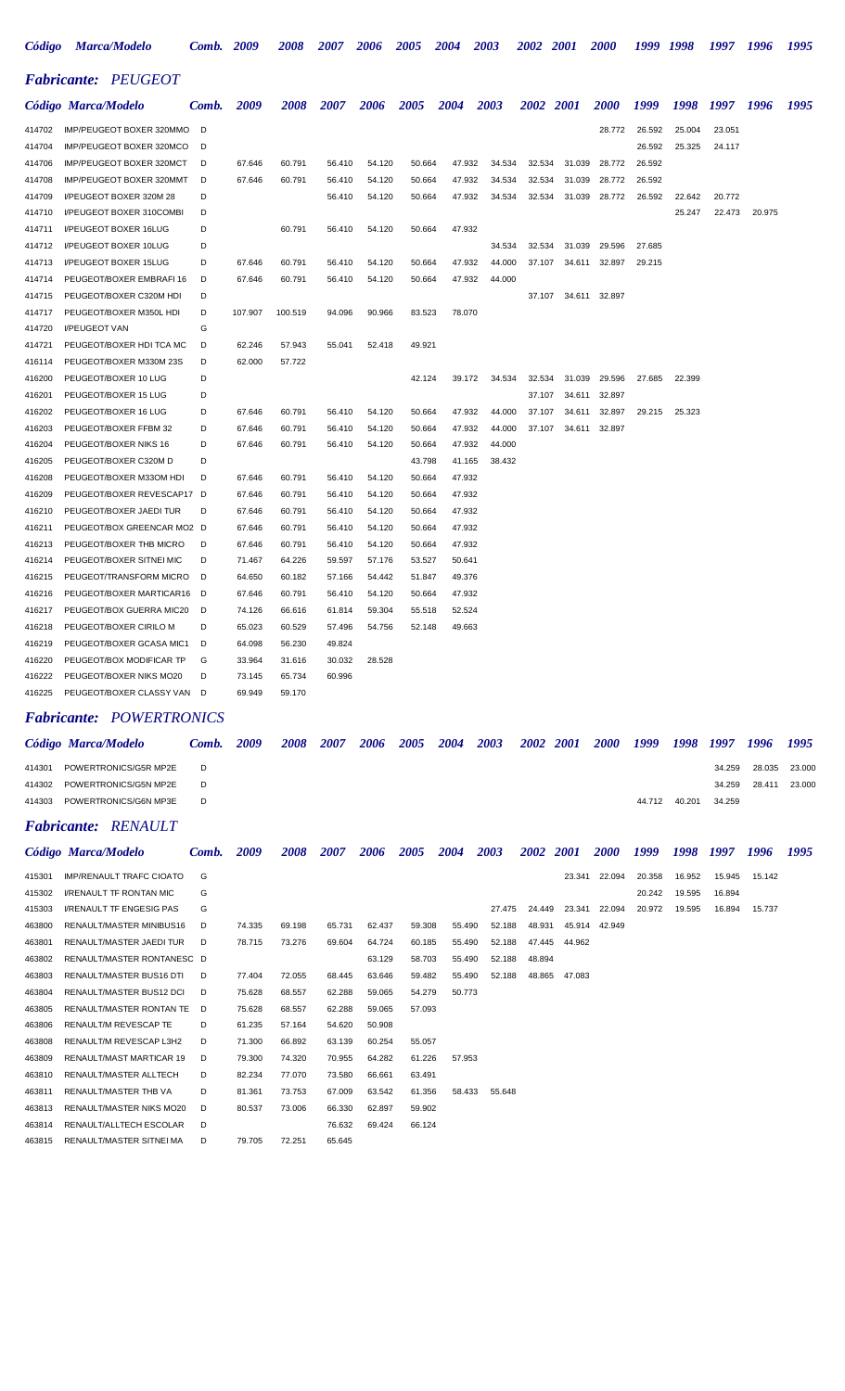| Código           | <b>Marca/Modelo</b>                                   | Comb.  | 2009             | <i><b>2008</b></i> | <i><b>2007</b></i> | 2006             | 2005             | 2004             | 2003   | <i><b>2002</b></i> | <b>2001</b> | <i><b>2000</b></i> | 1999   | 1998   | 1997   | 1996   | 1995   |
|------------------|-------------------------------------------------------|--------|------------------|--------------------|--------------------|------------------|------------------|------------------|--------|--------------------|-------------|--------------------|--------|--------|--------|--------|--------|
|                  | <b>Fabricante: PEUGEOT</b>                            |        |                  |                    |                    |                  |                  |                  |        |                    |             |                    |        |        |        |        |        |
|                  | Código Marca/Modelo                                   | Comb.  | 2009             | <i><b>2008</b></i> | 2007               | 2006             | 2005             | 2004             | 2003   | 2002 2001          |             | <i><b>2000</b></i> | 1999   | 1998   | 1997   | 1996   | 1995   |
| 414702           | IMP/PEUGEOT BOXER 320MMO                              | D      |                  |                    |                    |                  |                  |                  |        |                    |             | 28.772             | 26.592 | 25.004 | 23.051 |        |        |
| 414704           | IMP/PEUGEOT BOXER 320MCO                              | D      |                  |                    |                    |                  |                  |                  |        |                    |             |                    | 26.592 | 25.325 | 24.117 |        |        |
| 414706           | IMP/PEUGEOT BOXER 320MCT                              | D      | 67.646           | 60.791             | 56.410             | 54.120           | 50.664           | 47.932           | 34.534 | 32.534             | 31.039      | 28.772             | 26.592 |        |        |        |        |
| 414708           | IMP/PEUGEOT BOXER 320MMT                              | D      | 67.646           | 60.791             | 56.410             | 54.120           | 50.664           | 47.932           | 34.534 | 32.534             | 31.039      | 28.772             | 26.592 |        |        |        |        |
| 414709           | I/PEUGEOT BOXER 320M 28                               | D      |                  |                    | 56.410             | 54.120           | 50.664           | 47.932           | 34.534 | 32.534             | 31.039      | 28.772             | 26.592 | 22.642 | 20.772 |        |        |
| 414710           | <b>I/PEUGEOT BOXER 310COMBI</b>                       | D      |                  |                    |                    |                  |                  |                  |        |                    |             |                    |        | 25.247 | 22.473 | 20.975 |        |
| 414711<br>414712 | <b>I/PEUGEOT BOXER 16LUG</b><br>I/PEUGEOT BOXER 10LUG | D<br>D |                  | 60.791             | 56.410             | 54.120           | 50.664           | 47.932           | 34.534 | 32.534             | 31.039      | 29.596             | 27.685 |        |        |        |        |
| 414713           | <b>I/PEUGEOT BOXER 15LUG</b>                          | D      | 67.646           | 60.791             | 56.410             | 54.120           | 50.664           | 47.932           | 44.000 | 37.107             | 34.611      | 32.897             | 29.215 |        |        |        |        |
| 414714           | PEUGEOT/BOXER EMBRAFI 16                              | D      | 67.646           | 60.791             | 56.410             | 54.120           | 50.664           | 47.932           | 44.000 |                    |             |                    |        |        |        |        |        |
| 414715           | PEUGEOT/BOXER C320M HDI                               | D      |                  |                    |                    |                  |                  |                  |        | 37.107             | 34.611      | 32.897             |        |        |        |        |        |
| 414717           | PEUGEOT/BOXER M350L HDI                               | D      | 107.907          | 100.519            | 94.096             | 90.966           | 83.523           | 78.070           |        |                    |             |                    |        |        |        |        |        |
| 414720           | <b>I/PEUGEOT VAN</b>                                  | G      |                  |                    |                    |                  |                  |                  |        |                    |             |                    |        |        |        |        |        |
| 414721           | PEUGEOT/BOXER HDI TCA MC                              | D      | 62.246           | 57.943             | 55.041             | 52.418           | 49.921           |                  |        |                    |             |                    |        |        |        |        |        |
| 416114           | PEUGEOT/BOXER M330M 23S                               | D      | 62.000           | 57.722             |                    |                  |                  |                  |        |                    |             |                    |        |        |        |        |        |
| 416200           | PEUGEOT/BOXER 10 LUG                                  | D      |                  |                    |                    |                  | 42.124           | 39.172           | 34.534 | 32.534             | 31.039      | 29.596             | 27.685 | 22.399 |        |        |        |
| 416201           | PEUGEOT/BOXER 15 LUG                                  | D      |                  |                    |                    |                  |                  |                  |        | 37.107             | 34.611      | 32.897             |        |        |        |        |        |
| 416202           | PEUGEOT/BOXER 16 LUG                                  | D      | 67.646           | 60.791             | 56.410             | 54.120           | 50.664           | 47.932           | 44.000 | 37.107             | 34.611      | 32.897             | 29.215 | 25.323 |        |        |        |
| 416203           | PEUGEOT/BOXER FFBM 32                                 | D      | 67.646           | 60.791             | 56.410             | 54.120           | 50.664           | 47.932           | 44.000 | 37.107             | 34.611      | 32.897             |        |        |        |        |        |
| 416204           | PEUGEOT/BOXER NIKS 16                                 | D      | 67.646           | 60.791             | 56.410             | 54.120           | 50.664           | 47.932           | 44.000 |                    |             |                    |        |        |        |        |        |
| 416205<br>416208 | PEUGEOT/BOXER C320M D                                 | D<br>D | 67.646           | 60.791             | 56.410             | 54.120           | 43.798<br>50.664 | 41.165           | 38.432 |                    |             |                    |        |        |        |        |        |
| 416209           | PEUGEOT/BOXER M33OM HDI<br>PEUGEOT/BOXER REVESCAP17   | D      | 67.646           | 60.791             | 56.410             | 54.120           | 50.664           | 47.932<br>47.932 |        |                    |             |                    |        |        |        |        |        |
| 416210           | PEUGEOT/BOXER JAEDI TUR                               | D      | 67.646           | 60.791             | 56.410             | 54.120           | 50.664           | 47.932           |        |                    |             |                    |        |        |        |        |        |
| 416211           | PEUGEOT/BOX GREENCAR MO2                              | D      | 67.646           | 60.791             | 56.410             | 54.120           | 50.664           | 47.932           |        |                    |             |                    |        |        |        |        |        |
| 416213           | PEUGEOT/BOXER THB MICRO                               | D      | 67.646           | 60.791             | 56.410             | 54.120           | 50.664           | 47.932           |        |                    |             |                    |        |        |        |        |        |
| 416214           | PEUGEOT/BOXER SITNEI MIC                              | D      | 71.467           | 64.226             | 59.597             | 57.176           | 53.527           | 50.641           |        |                    |             |                    |        |        |        |        |        |
| 416215           | PEUGEOT/TRANSFORM MICRO                               | D      | 64.650           | 60.182             | 57.166             | 54.442           | 51.847           | 49.376           |        |                    |             |                    |        |        |        |        |        |
| 416216           | PEUGEOT/BOXER MARTICAR16                              | D      | 67.646           | 60.791             | 56.410             | 54.120           | 50.664           | 47.932           |        |                    |             |                    |        |        |        |        |        |
| 416217           | PEUGEOT/BOX GUERRA MIC20                              | D      | 74.126           | 66.616             | 61.814             | 59.304           | 55.518           | 52.524           |        |                    |             |                    |        |        |        |        |        |
| 416218           | PEUGEOT/BOXER CIRILO M                                | D      | 65.023           | 60.529             | 57.496             | 54.756           | 52.148           | 49.663           |        |                    |             |                    |        |        |        |        |        |
| 416219           | PEUGEOT/BOXER GCASA MIC1                              | D      | 64.098           | 56.230             | 49.824             |                  |                  |                  |        |                    |             |                    |        |        |        |        |        |
| 416220           | PEUGEOT/BOX MODIFICAR TP                              | G      | 33.964           | 31.616             | 30.032             | 28.528           |                  |                  |        |                    |             |                    |        |        |        |        |        |
| 416222           | PEUGEOT/BOXER NIKS MO20                               | D      | 73.145           | 65.734             | 60.996             |                  |                  |                  |        |                    |             |                    |        |        |        |        |        |
| 416225           | PEUGEOT/BOXER CLASSY VAN                              | D      | 69.949           | 59.170             |                    |                  |                  |                  |        |                    |             |                    |        |        |        |        |        |
|                  | <b>Fabricante: POWERTRONICS</b>                       |        |                  |                    |                    |                  |                  |                  |        |                    |             |                    |        |        |        |        |        |
|                  | Código Marca/Modelo                                   | Comb.  | 2009             | 2008               | 2007               | 2006             | 2005             | 2004             | 2003   | 2002 2001          |             | <b>2000</b>        | 1999   | 1998   | 1997   | 1996   | 1995   |
| 414301           | POWERTRONICS/G5R MP2E                                 | D      |                  |                    |                    |                  |                  |                  |        |                    |             |                    |        |        | 34.259 | 28.035 | 23.000 |
| 414302           | POWERTRONICS/G5N MP2E                                 | D      |                  |                    |                    |                  |                  |                  |        |                    |             |                    |        |        | 34.259 | 28.411 | 23.000 |
| 414303           | POWERTRONICS/G6N MP3E                                 | D      |                  |                    |                    |                  |                  |                  |        |                    |             |                    | 44.712 | 40.201 | 34.259 |        |        |
|                  | <b>Fabricante: RENAULT</b>                            |        |                  |                    |                    |                  |                  |                  |        |                    |             |                    |        |        |        |        |        |
|                  | Código Marca/Modelo                                   | Comb.  | 2009             | 2008               | 2007               | 2006             | 2005             | 2004             | 2003   | <b>2002</b>        | <b>2001</b> | <b>2000</b>        | 1999   | 1998   | 1997   | 1996   | 1995   |
| 415301           | <b>IMP/RENAULT TRAFC CIOATO</b>                       | G      |                  |                    |                    |                  |                  |                  |        |                    | 23.341      | 22.094             | 20.358 | 16.952 | 15.945 | 15.142 |        |
| 415302           | <b>I/RENAULT TF RONTAN MIC</b>                        | G      |                  |                    |                    |                  |                  |                  |        |                    |             |                    | 20.242 | 19.595 | 16.894 |        |        |
| 415303           | <b>I/RENAULT TF ENGESIG PAS</b>                       | G      |                  |                    |                    |                  |                  |                  | 27.475 | 24.449             | 23.341      | 22.094             | 20.972 | 19.595 | 16.894 | 15.737 |        |
| 463800           | RENAULT/MASTER MINIBUS16                              | D      | 74.335           | 69.198             | 65.731             | 62.437           | 59.308           | 55.490           | 52.188 | 48.931             | 45.914      | 42.949             |        |        |        |        |        |
| 463801           | RENAULT/MASTER JAEDI TUR                              | D      | 78.715           | 73.276             | 69.604             | 64.724           | 60.185           | 55.490           | 52.188 | 47.445             | 44.962      |                    |        |        |        |        |        |
| 463802           | RENAULT/MASTER RONTANESC D                            |        |                  |                    |                    | 63.129           | 58.703           | 55.490           | 52.188 | 48.894             |             |                    |        |        |        |        |        |
| 463803           | RENAULT/MASTER BUS16 DTI                              | D      | 77.404           | 72.055             | 68.445             | 63.646           | 59.482           | 55.490           | 52.188 | 48.865             | 47.083      |                    |        |        |        |        |        |
| 463804           | RENAULT/MASTER BUS12 DCI                              | D      | 75.628           | 68.557             | 62.288             | 59.065           | 54.279           | 50.773           |        |                    |             |                    |        |        |        |        |        |
| 463805<br>463806 | RENAULT/MASTER RONTAN TE<br>RENAULT/M REVESCAP TE     | D<br>D | 75.628<br>61.235 | 68.557<br>57.164   | 62.288<br>54.620   | 59.065<br>50.908 | 57.093           |                  |        |                    |             |                    |        |        |        |        |        |
| 463808           | RENAULT/M REVESCAP L3H2                               | D      | 71.300           | 66.892             | 63.139             | 60.254           | 55.057           |                  |        |                    |             |                    |        |        |        |        |        |
| 463809           | RENAULT/MAST MARTICAR 19                              | D      | 79.300           | 74.320             | 70.955             | 64.282           | 61.226           | 57.953           |        |                    |             |                    |        |        |        |        |        |
| 463810           | RENAULT/MASTER ALLTECH                                | D      | 82.234           | 77.070             | 73.580             | 66.661           | 63.491           |                  |        |                    |             |                    |        |        |        |        |        |
| 463811           | RENAULT/MASTER THB VA                                 | D      | 81.361           | 73.753             | 67.009             | 63.542           | 61.356           | 58.433           | 55.648 |                    |             |                    |        |        |        |        |        |
| 463813           | RENAULT/MASTER NIKS MO20                              | D      | 80.537           | 73.006             | 66.330             | 62.897           | 59.902           |                  |        |                    |             |                    |        |        |        |        |        |
| 463814           | RENAULT/ALLTECH ESCOLAR                               | D      |                  |                    | 76.632             | 69.424           | 66.124           |                  |        |                    |             |                    |        |        |        |        |        |

RENAULT/MASTER SITNEI MA D 79.705 72.251 65.645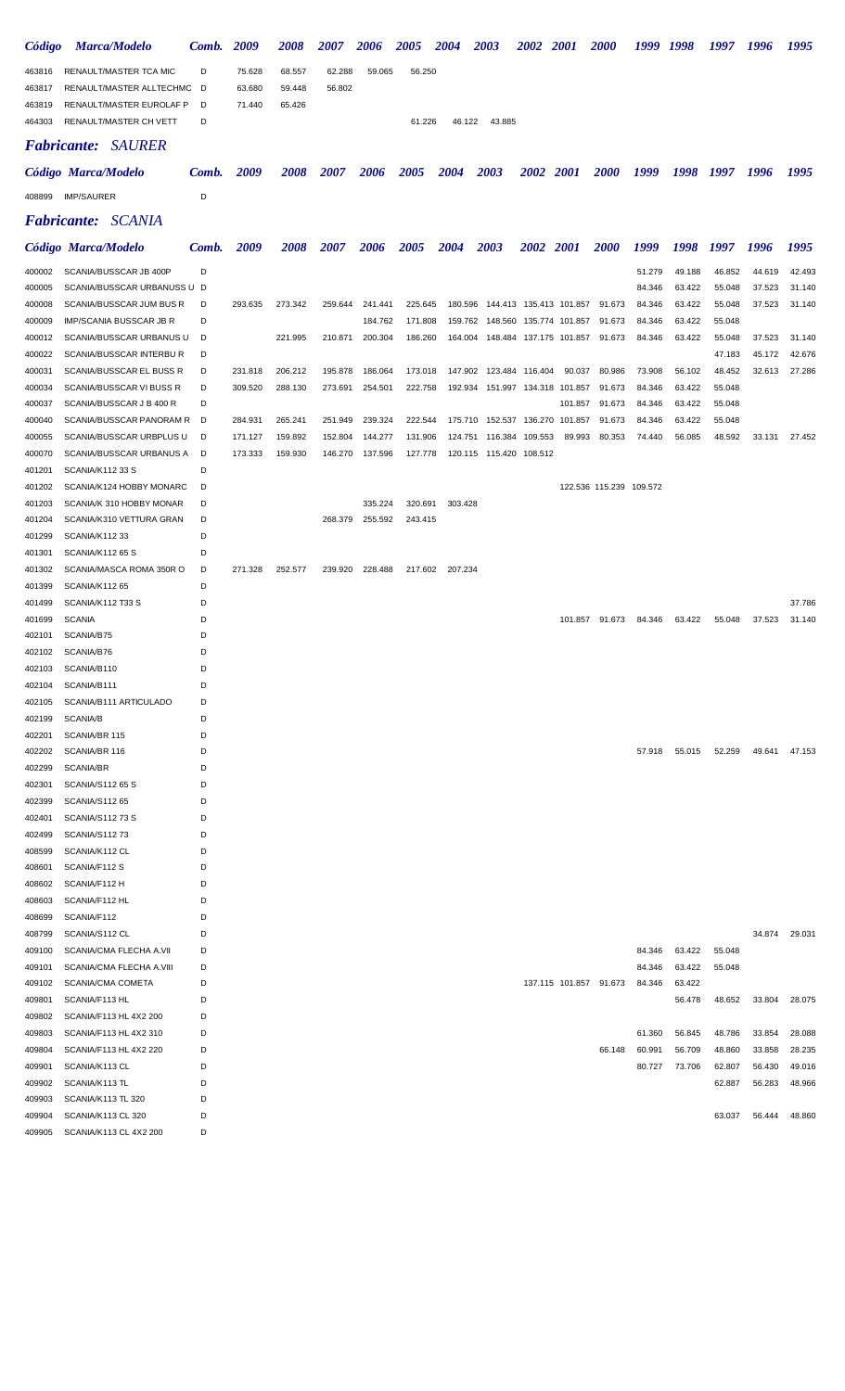| Código           | <b>Marca/Modelo</b>                                  | Comb.  | 2009    | <i><b>2008</b></i> | <i><b>2007</b></i> | 2006               | <b>2005</b>        | <b>2004</b> | <b>2003</b>                        | <i><b>2002</b></i> | 2001            | <i><b>2000</b></i>      | 1999   | 1998             | 1997             | 1996   | 1995   |
|------------------|------------------------------------------------------|--------|---------|--------------------|--------------------|--------------------|--------------------|-------------|------------------------------------|--------------------|-----------------|-------------------------|--------|------------------|------------------|--------|--------|
| 463816           | RENAULT/MASTER TCA MIC                               | D      | 75.628  | 68.557             | 62.288             | 59.065             | 56.250             |             |                                    |                    |                 |                         |        |                  |                  |        |        |
| 463817           | RENAULT/MASTER ALLTECHMC                             | D      | 63.680  | 59.448             | 56.802             |                    |                    |             |                                    |                    |                 |                         |        |                  |                  |        |        |
| 463819           | RENAULT/MASTER EUROLAF P                             | D      | 71.440  | 65.426             |                    |                    |                    |             |                                    |                    |                 |                         |        |                  |                  |        |        |
| 464303           | RENAULT/MASTER CH VETT                               | D      |         |                    |                    |                    | 61.226             | 46.122      | 43.885                             |                    |                 |                         |        |                  |                  |        |        |
|                  | <b>Fabricante: SAURER</b>                            |        |         |                    |                    |                    |                    |             |                                    |                    |                 |                         |        |                  |                  |        |        |
|                  | Código Marca/Modelo                                  | Comb.  | 2009    | <i><b>2008</b></i> | 2007               | 2006               | 2005               | 2004        | 2003                               | 2002 2001          |                 | <i>2000</i>             | 1999   | 1998             | 1997             | 1996   | 1995   |
| 408899           | <b>IMP/SAURER</b>                                    | D      |         |                    |                    |                    |                    |             |                                    |                    |                 |                         |        |                  |                  |        |        |
|                  | <b>Fabricante: SCANIA</b>                            |        |         |                    |                    |                    |                    |             |                                    |                    |                 |                         |        |                  |                  |        |        |
|                  | Código Marca/Modelo                                  | Comb.  | 2009    | <i><b>2008</b></i> | 2007               | 2006               | <i><b>2005</b></i> | 2004        | <i><b>2003</b></i>                 | <i><b>2002</b></i> | 2001            | <i><b>2000</b></i>      | 1999   | 1998             | 1997             | 1996   | 1995   |
| 400002           | SCANIA/BUSSCAR JB 400P                               | D      |         |                    |                    |                    |                    |             |                                    |                    |                 |                         | 51.279 | 49.188           | 46.852           | 44.619 | 42.493 |
| 400005           | SCANIA/BUSSCAR URBANUSS U D                          |        |         |                    |                    |                    |                    |             |                                    |                    |                 |                         | 84.346 | 63.422           | 55.048           | 37.523 | 31.140 |
| 400008           | SCANIA/BUSSCAR JUM BUS R                             | D      | 293.635 | 273.342            | 259.644            | 241.441            | 225.645            |             | 180.596  144.413  135.413  101.857 |                    |                 | 91.673                  | 84.346 | 63.422           | 55.048           | 37.523 | 31.140 |
| 400009           | IMP/SCANIA BUSSCAR JB R                              | D      |         |                    |                    | 184.762            | 171.808            | 159.762     | 148.560                            |                    | 135.774 101.857 | 91.673                  | 84.346 | 63.422           | 55.048           |        |        |
| 400012           | SCANIA/BUSSCAR URBANUS U                             | D      |         | 221.995            | 210.871            | 200.304            | 186.260            |             | 164.004 148.484 137.175 101.857    |                    |                 | 91.673                  | 84.346 | 63.422           | 55.048           | 37.523 | 31.140 |
| 400022           | SCANIA/BUSSCAR INTERBU R                             | D      |         |                    |                    |                    |                    |             |                                    |                    |                 |                         |        |                  | 47.183           | 45.172 | 42.676 |
| 400031           | SCANIA/BUSSCAR EL BUSS R                             | D      | 231.818 | 206.212            | 195.878            | 186.064            | 173.018            | 147.902     |                                    | 123.484 116.404    | 90.037          | 80.986                  | 73.908 | 56.102           | 48.452           | 32.613 | 27.286 |
| 400034           | SCANIA/BUSSCAR VI BUSS R                             | D      | 309.520 | 288.130            | 273.691            | 254.501            | 222.758            |             | 192.934 151.997 134.318 101.857    |                    |                 | 91.673                  | 84.346 | 63.422           | 55.048           |        |        |
| 400037           | SCANIA/BUSSCAR J B 400 R                             | D      |         |                    |                    |                    |                    |             |                                    |                    | 101.857         | 91.673                  | 84.346 | 63.422           | 55.048           |        |        |
| 400040           | SCANIA/BUSSCAR PANORAM R                             | D      | 284.931 | 265.241            | 251.949            | 239.324            | 222.544            | 175.710     | 152.537                            | 136,270            | 101.857         | 91.673                  | 84.346 | 63.422           | 55.048           |        |        |
| 400055           | SCANIA/BUSSCAR URBPLUS U                             | D      | 171.127 | 159.892            | 152.804            | 144.277            | 131.906            | 124.751     | 116.384                            | 109.553            | 89.993          | 80.353                  | 74.440 | 56.085           | 48.592           | 33.131 | 27.452 |
| 400070           | SCANIA/BUSSCAR URBANUS A                             | D      | 173.333 | 159.930            | 146.270            | 137.596            | 127.778            |             | 120.115 115.420                    | 108.512            |                 |                         |        |                  |                  |        |        |
| 401201           | <b>SCANIA/K112 33 S</b>                              | D      |         |                    |                    |                    |                    |             |                                    |                    |                 |                         |        |                  |                  |        |        |
| 401202           | SCANIA/K124 HOBBY MONARC                             | D      |         |                    |                    |                    |                    |             |                                    |                    |                 | 122.536 115.239 109.572 |        |                  |                  |        |        |
| 401203<br>401204 | SCANIA/K 310 HOBBY MONAR<br>SCANIA/K310 VETTURA GRAN | D<br>D |         |                    | 268.379            | 335.224<br>255.592 | 320.691<br>243.415 | 303.428     |                                    |                    |                 |                         |        |                  |                  |        |        |
| 401299           | <b>SCANIA/K11233</b>                                 | D      |         |                    |                    |                    |                    |             |                                    |                    |                 |                         |        |                  |                  |        |        |
| 401301           | <b>SCANIA/K112 65 S</b>                              | D      |         |                    |                    |                    |                    |             |                                    |                    |                 |                         |        |                  |                  |        |        |
| 401302           | SCANIA/MASCA ROMA 350R O                             | D      | 271.328 | 252.577            | 239.920            | 228.488            | 217.602            | 207.234     |                                    |                    |                 |                         |        |                  |                  |        |        |
| 401399           | <b>SCANIA/K112 65</b>                                | D      |         |                    |                    |                    |                    |             |                                    |                    |                 |                         |        |                  |                  |        |        |
| 401499           | SCANIA/K112 T33 S                                    | D      |         |                    |                    |                    |                    |             |                                    |                    |                 |                         |        |                  |                  |        | 37.786 |
| 401699           | <b>SCANIA</b>                                        | D      |         |                    |                    |                    |                    |             |                                    |                    | 101.857         | 91.673                  | 84.346 | 63.422           | 55.048           | 37.523 | 31.140 |
| 402101           | SCANIA/B75                                           | D      |         |                    |                    |                    |                    |             |                                    |                    |                 |                         |        |                  |                  |        |        |
| 402102           | SCANIA/B76                                           | D      |         |                    |                    |                    |                    |             |                                    |                    |                 |                         |        |                  |                  |        |        |
| 402103           | SCANIA/B110                                          | D      |         |                    |                    |                    |                    |             |                                    |                    |                 |                         |        |                  |                  |        |        |
| 402104           | SCANIA/B111                                          | D      |         |                    |                    |                    |                    |             |                                    |                    |                 |                         |        |                  |                  |        |        |
| 402105           | SCANIA/B111 ARTICULADO                               | D      |         |                    |                    |                    |                    |             |                                    |                    |                 |                         |        |                  |                  |        |        |
| 402199           | SCANIA/B                                             | D      |         |                    |                    |                    |                    |             |                                    |                    |                 |                         |        |                  |                  |        |        |
| 402201           | SCANIA/BR 115                                        | D      |         |                    |                    |                    |                    |             |                                    |                    |                 |                         |        |                  |                  |        |        |
| 402202           | SCANIA/BR 116                                        | D      |         |                    |                    |                    |                    |             |                                    |                    |                 |                         | 57.918 | 55.015           | 52.259           | 49.641 | 47.153 |
| 402299           | SCANIA/BR                                            | D      |         |                    |                    |                    |                    |             |                                    |                    |                 |                         |        |                  |                  |        |        |
| 402301           | <b>SCANIA/S112 65 S</b>                              | D      |         |                    |                    |                    |                    |             |                                    |                    |                 |                         |        |                  |                  |        |        |
| 402399           | SCANIA/S112 65                                       | D      |         |                    |                    |                    |                    |             |                                    |                    |                 |                         |        |                  |                  |        |        |
| 402401           | <b>SCANIA/S11273 S</b>                               | D      |         |                    |                    |                    |                    |             |                                    |                    |                 |                         |        |                  |                  |        |        |
| 402499           | <b>SCANIA/S11273</b>                                 | D      |         |                    |                    |                    |                    |             |                                    |                    |                 |                         |        |                  |                  |        |        |
| 408599           | SCANIA/K112 CL                                       | D      |         |                    |                    |                    |                    |             |                                    |                    |                 |                         |        |                  |                  |        |        |
| 408601           | SCANIA/F112 S                                        | D      |         |                    |                    |                    |                    |             |                                    |                    |                 |                         |        |                  |                  |        |        |
| 408602           | SCANIA/F112 H                                        | D      |         |                    |                    |                    |                    |             |                                    |                    |                 |                         |        |                  |                  |        |        |
| 408603           | SCANIA/F112 HL                                       | D      |         |                    |                    |                    |                    |             |                                    |                    |                 |                         |        |                  |                  |        |        |
| 408699           | SCANIA/F112                                          | D      |         |                    |                    |                    |                    |             |                                    |                    |                 |                         |        |                  |                  |        |        |
| 408799           | SCANIA/S112 CL                                       | D      |         |                    |                    |                    |                    |             |                                    |                    |                 |                         |        |                  |                  | 34.874 | 29.031 |
| 409100           | SCANIA/CMA FLECHA A.VII                              | D<br>D |         |                    |                    |                    |                    |             |                                    |                    |                 |                         | 84.346 | 63.422           | 55.048<br>55.048 |        |        |
| 409101           | SCANIA/CMA FLECHA A.VIII                             |        |         |                    |                    |                    |                    |             |                                    |                    |                 |                         | 84.346 | 63.422           |                  |        |        |
| 409102<br>409801 | SCANIA/CMA COMETA<br>SCANIA/F113 HL                  | D<br>D |         |                    |                    |                    |                    |             |                                    |                    | 137.115 101.857 | 91.673                  | 84.346 | 63.422<br>56.478 | 48.652           | 33.804 | 28.075 |
| 409802           | SCANIA/F113 HL 4X2 200                               | D      |         |                    |                    |                    |                    |             |                                    |                    |                 |                         |        |                  |                  |        |        |
| 409803           | SCANIA/F113 HL 4X2 310                               | D      |         |                    |                    |                    |                    |             |                                    |                    |                 |                         | 61.360 | 56.845           | 48.786           | 33.854 | 28.088 |
| 409804           | SCANIA/F113 HL 4X2 220                               | D      |         |                    |                    |                    |                    |             |                                    |                    |                 | 66.148                  | 60.991 | 56.709           | 48.860           | 33.858 | 28.235 |
| 409901           | SCANIA/K113 CL                                       | D      |         |                    |                    |                    |                    |             |                                    |                    |                 |                         | 80.727 | 73.706           | 62.807           | 56.430 | 49.016 |
| 409902           | SCANIA/K113 TL                                       | D      |         |                    |                    |                    |                    |             |                                    |                    |                 |                         |        |                  | 62.887           | 56.283 | 48.966 |
| 409903           | SCANIA/K113 TL 320                                   | D      |         |                    |                    |                    |                    |             |                                    |                    |                 |                         |        |                  |                  |        |        |
| 409904           | SCANIA/K113 CL 320                                   | D      |         |                    |                    |                    |                    |             |                                    |                    |                 |                         |        |                  | 63.037           | 56.444 | 48.860 |
| 409905           | SCANIA/K113 CL 4X2 200                               | D      |         |                    |                    |                    |                    |             |                                    |                    |                 |                         |        |                  |                  |        |        |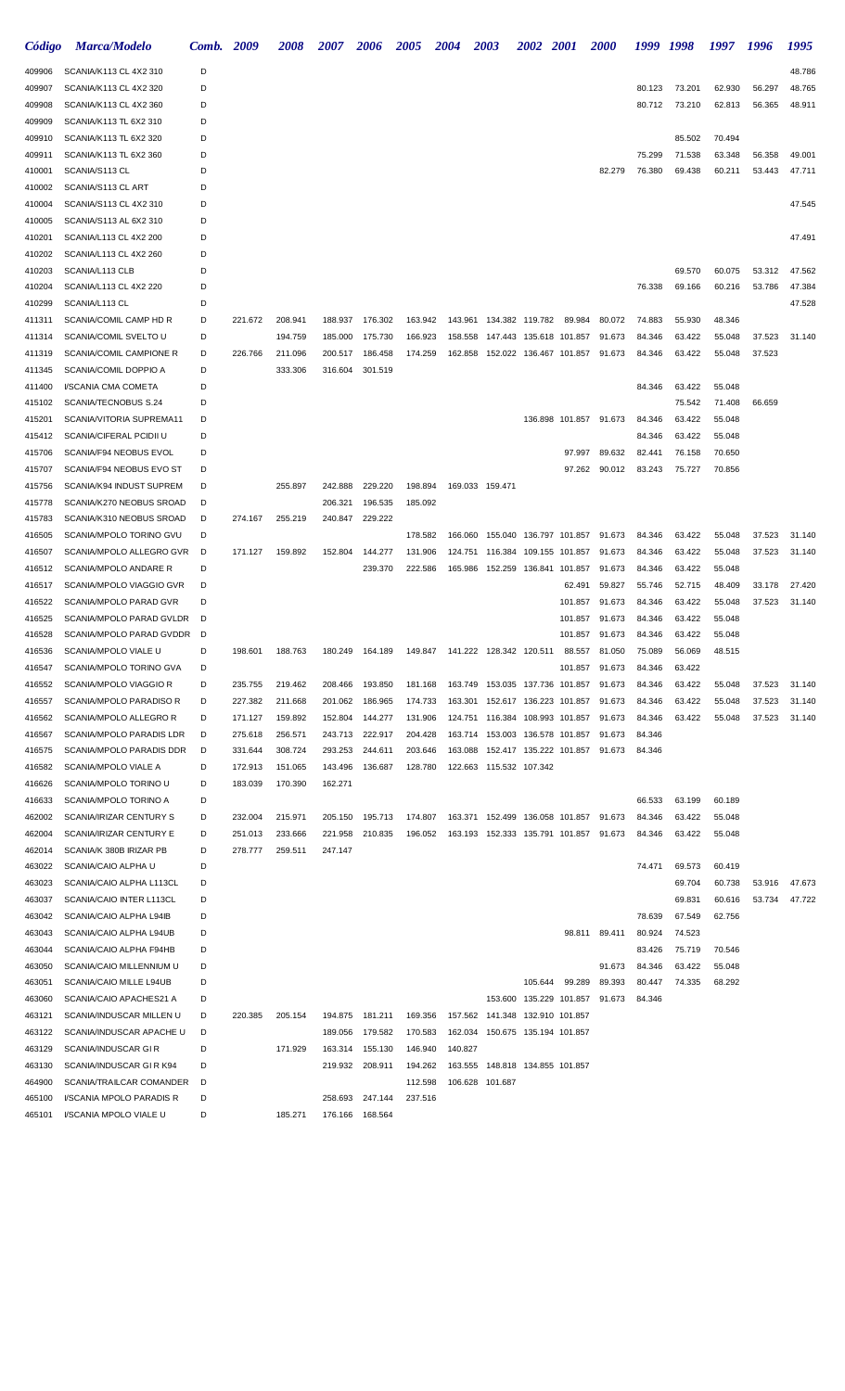| Código           | <b>Marca/Modelo</b>                                  | Comb.  | 2009               | <i><b>2008</b></i> | 2007               | <i><b>2006</b></i> | <i><b>2005</b></i> | 2004    | <i><b>2003</b></i>                 | <i>2002</i>     | <i>2001</i>             | <i><b>2000</b></i> | 1999             | 1998   | 1997   | 1996   | 1995   |
|------------------|------------------------------------------------------|--------|--------------------|--------------------|--------------------|--------------------|--------------------|---------|------------------------------------|-----------------|-------------------------|--------------------|------------------|--------|--------|--------|--------|
| 409906           | SCANIA/K113 CL 4X2 310                               | D      |                    |                    |                    |                    |                    |         |                                    |                 |                         |                    |                  |        |        |        | 48.786 |
| 409907           | SCANIA/K113 CL 4X2 320                               | D      |                    |                    |                    |                    |                    |         |                                    |                 |                         |                    | 80.123           | 73.201 | 62.930 | 56.297 | 48.765 |
| 409908           | SCANIA/K113 CL 4X2 360                               | D      |                    |                    |                    |                    |                    |         |                                    |                 |                         |                    | 80.712           | 73.210 | 62.813 | 56.365 | 48.911 |
| 409909           | SCANIA/K113 TL 6X2 310                               | D      |                    |                    |                    |                    |                    |         |                                    |                 |                         |                    |                  |        |        |        |        |
| 409910           | SCANIA/K113 TL 6X2 320                               | D      |                    |                    |                    |                    |                    |         |                                    |                 |                         |                    |                  | 85.502 | 70.494 |        |        |
| 409911           | SCANIA/K113 TL 6X2 360                               | D      |                    |                    |                    |                    |                    |         |                                    |                 |                         |                    | 75.299           | 71.538 | 63.348 | 56.358 | 49.001 |
| 410001           | SCANIA/S113 CL<br>SCANIA/S113 CL ART                 | D      |                    |                    |                    |                    |                    |         |                                    |                 |                         | 82.279             | 76.380           | 69.438 | 60.211 | 53.443 | 47.711 |
| 410002<br>410004 | SCANIA/S113 CL 4X2 310                               | D<br>D |                    |                    |                    |                    |                    |         |                                    |                 |                         |                    |                  |        |        |        | 47.545 |
| 410005           | SCANIA/S113 AL 6X2 310                               | D      |                    |                    |                    |                    |                    |         |                                    |                 |                         |                    |                  |        |        |        |        |
| 410201           | SCANIA/L113 CL 4X2 200                               | D      |                    |                    |                    |                    |                    |         |                                    |                 |                         |                    |                  |        |        |        | 47.491 |
| 410202           | SCANIA/L113 CL 4X2 260                               | D      |                    |                    |                    |                    |                    |         |                                    |                 |                         |                    |                  |        |        |        |        |
| 410203           | SCANIA/L113 CLB                                      | D      |                    |                    |                    |                    |                    |         |                                    |                 |                         |                    |                  | 69.570 | 60.075 | 53.312 | 47.562 |
| 410204           | SCANIA/L113 CL 4X2 220                               | D      |                    |                    |                    |                    |                    |         |                                    |                 |                         |                    | 76.338           | 69.166 | 60.216 | 53.786 | 47.384 |
| 410299           | SCANIA/L113 CL                                       | D      |                    |                    |                    |                    |                    |         |                                    |                 |                         |                    |                  |        |        |        | 47.528 |
| 411311           | SCANIA/COMIL CAMP HD R                               | D      | 221.672            | 208.941            | 188.937            | 176.302            | 163.942            | 143.961 |                                    | 134.382 119.782 | 89.984                  | 80.072             | 74.883           | 55.930 | 48.346 |        |        |
| 411314           | SCANIA/COMIL SVELTO U                                | D      |                    | 194.759            | 185.000            | 175.730            | 166.923            | 158.558 |                                    |                 | 147.443 135.618 101.857 | 91.673             | 84.346           | 63.422 | 55.048 | 37.523 | 31.140 |
| 411319           | SCANIA/COMIL CAMPIONE R                              | D      | 226.766            | 211.096            | 200.517            | 186.458            | 174.259            | 162.858 |                                    |                 | 152.022 136.467 101.857 | 91.673             | 84.346           | 63.422 | 55.048 | 37.523 |        |
| 411345           | SCANIA/COMIL DOPPIO A                                | D      |                    | 333.306            | 316.604            | 301.519            |                    |         |                                    |                 |                         |                    |                  |        |        |        |        |
| 411400           | I/SCANIA CMA COMETA                                  | D      |                    |                    |                    |                    |                    |         |                                    |                 |                         |                    | 84.346           | 63.422 | 55.048 |        |        |
| 415102           | SCANIA/TECNOBUS S.24                                 | D      |                    |                    |                    |                    |                    |         |                                    |                 |                         |                    |                  | 75.542 | 71.408 | 66.659 |        |
| 415201           | SCANIA/VITORIA SUPREMA11                             | D      |                    |                    |                    |                    |                    |         |                                    |                 | 136.898 101.857         | 91.673             | 84.346           | 63.422 | 55.048 |        |        |
| 415412           | SCANIA/CIFERAL PCIDII U                              | D      |                    |                    |                    |                    |                    |         |                                    |                 |                         |                    | 84.346           | 63.422 | 55.048 |        |        |
| 415706           | SCANIA/F94 NEOBUS EVOL                               | D      |                    |                    |                    |                    |                    |         |                                    |                 | 97.997                  | 89.632             | 82.441           | 76.158 | 70.650 |        |        |
| 415707<br>415756 | SCANIA/F94 NEOBUS EVO ST<br>SCANIA/K94 INDUST SUPREM | D<br>D |                    | 255.897            | 242.888            | 229.220            | 198.894            |         | 169.033 159.471                    |                 | 97.262                  | 90.012             | 83.243           | 75.727 | 70.856 |        |        |
| 415778           | SCANIA/K270 NEOBUS SROAD                             | D      |                    |                    | 206.321            | 196.535            | 185.092            |         |                                    |                 |                         |                    |                  |        |        |        |        |
| 415783           | SCANIA/K310 NEOBUS SROAD                             | D      | 274.167            | 255.219            | 240.847            | 229.222            |                    |         |                                    |                 |                         |                    |                  |        |        |        |        |
| 416505           | SCANIA/MPOLO TORINO GVU                              | D      |                    |                    |                    |                    | 178.582            | 166.060 |                                    |                 | 155.040 136.797 101.857 | 91.673             | 84.346           | 63.422 | 55.048 | 37.523 | 31.140 |
| 416507           | SCANIA/MPOLO ALLEGRO GVR                             | D      | 171.127            | 159.892            | 152.804            | 144.277            | 131.906            | 124.751 |                                    |                 | 116.384 109.155 101.857 | 91.673             | 84.346           | 63.422 | 55.048 | 37.523 | 31.140 |
| 416512           | SCANIA/MPOLO ANDARE R                                | D      |                    |                    |                    | 239.370            | 222.586            | 165.986 |                                    |                 | 152.259 136.841 101.857 | 91.673             | 84.346           | 63.422 | 55.048 |        |        |
| 416517           | SCANIA/MPOLO VIAGGIO GVR                             | D      |                    |                    |                    |                    |                    |         |                                    |                 | 62.491                  | 59.827             | 55.746           | 52.715 | 48.409 | 33.178 | 27.420 |
| 416522           | SCANIA/MPOLO PARAD GVR                               | D      |                    |                    |                    |                    |                    |         |                                    |                 | 101.857                 | 91.673             | 84.346           | 63.422 | 55.048 | 37.523 | 31.140 |
| 416525           | SCANIA/MPOLO PARAD GVLDR                             | D      |                    |                    |                    |                    |                    |         |                                    |                 | 101.857                 | 91.673             | 84.346           | 63.422 | 55.048 |        |        |
| 416528           | SCANIA/MPOLO PARAD GVDDR                             | D      |                    |                    |                    |                    |                    |         |                                    |                 | 101.857                 | 91.673             | 84.346           | 63.422 | 55.048 |        |        |
| 416536           | SCANIA/MPOLO VIALE U                                 | D      | 198.601            | 188.763            | 180.249            | 164.189            | 149.847            |         | 141.222 128.342 120.511            |                 | 88.557                  | 81.050             | 75.089           | 56.069 | 48.515 |        |        |
| 416547           | SCANIA/MPOLO TORINO GVA                              | D      |                    |                    |                    |                    |                    |         |                                    |                 | 101.857                 | 91.673             | 84.346           | 63.422 |        |        |        |
| 416552           | <b>SCANIA/MPOLO VIAGGIO R</b>                        | D      | 235.755            | 219.462            | 208.466            | 193.850            | 181.168            |         | 163.749  153.035  137.736  101.857 |                 |                         | 91.673             | 84.346           | 63.422 | 55.048 | 37.523 | 31.140 |
| 416557           | SCANIA/MPOLO PARADISO R                              | D      | 227.382            | 211.668            | 201.062            | 186.965            | 174.733            |         | 163.301  152.617  136.223  101.857 |                 |                         | 91.673             | 84.346           | 63.422 | 55.048 | 37.523 | 31.140 |
| 416562           | SCANIA/MPOLO ALLEGRO R                               | D      | 171.127            | 159.892<br>256.571 | 152.804            | 144.277            | 131.906            |         | 124.751  116.384  108.993  101.857 |                 |                         | 91.673             | 84.346           | 63.422 | 55.048 | 37.523 | 31.140 |
| 416567<br>416575 | SCANIA/MPOLO PARADIS LDR<br>SCANIA/MPOLO PARADIS DDR | D<br>D | 275.618<br>331.644 | 308.724            | 243.713<br>293.253 | 222.917<br>244.611 | 204.428<br>203.646 | 163.088 | 163.714 153.003 136.578 101.857    |                 | 152.417 135.222 101.857 | 91.673<br>91.673   | 84.346<br>84.346 |        |        |        |        |
| 416582           | SCANIA/MPOLO VIALE A                                 | D      | 172.913            | 151.065            | 143.496            | 136.687            | 128.780            |         | 122.663 115.532 107.342            |                 |                         |                    |                  |        |        |        |        |
| 416626           | SCANIA/MPOLO TORINO U                                | D      | 183.039            | 170.390            | 162.271            |                    |                    |         |                                    |                 |                         |                    |                  |        |        |        |        |
| 416633           | SCANIA/MPOLO TORINO A                                | D      |                    |                    |                    |                    |                    |         |                                    |                 |                         |                    | 66.533           | 63.199 | 60.189 |        |        |
| 462002           | SCANIA/IRIZAR CENTURY S                              | D      | 232.004            | 215.971            | 205.150            | 195.713            | 174.807            |         | 163.371  152.499  136.058  101.857 |                 |                         | 91.673             | 84.346           | 63.422 | 55.048 |        |        |
| 462004           | SCANIA/IRIZAR CENTURY E                              | D      | 251.013            | 233.666            | 221.958            | 210.835            | 196.052            |         |                                    |                 |                         | 91.673             | 84.346           | 63.422 | 55.048 |        |        |
| 462014           | SCANIA/K 380B IRIZAR PB                              | D      | 278.777            | 259.511            | 247.147            |                    |                    |         |                                    |                 |                         |                    |                  |        |        |        |        |
| 463022           | SCANIA/CAIO ALPHA U                                  | D      |                    |                    |                    |                    |                    |         |                                    |                 |                         |                    | 74.471           | 69.573 | 60.419 |        |        |
| 463023           | SCANIA/CAIO ALPHA L113CL                             | D      |                    |                    |                    |                    |                    |         |                                    |                 |                         |                    |                  | 69.704 | 60.738 | 53.916 | 47.673 |
| 463037           | SCANIA/CAIO INTER L113CL                             | D      |                    |                    |                    |                    |                    |         |                                    |                 |                         |                    |                  | 69.831 | 60.616 | 53.734 | 47.722 |
| 463042           | SCANIA/CAIO ALPHA L94IB                              | D      |                    |                    |                    |                    |                    |         |                                    |                 |                         |                    | 78.639           | 67.549 | 62.756 |        |        |
| 463043           | SCANIA/CAIO ALPHA L94UB                              | D      |                    |                    |                    |                    |                    |         |                                    |                 | 98.811                  | 89.411             | 80.924           | 74.523 |        |        |        |
| 463044           | SCANIA/CAIO ALPHA F94HB                              | D      |                    |                    |                    |                    |                    |         |                                    |                 |                         |                    | 83.426           | 75.719 | 70.546 |        |        |
| 463050           | SCANIA/CAIO MILLENNIUM U                             | D      |                    |                    |                    |                    |                    |         |                                    |                 |                         | 91.673             | 84.346           | 63.422 | 55.048 |        |        |
| 463051           | SCANIA/CAIO MILLE L94UB                              | D      |                    |                    |                    |                    |                    |         |                                    | 105.644         | 99.289                  | 89.393             | 80.447           | 74.335 | 68.292 |        |        |
| 463060<br>463121 | SCANIA/CAIO APACHES21 A<br>SCANIA/INDUSCAR MILLEN U  | D<br>D | 220.385            | 205.154            | 194.875            | 181.211            | 169.356            |         | 157.562 141.348 132.910 101.857    |                 | 153.600 135.229 101.857 | 91.673             | 84.346           |        |        |        |        |
| 463122           | SCANIA/INDUSCAR APACHE U                             | D      |                    |                    | 189.056            | 179.582            | 170.583            |         | 162.034 150.675 135.194 101.857    |                 |                         |                    |                  |        |        |        |        |
| 463129           | SCANIA/INDUSCAR GIR                                  | D      |                    | 171.929            | 163.314            | 155.130            | 146.940            | 140.827 |                                    |                 |                         |                    |                  |        |        |        |        |
| 463130           | SCANIA/INDUSCAR GIR K94                              | D      |                    |                    | 219.932            | 208.911            | 194.262            |         | 163.555 148.818 134.855 101.857    |                 |                         |                    |                  |        |        |        |        |
| 464900           | SCANIA/TRAILCAR COMANDER                             | D      |                    |                    |                    |                    | 112.598            |         | 106.628 101.687                    |                 |                         |                    |                  |        |        |        |        |
| 465100           | I/SCANIA MPOLO PARADIS R                             | D      |                    |                    | 258.693            | 247.144            | 237.516            |         |                                    |                 |                         |                    |                  |        |        |        |        |
| 465101           | I/SCANIA MPOLO VIALE U                               | D      |                    | 185.271            |                    | 176.166 168.564    |                    |         |                                    |                 |                         |                    |                  |        |        |        |        |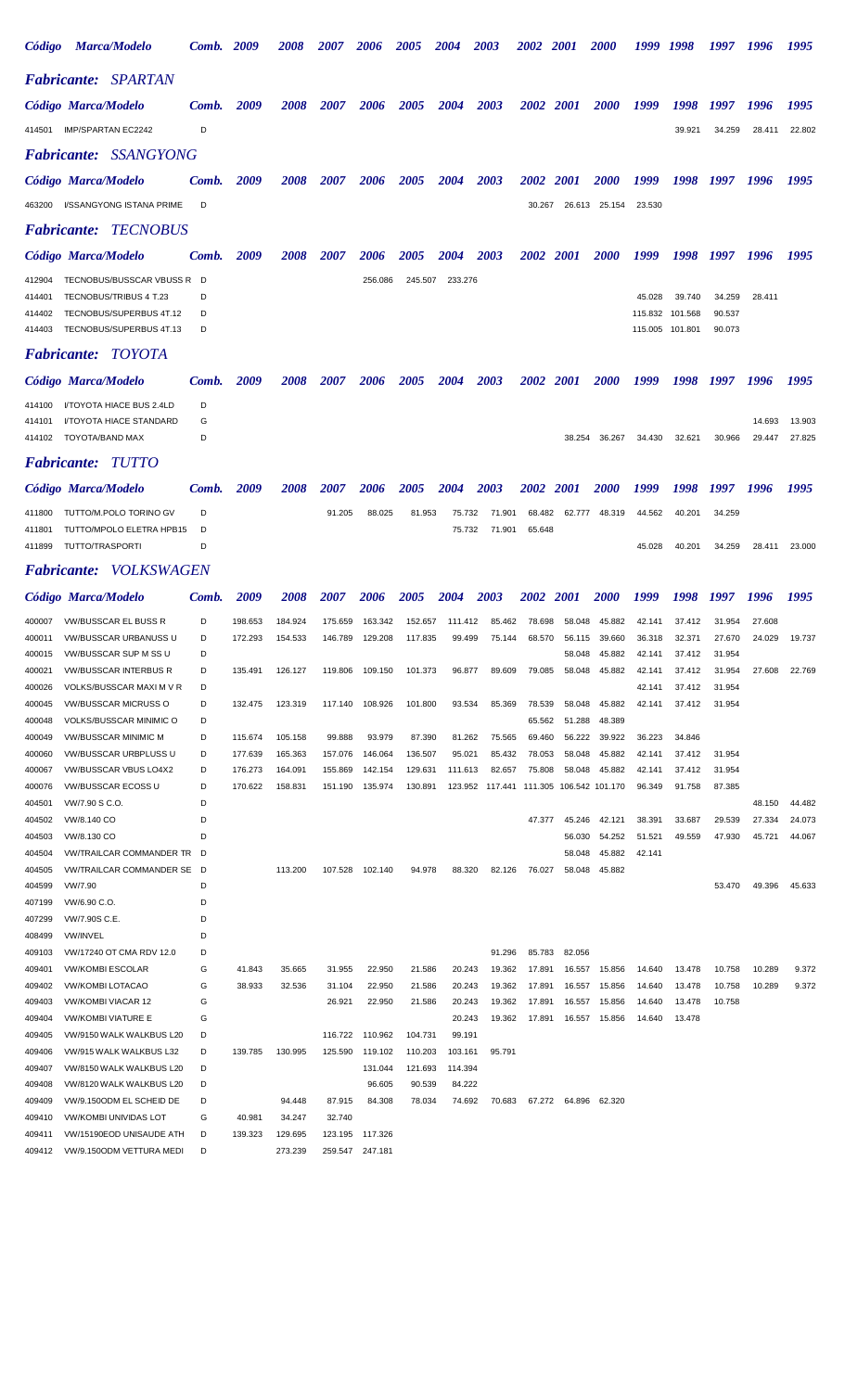| Código           |                                                    | <b>Marca/Modelo</b>                                           | Comb. 2009 |                    | 2008               | <i><b>2007</b></i> | <i><b>2006</b></i> | <i><b>2005</b></i> | 2004              | 2003                                    | <i><b>2002</b></i> | <b>2001</b>      | <i><b>2000</b></i> | 1999             | 1998             | 1997             | 1996             | 1995             |
|------------------|----------------------------------------------------|---------------------------------------------------------------|------------|--------------------|--------------------|--------------------|--------------------|--------------------|-------------------|-----------------------------------------|--------------------|------------------|--------------------|------------------|------------------|------------------|------------------|------------------|
|                  |                                                    | <b>Fabricante: SPARTAN</b>                                    |            |                    |                    |                    |                    |                    |                   |                                         |                    |                  |                    |                  |                  |                  |                  |                  |
|                  | Código Marca/Modelo                                |                                                               | Comb.      | 2009               | <i><b>2008</b></i> | <i><b>2007</b></i> | 2006               | <i><b>2005</b></i> | 2004              | 2003                                    | 2002 2001          |                  | <i>2000</i>        | 1999             | 1998             | 1997             | 1996             | 1995             |
| 414501           |                                                    | IMP/SPARTAN EC2242                                            | D          |                    |                    |                    |                    |                    |                   |                                         |                    |                  |                    |                  | 39.921           | 34.259           | 28.411           | 22.802           |
|                  |                                                    | <b>Fabricante: SSANGYONG</b>                                  |            |                    |                    |                    |                    |                    |                   |                                         |                    |                  |                    |                  |                  |                  |                  |                  |
|                  | Código Marca/Modelo                                |                                                               | Comb.      | 2009               | <i><b>2008</b></i> | <i><b>2007</b></i> | 2006               | <i><b>2005</b></i> | 2004              | 2003                                    | <i><b>2002</b></i> | <b>2001</b>      | <i><b>2000</b></i> | 1999             | 1998             | 1997             | 1996             | 1995             |
| 463200           |                                                    | I/SSANGYONG ISTANA PRIME                                      | D          |                    |                    |                    |                    |                    |                   |                                         | 30.267             |                  | 26.613 25.154      | 23.530           |                  |                  |                  |                  |
|                  |                                                    | <b>Fabricante: TECNOBUS</b>                                   |            |                    |                    |                    |                    |                    |                   |                                         |                    |                  |                    |                  |                  |                  |                  |                  |
|                  | Código Marca/Modelo                                |                                                               | Comb.      | 2009               | <i><b>2008</b></i> | <i><b>2007</b></i> | 2006               | <i><b>2005</b></i> | 2004              | 2003                                    | <i><b>2002</b></i> | <i>2001</i>      | <i><b>2000</b></i> | 1999             | 1998             | 1997             | 1996             | 1995             |
| 412904           |                                                    | TECNOBUS/BUSSCAR VBUSS R D                                    |            |                    |                    |                    | 256.086            | 245.507            | 233.276           |                                         |                    |                  |                    |                  |                  |                  |                  |                  |
| 414401           |                                                    | TECNOBUS/TRIBUS 4 T.23                                        |            |                    |                    |                    |                    |                    |                   |                                         |                    |                  |                    | 45.028           | 39.740           | 34.259           | 28.411           |                  |
| 414402           |                                                    | TECNOBUS/SUPERBUS 4T.12                                       | D          |                    |                    |                    |                    |                    |                   |                                         |                    |                  |                    | 115.832 101.568  |                  | 90.537           |                  |                  |
| 414403           |                                                    | TECNOBUS/SUPERBUS 4T.13                                       | D          |                    |                    |                    |                    |                    |                   |                                         |                    |                  |                    | 115.005 101.801  |                  | 90.073           |                  |                  |
|                  |                                                    | <b>Fabricante: TOYOTA</b>                                     |            |                    |                    |                    |                    |                    |                   |                                         |                    |                  |                    |                  |                  |                  |                  |                  |
|                  | Código Marca/Modelo                                |                                                               | Comb.      | 2009               | <i><b>2008</b></i> | 2007               | 2006               | <i><b>2005</b></i> | 2004              | 2003                                    | <i><b>2002</b></i> | <i>2001</i>      | <i><b>2000</b></i> | 1999             | 1998             | 1997             | 1996             | 1995             |
| 414100           |                                                    | I/TOYOTA HIACE BUS 2.4LD                                      | D          |                    |                    |                    |                    |                    |                   |                                         |                    |                  |                    |                  |                  |                  |                  |                  |
| 414101<br>414102 | TOYOTA/BAND MAX                                    | I/TOYOTA HIACE STANDARD                                       | G<br>D     |                    |                    |                    |                    |                    |                   |                                         |                    | 38.254           | 36.267             | 34.430           | 32.621           | 30.966           | 14.693<br>29.447 | 13.903<br>27.825 |
|                  |                                                    | <b>Fabricante: TUTTO</b>                                      |            |                    |                    |                    |                    |                    |                   |                                         |                    |                  |                    |                  |                  |                  |                  |                  |
|                  | Código Marca/Modelo                                |                                                               | Comb.      | 2009               | <i><b>2008</b></i> | 2007               | 2006               | <i><b>2005</b></i> | 2004              | 2003                                    | <i><b>2002</b></i> | <i>2001</i>      | <i><b>2000</b></i> | 1999             | 1998             | 1997             | 1996             | 1995             |
| 411800           |                                                    | TUTTO/M.POLO TORINO GV                                        | D          |                    |                    | 91.205             | 88.025             | 81.953             | 75.732            | 71.901                                  | 68.482             | 62.777           | 48.319             | 44.562           | 40.201           | 34.259           |                  |                  |
| 411801           |                                                    | TUTTO/MPOLO ELETRA HPB15                                      | D          |                    |                    |                    |                    |                    | 75.732            | 71.901                                  | 65.648             |                  |                    |                  |                  |                  |                  |                  |
| 411899           | TUTTO/TRASPORTI                                    |                                                               | D          |                    |                    |                    |                    |                    |                   |                                         |                    |                  |                    | 45.028           | 40.201           | 34.259           | 28.411           | 23.000           |
|                  |                                                    | Fabricante: VOLKSWAGEN                                        |            |                    |                    |                    |                    |                    |                   |                                         |                    |                  |                    |                  |                  |                  |                  |                  |
|                  | Código Marca/Modelo                                |                                                               | Comb.      | 2009               | <i><b>2008</b></i> | <i><b>2007</b></i> | 2006               | <i><b>2005</b></i> | 2004              | 2003                                    | <i><b>2002</b></i> | <i>2001</i>      | <i><b>2000</b></i> | 1999             | 1998             | 1997             | 1996             | 1995             |
| 400007           |                                                    | <b>VW/BUSSCAR EL BUSS R</b>                                   | D          | 198.653            | 184.924            | 175.659            | 163.342            | 152.657            | 111.412           | 85.462                                  | 78.698             | 58.048           | 45.882             | 42.141           | 37.412           | 31.954           | 27.608           |                  |
| 400011           |                                                    | <b>VW/BUSSCAR URBANUSS U</b>                                  | D          | 172.293            | 154.533            | 146.789            | 129.208            | 117.835            | 99.499            | 75.144                                  | 68.570             | 56.115           | 39.660             | 36.318           | 32.371           | 27.670           | 24.029           | 19.737           |
| 400021           |                                                    | 400015 VW/BUSSCAR SUP M SS U<br><b>VW/BUSSCAR INTERBUS R</b>  | D          | 135.491            | 126.127            | 119.806            | 109.150            | 101.373            | 96.877            | 89.609                                  | 79.085             | 58.048<br>58.048 | 45.882<br>45.882   | 42.141<br>42.141 | 37.412<br>37.412 | 31.954<br>31.954 | 27.608           | 22.769           |
| 400026           |                                                    | VOLKS/BUSSCAR MAXI M V R                                      | D          |                    |                    |                    |                    |                    |                   |                                         |                    |                  |                    | 42.141           | 37.412           | 31.954           |                  |                  |
| 400045           |                                                    | <b>VW/BUSSCAR MICRUSS O</b>                                   | D          | 132.475            | 123.319            | 117.140            | 108.926            | 101.800            | 93.534            | 85.369                                  | 78.539             | 58.048           | 45.882             | 42.141           | 37.412           | 31.954           |                  |                  |
| 400048           |                                                    | VOLKS/BUSSCAR MINIMIC O                                       | D          |                    |                    |                    |                    |                    |                   |                                         | 65.562             | 51.288           | 48.389             |                  |                  |                  |                  |                  |
| 400049           |                                                    | <b>VW/BUSSCAR MINIMIC M</b>                                   | D          | 115.674            | 105.158            | 99.888             | 93.979             | 87.390             | 81.262            | 75.565                                  | 69.460             | 56.222           | 39.922             | 36.223           | 34.846           |                  |                  |                  |
| 400060<br>400067 |                                                    | VW/BUSSCAR URBPLUSS U<br>VW/BUSSCAR VBUS LO4X2                | D<br>D     | 177.639<br>176.273 | 165.363<br>164.091 | 157.076<br>155.869 | 146.064<br>142.154 | 136.507<br>129.631 | 95.021<br>111.613 | 85.432<br>82.657                        | 78.053<br>75.808   | 58.048<br>58.048 | 45.882<br>45.882   | 42.141<br>42.141 | 37.412<br>37.412 | 31.954<br>31.954 |                  |                  |
| 400076           |                                                    | <b>VW/BUSSCAR ECOSS U</b>                                     | D          | 170.622            | 158.831            | 151.190            | 135.974            | 130.891            |                   | 123.952 117.441 111.305 106.542 101.170 |                    |                  |                    | 96.349           | 91.758           | 87.385           |                  |                  |
| 404501           | VW/7.90 S C.O.                                     |                                                               | D          |                    |                    |                    |                    |                    |                   |                                         |                    |                  |                    |                  |                  |                  | 48.150           | 44.482           |
| 404502           | VW/8.140 CO                                        |                                                               | D          |                    |                    |                    |                    |                    |                   |                                         | 47.377             | 45.246           | 42.121             | 38.391           | 33.687           | 29.539           | 27.334           | 24.073           |
| 404503           | VW/8.130 CO                                        |                                                               | D          |                    |                    |                    |                    |                    |                   |                                         |                    | 56.030           | 54.252             | 51.521           | 49.559           | 47.930           | 45.721           | 44.067           |
| 404504<br>404505 |                                                    | <b>VW/TRAILCAR COMMANDER TR</b><br>VW/TRAILCAR COMMANDER SE D | - D        |                    | 113.200            | 107.528            | 102.140            | 94.978             | 88.320            | 82.126                                  | 76.027             | 58.048<br>58.048 | 45.882<br>45.882   | 42.141           |                  |                  |                  |                  |
| 404599           | VW/7.90                                            |                                                               | D          |                    |                    |                    |                    |                    |                   |                                         |                    |                  |                    |                  |                  | 53.470           | 49.396           | 45.633           |
| 407199           | VW/6.90 C.O.                                       |                                                               | D          |                    |                    |                    |                    |                    |                   |                                         |                    |                  |                    |                  |                  |                  |                  |                  |
| 407299           | VW/7.90S C.E.                                      |                                                               | D          |                    |                    |                    |                    |                    |                   |                                         |                    |                  |                    |                  |                  |                  |                  |                  |
| 408499           | VW/INVEL                                           |                                                               | D          |                    |                    |                    |                    |                    |                   |                                         |                    |                  |                    |                  |                  |                  |                  |                  |
| 409103           |                                                    | VW/17240 OT CMA RDV 12.0                                      | D          |                    |                    |                    |                    |                    |                   | 91.296                                  | 85.783             | 82.056           |                    |                  |                  | 10.758           | 10.289           | 9.372            |
| 409401<br>409402 | <b>VW/KOMBI ESCOLAR</b><br><b>VW/KOMBI LOTACAO</b> |                                                               | G<br>G     | 41.843<br>38.933   | 35.665<br>32.536   | 31.955<br>31.104   | 22.950<br>22.950   | 21.586<br>21.586   | 20.243<br>20.243  | 19.362<br>19.362                        | 17.891<br>17.891   | 16.557<br>16.557 | 15.856<br>15.856   | 14.640<br>14.640 | 13.478<br>13.478 | 10.758           | 10.289           | 9.372            |
| 409403           |                                                    | <b>VW/KOMBI VIACAR 12</b>                                     | G          |                    |                    | 26.921             | 22.950             | 21.586             | 20.243            | 19.362                                  | 17.891             | 16.557           | 15.856             | 14.640           | 13.478           | 10.758           |                  |                  |
| 409404           |                                                    | <b>VW/KOMBI VIATURE E</b>                                     | G          |                    |                    |                    |                    |                    | 20.243            | 19.362                                  | 17.891             | 16.557           | 15.856             | 14.640           | 13.478           |                  |                  |                  |
| 409405           |                                                    | VW/9150 WALK WALKBUS L20                                      | D          |                    |                    | 116.722            | 110.962            | 104.731            | 99.191            |                                         |                    |                  |                    |                  |                  |                  |                  |                  |
| 409406           |                                                    | VW/915 WALK WALKBUS L32                                       | D          | 139.785            | 130.995            | 125.590            | 119.102            | 110.203            | 103.161           | 95.791                                  |                    |                  |                    |                  |                  |                  |                  |                  |
| 409407           |                                                    | VW/8150 WALK WALKBUS L20                                      | D          |                    |                    |                    | 131.044            | 121.693            | 114.394           |                                         |                    |                  |                    |                  |                  |                  |                  |                  |
| 409408<br>409409 |                                                    | VW/8120 WALK WALKBUS L20<br>VW/9.150ODM EL SCHEID DE          | D<br>D     |                    | 94.448             | 87.915             | 96.605<br>84.308   | 90.539<br>78.034   | 84.222<br>74.692  | 70.683                                  |                    | 67.272 64.896    | 62.320             |                  |                  |                  |                  |                  |
| 409410           |                                                    | <b>VW/KOMBI UNIVIDAS LOT</b>                                  | G          | 40.981             | 34.247             | 32.740             |                    |                    |                   |                                         |                    |                  |                    |                  |                  |                  |                  |                  |
| 409411           |                                                    | VW/15190EOD UNISAUDE ATH                                      | D          | 139.323            | 129.695            | 123.195            | 117.326            |                    |                   |                                         |                    |                  |                    |                  |                  |                  |                  |                  |
| 409412           |                                                    | VW/9.150ODM VETTURA MEDI                                      | D          |                    | 273.239            |                    | 259.547 247.181    |                    |                   |                                         |                    |                  |                    |                  |                  |                  |                  |                  |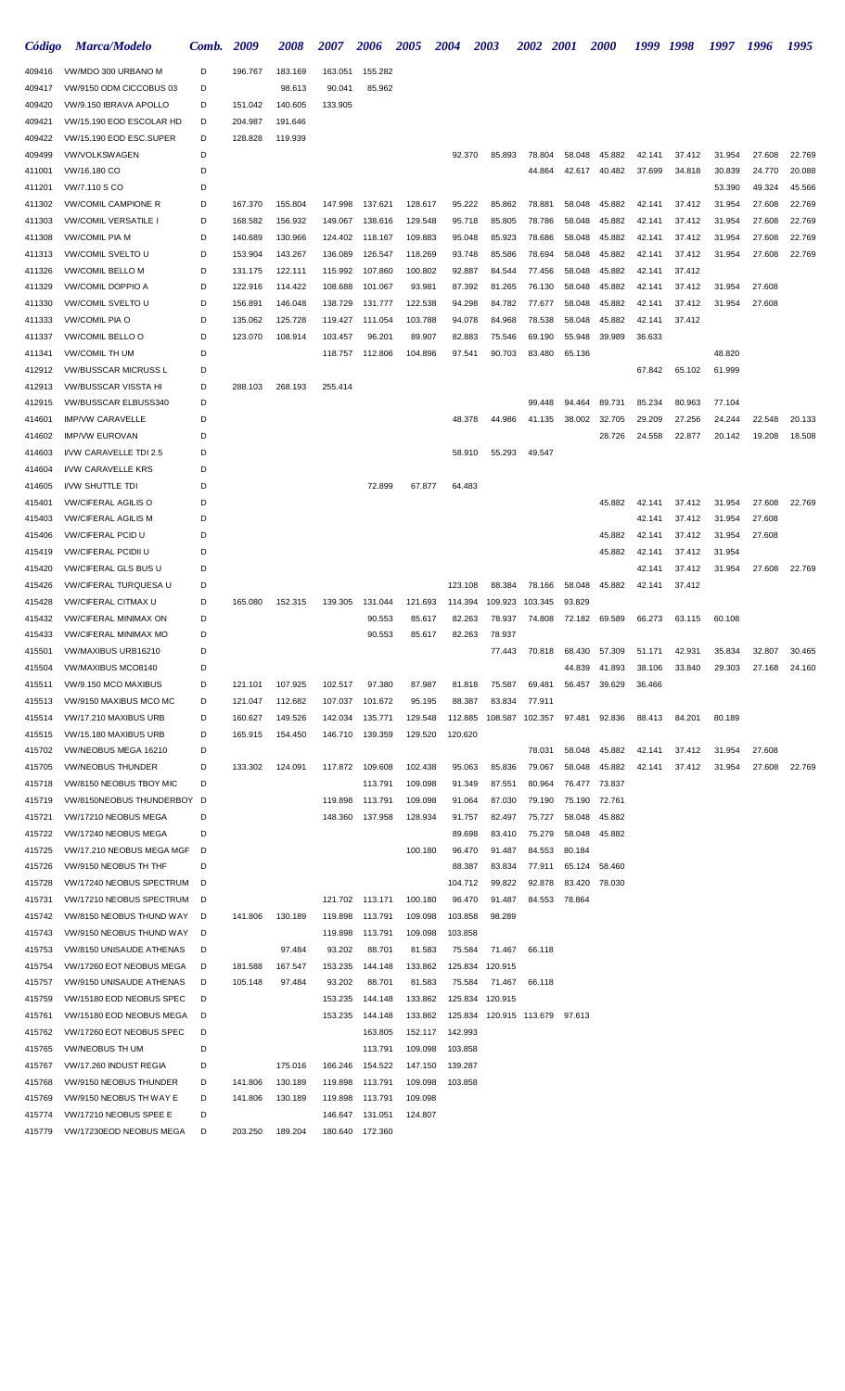| Código           | <b>Marca/Modelo</b>                                 | Comb.  | 2009    | <i><b>2008</b></i> | <i><b>2007</b></i> | <b>2006</b> | <i><b>2005</b></i> | 2004    | 2003                           |        | <b>2002</b>     | <b>2001</b> | <b>2000</b>   | 1999   | 1998   | 1997   | 1996   | 1995   |
|------------------|-----------------------------------------------------|--------|---------|--------------------|--------------------|-------------|--------------------|---------|--------------------------------|--------|-----------------|-------------|---------------|--------|--------|--------|--------|--------|
| 409416           | VW/MDO 300 URBANO M                                 | D      | 196.767 | 183.169            | 163.051            | 155.282     |                    |         |                                |        |                 |             |               |        |        |        |        |        |
| 409417           | VW/9150 ODM CICCOBUS 03                             | D      |         | 98.613             | 90.041             | 85.962      |                    |         |                                |        |                 |             |               |        |        |        |        |        |
| 409420           | VW/9.150 IBRAVA APOLLO                              | D      | 151.042 | 140.605            | 133.905            |             |                    |         |                                |        |                 |             |               |        |        |        |        |        |
| 409421           | VW/15.190 EOD ESCOLAR HD                            | D      | 204.987 | 191.646            |                    |             |                    |         |                                |        |                 |             |               |        |        |        |        |        |
| 409422           | VW/15.190 EOD ESC.SUPER                             | D      | 128.828 | 119.939            |                    |             |                    |         |                                |        |                 |             |               |        |        |        |        |        |
| 409499           | <b>VW/VOLKSWAGEN</b>                                | D      |         |                    |                    |             |                    | 92.370  |                                | 85.893 | 78.804          | 58.048      | 45.882        | 42.141 | 37.412 | 31.954 | 27.608 | 22.769 |
| 411001           | VW/16.180 CO                                        | D      |         |                    |                    |             |                    |         |                                |        | 44.864          | 42.617      | 40.482        | 37.699 | 34.818 | 30.839 | 24.770 | 20.088 |
| 411201           | VW/7.110 S CO                                       | D      |         |                    |                    |             |                    |         |                                |        |                 |             |               |        |        | 53.390 | 49.324 | 45.566 |
| 411302           | <b>VW/COMIL CAMPIONE R</b>                          | D      | 167.370 | 155.804            | 147.998            | 137.621     | 128.617            | 95.222  |                                | 85.862 | 78.881          | 58.048      | 45.882        | 42.141 | 37.412 | 31.954 | 27.608 | 22.769 |
| 411303           | <b>VW/COMIL VERSATILE I</b>                         | D      | 168.582 | 156.932            | 149.067            | 138.616     | 129.548            | 95.718  |                                | 85.805 | 78.786          | 58.048      | 45.882        | 42.141 | 37.412 | 31.954 | 27.608 | 22.769 |
| 411308           | <b>VW/COMIL PIA M</b>                               | D      | 140.689 | 130.966            | 124.402            | 118.167     | 109.883            | 95.048  |                                | 85.923 | 78.686          | 58.048      | 45.882        | 42.141 | 37.412 | 31.954 | 27.608 | 22.769 |
| 411313           | <b>VW/COMIL SVELTO U</b>                            | D      | 153.904 | 143.267            | 136.089            | 126.547     | 118.269            | 93.748  |                                | 85.586 | 78.694          | 58.048      | 45.882        | 42.141 | 37.412 | 31.954 | 27.608 | 22.769 |
| 411326           | VW/COMIL BELLO M                                    | D      | 131.175 | 122.111            | 115.992            | 107.860     | 100.802            | 92.887  |                                | 84.544 | 77.456          | 58.048      | 45.882        | 42.141 | 37.412 |        |        |        |
| 411329           | <b>VW/COMIL DOPPIO A</b>                            | D      | 122.916 | 114.422            | 108.688            | 101.067     | 93.981             | 87.392  |                                | 81.265 | 76.130          | 58.048      | 45.882        | 42.141 | 37.412 | 31.954 | 27.608 |        |
| 411330           | <b>VW/COMIL SVELTO U</b>                            | D      | 156.891 | 146.048            | 138.729            | 131.777     | 122.538            | 94.298  |                                | 84.782 | 77.677          | 58.048      | 45.882        | 42.141 | 37.412 | 31.954 | 27.608 |        |
| 411333           | <b>VW/COMIL PIA O</b>                               | D      | 135.062 | 125.728            | 119.427            | 111.054     | 103.788            | 94.078  |                                | 84.968 | 78.538          | 58.048      | 45.882        | 42.141 | 37.412 |        |        |        |
| 411337           | <b>VW/COMIL BELLO O</b>                             | D      | 123.070 | 108.914            | 103.457            | 96.201      | 89.907             | 82.883  |                                | 75.546 | 69.190          | 55.948      | 39.989        | 36.633 |        |        |        |        |
| 411341           | <b>VW/COMIL TH UM</b>                               | D      |         |                    | 118.757            | 112.806     | 104.896            | 97.541  |                                | 90.703 | 83.480          | 65.136      |               |        |        | 48.820 |        |        |
| 412912           | <b>VW/BUSSCAR MICRUSS L</b>                         | D      |         |                    |                    |             |                    |         |                                |        |                 |             |               | 67.842 | 65.102 | 61.999 |        |        |
| 412913           | <b>VW/BUSSCAR VISSTA HI</b>                         | D      | 288.103 | 268.193            | 255.414            |             |                    |         |                                |        |                 |             |               |        |        |        |        |        |
| 412915           | <b>VW/BUSSCAR ELBUSS340</b>                         | D      |         |                    |                    |             |                    |         |                                |        | 99.448          | 94.464      | 89.731        | 85.234 | 80.963 | 77.104 |        |        |
| 414601           | <b>IMP/VW CARAVELLE</b>                             | D      |         |                    |                    |             |                    | 48.378  |                                | 44.986 | 41.135          | 38.002      | 32.705        | 29.209 | 27.256 | 24.244 | 22.548 | 20.133 |
| 414602           | <b>IMP/VW EUROVAN</b>                               | D      |         |                    |                    |             |                    |         |                                |        |                 |             | 28.726        | 24.558 | 22.877 | 20.142 | 19.208 | 18.508 |
| 414603           | I/VW CARAVELLE TDI 2.5                              | D      |         |                    |                    |             |                    | 58.910  |                                | 55.293 | 49.547          |             |               |        |        |        |        |        |
| 414604           | <b>I/VW CARAVELLE KRS</b>                           | D      |         |                    |                    |             |                    |         |                                |        |                 |             |               |        |        |        |        |        |
| 414605           | <b>I/VW SHUTTLE TDI</b>                             | D      |         |                    |                    | 72.899      | 67.877             | 64.483  |                                |        |                 |             |               |        |        |        |        |        |
| 415401           | <b>VW/CIFERAL AGILIS O</b>                          | D      |         |                    |                    |             |                    |         |                                |        |                 |             | 45.882        | 42.141 | 37.412 | 31.954 | 27.608 | 22.769 |
| 415403           | <b>VW/CIFERAL AGILIS M</b>                          | D      |         |                    |                    |             |                    |         |                                |        |                 |             |               | 42.141 | 37.412 | 31.954 | 27.608 |        |
| 415406           | <b>VW/CIFERAL PCID U</b>                            | D      |         |                    |                    |             |                    |         |                                |        |                 |             | 45.882        | 42.141 | 37.412 | 31.954 | 27.608 |        |
| 415419           | <b>VW/CIFERAL PCIDII U</b>                          | D      |         |                    |                    |             |                    |         |                                |        |                 |             | 45.882        | 42.141 | 37.412 | 31.954 |        |        |
| 415420           | VW/CIFERAL GLS BUS U                                | D      |         |                    |                    |             |                    |         |                                |        |                 |             |               | 42.141 | 37.412 | 31.954 | 27.608 | 22.769 |
| 415426           | VW/CIFERAL TURQUESA U                               | D      |         |                    |                    |             |                    | 123.108 |                                | 88.384 | 78.166          | 58.048      | 45.882        | 42.141 | 37.412 |        |        |        |
| 415428           | <b>VW/CIFERAL CITMAX U</b>                          | D      | 165.080 | 152.315            | 139.305            | 131.044     | 121.693            | 114.394 | 109.923                        |        | 103.345         | 93.829      |               |        |        |        |        |        |
| 415432           | <b>VW/CIFERAL MINIMAX ON</b>                        | D<br>D |         |                    |                    | 90.553      | 85.617             | 82.263  | 78.937                         |        | 74.808          | 72.182      | 69.589        | 66.273 | 63.115 | 60.108 |        |        |
| 415433<br>415501 | <b>VW/CIFERAL MINIMAX MO</b><br>VW/MAXIBUS URB16210 | D      |         |                    |                    | 90.553      | 85.617             | 82.263  | 78.937                         | 77.443 | 70.818          | 68.430      | 57.309        | 51.171 | 42.931 | 35.834 | 32.807 | 30.465 |
| 415504           | VW/MAXIBUS MCO8140                                  | D      |         |                    |                    |             |                    |         |                                |        |                 | 44.839      | 41.893        | 38.106 | 33.840 | 29.303 | 27.168 | 24.160 |
| 415511           | VW/9.150 MCO MAXIBUS                                | D      | 121.101 | 107.925            | 102.517            | 97.380      | 87.987             | 81.818  |                                | 75.587 | 69.481          | 56.457      | 39.629        | 36.466 |        |        |        |        |
| 415513           | VW/9150 MAXIBUS MCO MC                              | D      | 121.047 | 112.682            | 107.037            | 101.672     | 95.195             | 88.387  |                                | 83.834 | 77.911          |             |               |        |        |        |        |        |
| 415514           | VW/17.210 MAXIBUS URB                               | D      | 160.627 | 149.526            | 142.034            | 135.771     | 129.548            | 112.885 |                                |        | 108.587 102.357 | 97.481      | 92.836        | 88.413 | 84.201 | 80.189 |        |        |
| 415515           | VW/15.180 MAXIBUS URB                               | D      | 165.915 | 154.450            | 146.710            | 139.359     | 129.520            | 120.620 |                                |        |                 |             |               |        |        |        |        |        |
| 415702           | VW/NEOBUS MEGA 16210                                | D      |         |                    |                    |             |                    |         |                                |        | 78.031          | 58.048      | 45.882        | 42.141 | 37.412 | 31.954 | 27.608 |        |
| 415705           | <b>VW/NEOBUS THUNDER</b>                            | D      | 133.302 | 124.091            | 117.872            | 109.608     | 102.438            | 95.063  |                                | 85.836 | 79.067          | 58.048      | 45.882        | 42.141 | 37.412 | 31.954 | 27.608 | 22.769 |
| 415718           | VW/8150 NEOBUS TBOY MIC                             | D      |         |                    |                    | 113.791     | 109.098            | 91.349  | 87.551                         |        | 80.964          |             | 76.477 73.837 |        |        |        |        |        |
| 415719           | VW/8150NEOBUS THUNDERBOY                            | D      |         |                    | 119.898            | 113.791     | 109.098            | 91.064  |                                | 87.030 | 79.190          |             | 75.190 72.761 |        |        |        |        |        |
| 415721           | VW/17210 NEOBUS MEGA                                | D      |         |                    | 148.360            | 137.958     | 128.934            | 91.757  |                                | 82.497 | 75.727          |             | 58.048 45.882 |        |        |        |        |        |
| 415722           | VW/17240 NEOBUS MEGA                                | D      |         |                    |                    |             |                    | 89.698  |                                | 83.410 | 75.279          |             | 58.048 45.882 |        |        |        |        |        |
| 415725           | VW/17.210 NEOBUS MEGA MGF                           | D      |         |                    |                    |             | 100.180            | 96.470  |                                | 91.487 | 84.553          | 80.184      |               |        |        |        |        |        |
| 415726           | VW/9150 NEOBUS TH THF                               | D      |         |                    |                    |             |                    | 88.387  |                                | 83.834 | 77.911          | 65.124      | 58.460        |        |        |        |        |        |
| 415728           | VW/17240 NEOBUS SPECTRUM                            | D      |         |                    |                    |             |                    | 104.712 |                                | 99.822 | 92.878          |             | 83.420 78.030 |        |        |        |        |        |
| 415731           | VW/17210 NEOBUS SPECTRUM                            | D      |         |                    | 121.702            | 113.171     | 100.180            | 96.470  |                                | 91.487 | 84.553          | 78.864      |               |        |        |        |        |        |
| 415742           | VW/8150 NEOBUS THUND WAY                            | D      | 141.806 | 130.189            | 119.898            | 113.791     | 109.098            | 103.858 | 98.289                         |        |                 |             |               |        |        |        |        |        |
| 415743           | VW/9150 NEOBUS THUND WAY                            | D      |         |                    | 119.898            | 113.791     | 109.098            | 103.858 |                                |        |                 |             |               |        |        |        |        |        |
| 415753           | VW/8150 UNISAUDE ATHENAS                            | D      |         | 97.484             | 93.202             | 88.701      | 81.583             | 75.584  |                                | 71.467 | 66.118          |             |               |        |        |        |        |        |
| 415754           | VW/17260 EOT NEOBUS MEGA                            | D      | 181.588 | 167.547            | 153.235            | 144.148     | 133.862            | 125.834 | 120.915                        |        |                 |             |               |        |        |        |        |        |
| 415757           | VW/9150 UNISAUDE ATHENAS                            | D      | 105.148 | 97.484             | 93.202             | 88.701      | 81.583             | 75.584  |                                | 71.467 | 66.118          |             |               |        |        |        |        |        |
| 415759           | VW/15180 EOD NEOBUS SPEC                            | D      |         |                    | 153.235            | 144.148     | 133.862            | 125.834 | 120.915                        |        |                 |             |               |        |        |        |        |        |
| 415761           | VW/15180 EOD NEOBUS MEGA                            | D      |         |                    | 153.235            | 144.148     | 133.862            |         | 125.834 120.915 113.679 97.613 |        |                 |             |               |        |        |        |        |        |
| 415762           | VW/17260 EOT NEOBUS SPEC                            | D      |         |                    |                    | 163.805     | 152.117            | 142.993 |                                |        |                 |             |               |        |        |        |        |        |
| 415765           | <b>VW/NEOBUS TH UM</b>                              | D      |         |                    |                    | 113.791     | 109.098            | 103.858 |                                |        |                 |             |               |        |        |        |        |        |
| 415767           | VW/17.260 INDUST REGIA                              | D      |         | 175.016            | 166.246            | 154.522     | 147.150            | 139.287 |                                |        |                 |             |               |        |        |        |        |        |
| 415768           | VW/9150 NEOBUS THUNDER                              | D      | 141.806 | 130.189            | 119.898            | 113.791     | 109.098            | 103.858 |                                |        |                 |             |               |        |        |        |        |        |
| 415769           | VW/9150 NEOBUS TH WAY E                             | D      | 141.806 | 130.189            | 119.898            | 113.791     | 109.098            |         |                                |        |                 |             |               |        |        |        |        |        |
| 415774           | VW/17210 NEOBUS SPEE E                              | D      |         |                    | 146.647            | 131.051     | 124.807            |         |                                |        |                 |             |               |        |        |        |        |        |
| 415779           | VW/17230EOD NEOBUS MEGA                             | D      | 203.250 | 189.204            | 180.640            | 172.360     |                    |         |                                |        |                 |             |               |        |        |        |        |        |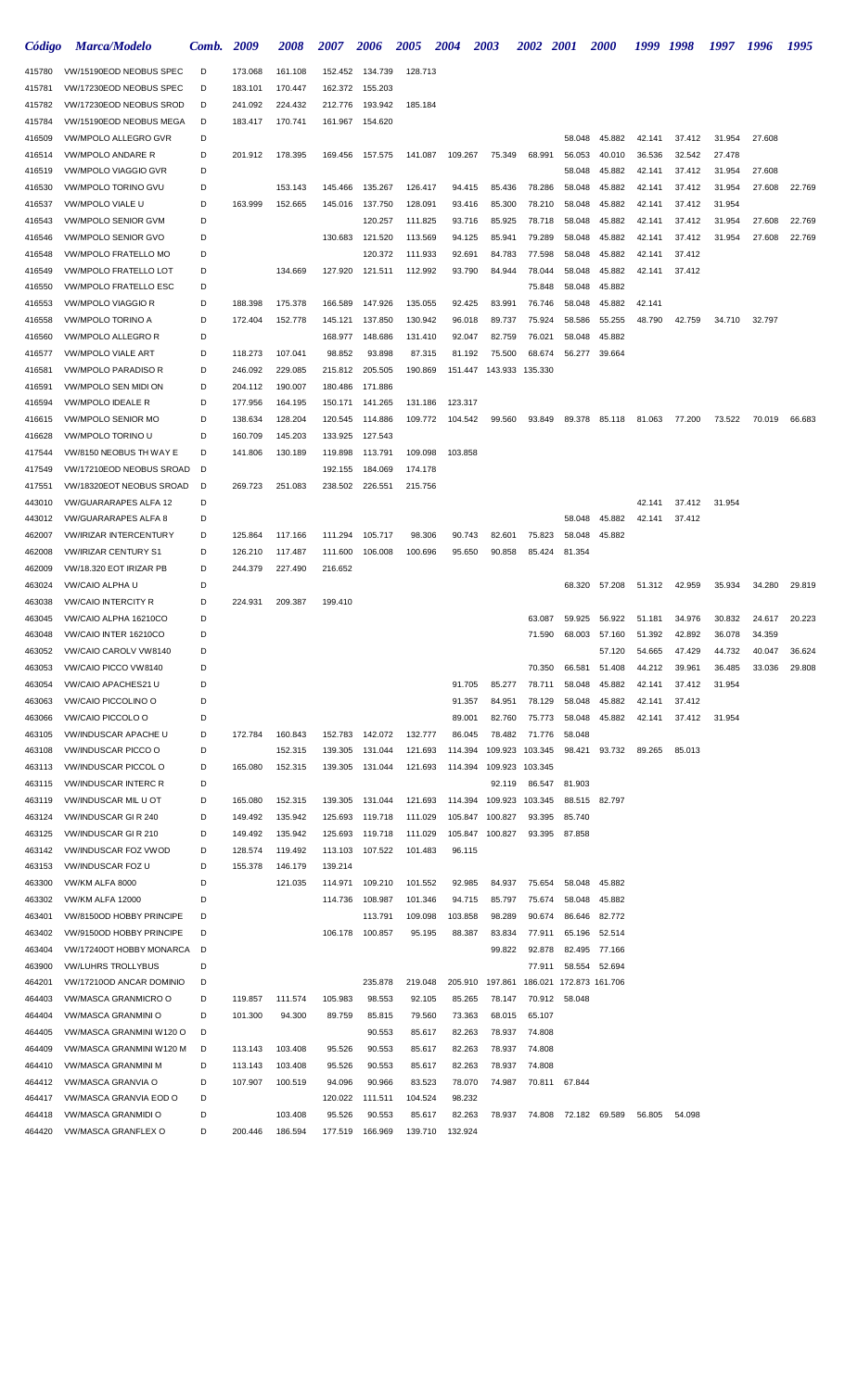| Código           | <b>Marca/Modelo</b>                                       | Comb.  | 2009               | <i><b>2008</b></i> | <i><b>2007</b></i> | 2006               | <i><b>2005</b></i> | 2004             | 2003             | <i><b>2002</b></i> | <b>2001</b>      | <i><b>2000</b></i>      | 1999             | 1998             | 1997             | 1996   | 1995   |
|------------------|-----------------------------------------------------------|--------|--------------------|--------------------|--------------------|--------------------|--------------------|------------------|------------------|--------------------|------------------|-------------------------|------------------|------------------|------------------|--------|--------|
| 415780           | VW/15190EOD NEOBUS SPEC                                   | D      | 173.068            | 161.108            | 152.452            | 134.739            | 128.713            |                  |                  |                    |                  |                         |                  |                  |                  |        |        |
| 415781           | VW/17230EOD NEOBUS SPEC                                   | D      | 183.101            | 170.447            | 162.372            | 155.203            |                    |                  |                  |                    |                  |                         |                  |                  |                  |        |        |
| 415782           | VW/17230EOD NEOBUS SROD                                   | D      | 241.092            | 224.432            | 212.776            | 193.942            | 185.184            |                  |                  |                    |                  |                         |                  |                  |                  |        |        |
| 415784           | VW/15190EOD NEOBUS MEGA                                   | D      | 183.417            | 170.741            | 161.967            | 154.620            |                    |                  |                  |                    |                  |                         |                  |                  |                  |        |        |
| 416509           | VW/MPOLO ALLEGRO GVR                                      | D      |                    |                    |                    |                    |                    |                  |                  |                    | 58.048           | 45.882                  | 42.141           | 37.412           | 31.954           | 27.608 |        |
| 416514           | <b>VW/MPOLO ANDARE R</b>                                  | D      | 201.912            | 178.395            | 169.456            | 157.575            | 141.087            | 109.267          | 75.349           | 68.991             | 56.053           | 40.010                  | 36.536           | 32.542           | 27.478           |        |        |
| 416519           | <b>VW/MPOLO VIAGGIO GVR</b><br><b>VW/MPOLO TORINO GVU</b> | D      |                    |                    |                    |                    |                    |                  |                  |                    | 58.048           | 45.882                  | 42.141           | 37.412           | 31.954           | 27.608 |        |
| 416530<br>416537 | <b>VW/MPOLO VIALE U</b>                                   | D<br>D | 163.999            | 153.143<br>152.665 | 145.466<br>145.016 | 135.267<br>137.750 | 126.417<br>128.091 | 94.415<br>93.416 | 85.436<br>85.300 | 78.286<br>78.210   | 58.048<br>58.048 | 45.882<br>45.882        | 42.141<br>42.141 | 37.412<br>37.412 | 31.954<br>31.954 | 27.608 | 22.769 |
| 416543           | <b>VW/MPOLO SENIOR GVM</b>                                | D      |                    |                    |                    | 120.257            | 111.825            | 93.716           | 85.925           | 78.718             | 58.048           | 45.882                  | 42.141           | 37.412           | 31.954           | 27.608 | 22.769 |
| 416546           | VW/MPOLO SENIOR GVO                                       | D      |                    |                    | 130.683            | 121.520            | 113.569            | 94.125           | 85.941           | 79.289             | 58.048           | 45.882                  | 42.141           | 37.412           | 31.954           | 27.608 | 22.769 |
| 416548           | <b>VW/MPOLO FRATELLO MO</b>                               | D      |                    |                    |                    | 120.372            | 111.933            | 92.691           | 84.783           | 77.598             | 58.048           | 45.882                  | 42.141           | 37.412           |                  |        |        |
| 416549           | <b>VW/MPOLO FRATELLO LOT</b>                              | D      |                    | 134.669            | 127.920            | 121.511            | 112.992            | 93.790           | 84.944           | 78.044             | 58.048           | 45.882                  | 42.141           | 37.412           |                  |        |        |
| 416550           | <b>VW/MPOLO FRATELLO ESC</b>                              | D      |                    |                    |                    |                    |                    |                  |                  | 75.848             | 58.048           | 45.882                  |                  |                  |                  |        |        |
| 416553           | <b>VW/MPOLO VIAGGIO R</b>                                 | D      | 188.398            | 175.378            | 166.589            | 147.926            | 135.055            | 92.425           | 83.991           | 76.746             | 58.048           | 45.882                  | 42.141           |                  |                  |        |        |
| 416558           | <b>VW/MPOLO TORINO A</b>                                  | D      | 172.404            | 152.778            | 145.121            | 137.850            | 130.942            | 96.018           | 89.737           | 75.924             | 58.586           | 55.255                  | 48.790           | 42.759           | 34.710           | 32.797 |        |
| 416560           | <b>VW/MPOLO ALLEGRO R</b>                                 | D      |                    |                    | 168.977            | 148.686            | 131.410            | 92.047           | 82.759           | 76.021             | 58.048           | 45.882                  |                  |                  |                  |        |        |
| 416577           | <b>VW/MPOLO VIALE ART</b>                                 | D      | 118.273            | 107.041            | 98.852             | 93.898             | 87.315             | 81.192           | 75.500           | 68.674             | 56.277           | 39.664                  |                  |                  |                  |        |        |
| 416581           | <b>VW/MPOLO PARADISO R</b>                                | D      | 246.092            | 229.085            | 215.812            | 205.505            | 190.869            | 151.447          | 143.933          | 135.330            |                  |                         |                  |                  |                  |        |        |
| 416591           | VW/MPOLO SEN MIDI ON                                      | D      | 204.112            | 190.007            | 180.486            | 171.886            |                    |                  |                  |                    |                  |                         |                  |                  |                  |        |        |
| 416594           | <b>VW/MPOLO IDEALE R</b>                                  | D      | 177.956            | 164.195            | 150.171            | 141.265            | 131.186            | 123.317          |                  |                    |                  |                         |                  |                  |                  |        |        |
| 416615           | <b>VW/MPOLO SENIOR MO</b>                                 | D      | 138.634            | 128.204            | 120.545            | 114.886            | 109.772            | 104.542          | 99.560           | 93.849             | 89.378           | 85.118                  | 81.063           | 77.200           | 73.522           | 70.019 | 66.683 |
| 416628           | VW/MPOLO TORINO U<br>VW/8150 NEOBUS TH WAY E              | D<br>D | 160.709<br>141.806 | 145.203<br>130.189 | 133.925            | 127.543<br>113.791 | 109.098            |                  |                  |                    |                  |                         |                  |                  |                  |        |        |
| 417544<br>417549 | VW/17210EOD NEOBUS SROAD                                  | D      |                    |                    | 119.898<br>192.155 | 184.069            | 174.178            | 103.858          |                  |                    |                  |                         |                  |                  |                  |        |        |
| 417551           | VW/18320EOT NEOBUS SROAD                                  | D      | 269.723            | 251.083            | 238.502            | 226.551            | 215.756            |                  |                  |                    |                  |                         |                  |                  |                  |        |        |
| 443010           | <b>VW/GUARARAPES ALFA 12</b>                              | D      |                    |                    |                    |                    |                    |                  |                  |                    |                  |                         | 42.141           | 37.412           | 31.954           |        |        |
| 443012           | <b>VW/GUARARAPES ALFA 8</b>                               | D      |                    |                    |                    |                    |                    |                  |                  |                    | 58.048           | 45.882                  | 42.141           | 37.412           |                  |        |        |
| 462007           | <b>VW/IRIZAR INTERCENTURY</b>                             | D      | 125.864            | 117.166            | 111.294            | 105.717            | 98.306             | 90.743           | 82.601           | 75.823             | 58.048           | 45.882                  |                  |                  |                  |        |        |
| 462008           | <b>VW/IRIZAR CENTURY S1</b>                               | D      | 126.210            | 117.487            | 111.600            | 106.008            | 100.696            | 95.650           | 90.858           | 85.424             | 81.354           |                         |                  |                  |                  |        |        |
| 462009           | VW/18.320 EOT IRIZAR PB                                   | D      | 244.379            | 227.490            | 216.652            |                    |                    |                  |                  |                    |                  |                         |                  |                  |                  |        |        |
| 463024           | VW/CAIO ALPHA U                                           | D      |                    |                    |                    |                    |                    |                  |                  |                    | 68.320           | 57.208                  | 51.312           | 42.959           | 35.934           | 34.280 | 29.819 |
| 463038           | <b><i>VW/CAIO INTERCITY R</i></b>                         | D      | 224.931            | 209.387            | 199.410            |                    |                    |                  |                  |                    |                  |                         |                  |                  |                  |        |        |
| 463045           | VW/CAIO ALPHA 16210CO                                     | D      |                    |                    |                    |                    |                    |                  |                  | 63.087             | 59.925           | 56.922                  | 51.181           | 34.976           | 30.832           | 24.617 | 20.223 |
| 463048           | VW/CAIO INTER 16210CO                                     | D      |                    |                    |                    |                    |                    |                  |                  | 71.590             | 68.003           | 57.160                  | 51.392           | 42.892           | 36.078           | 34.359 |        |
| 463052           | VW/CAIO CAROLV VW8140                                     |        |                    |                    |                    |                    |                    |                  |                  |                    |                  | 57.120                  | 54.665           | 47.429           | 44.732           | 40.047 | 36.624 |
| 463053           | VW/CAIO PICCO VW8140                                      | D      |                    |                    |                    |                    |                    |                  |                  | 70.350             | 66.581           | 51.408                  | 44.212           | 39.961           | 36.485           | 33.036 | 29.808 |
| 463054           | VW/CAIO APACHES21 U                                       | D      |                    |                    |                    |                    |                    | 91.705           | 85.277           | 78.711             | 58.048           | 45.882                  | 42.141           | 37.412           | 31.954           |        |        |
| 463063<br>463066 | VW/CAIO PICCOLINO O<br>VW/CAIO PICCOLO O                  | D<br>D |                    |                    |                    |                    |                    | 91.357<br>89.001 | 84.951<br>82.760 | 78.129<br>75.773   | 58.048<br>58.048 | 45.882<br>45.882        | 42.141<br>42.141 | 37.412<br>37.412 | 31.954           |        |        |
| 463105           | <b>VW/INDUSCAR APACHE U</b>                               | D      | 172.784            | 160.843            | 152.783            | 142.072            | 132.777            | 86.045           | 78.482           | 71.776             | 58.048           |                         |                  |                  |                  |        |        |
| 463108           | <b>VW/INDUSCAR PICCO O</b>                                | D      |                    | 152.315            | 139.305            | 131.044            | 121.693            | 114.394          | 109.923          | 103.345            | 98.421           | 93.732                  | 89.265           | 85.013           |                  |        |        |
| 463113           | <b>VW/INDUSCAR PICCOL O</b>                               | D      | 165.080            | 152.315            | 139.305            | 131.044            | 121.693            | 114.394          | 109.923          | 103.345            |                  |                         |                  |                  |                  |        |        |
| 463115           | <b>VW/INDUSCAR INTERC R</b>                               | D      |                    |                    |                    |                    |                    |                  | 92.119           | 86.547             | 81.903           |                         |                  |                  |                  |        |        |
| 463119           | VW/INDUSCAR MIL U OT                                      | D      | 165.080            | 152.315            | 139.305            | 131.044            | 121.693            | 114.394          | 109.923          | 103.345            | 88.515           | 82.797                  |                  |                  |                  |        |        |
| 463124           | VW/INDUSCAR GIR 240                                       | D      | 149.492            | 135.942            | 125.693            | 119.718            | 111.029            | 105.847          | 100.827          | 93.395             | 85.740           |                         |                  |                  |                  |        |        |
| 463125           | VW/INDUSCAR GIR 210                                       | D      | 149.492            | 135.942            | 125.693            | 119.718            | 111.029            | 105.847          | 100.827          | 93.395             | 87.858           |                         |                  |                  |                  |        |        |
| 463142           | VW/INDUSCAR FOZ VWOD                                      | D      | 128.574            | 119.492            | 113.103            | 107.522            | 101.483            | 96.115           |                  |                    |                  |                         |                  |                  |                  |        |        |
| 463153           | <b>VW/INDUSCAR FOZ U</b>                                  | D      | 155.378            | 146.179            | 139.214            |                    |                    |                  |                  |                    |                  |                         |                  |                  |                  |        |        |
| 463300           | VW/KM ALFA 8000                                           | D      |                    | 121.035            | 114.971            | 109.210            | 101.552            | 92.985           | 84.937           | 75.654             | 58.048           | 45.882                  |                  |                  |                  |        |        |
| 463302           | VW/KM ALFA 12000                                          | D      |                    |                    | 114.736            | 108.987            | 101.346            | 94.715           | 85.797           | 75.674             | 58.048           | 45.882                  |                  |                  |                  |        |        |
| 463401           | VW/8150OD HOBBY PRINCIPE                                  | D      |                    |                    |                    | 113.791            | 109.098            | 103.858          | 98.289           | 90.674             | 86.646           | 82.772                  |                  |                  |                  |        |        |
| 463402           | VW/9150OD HOBBY PRINCIPE                                  | D      |                    |                    | 106.178            | 100.857            | 95.195             | 88.387           | 83.834           | 77.911             | 65.196           | 52.514                  |                  |                  |                  |        |        |
| 463404<br>463900 | VW/17240OT HOBBY MONARCA<br><b>VW/LUHRS TROLLYBUS</b>     | D<br>D |                    |                    |                    |                    |                    |                  | 99.822           | 92.878<br>77.911   | 82.495<br>58.554 | 77.166<br>52.694        |                  |                  |                  |        |        |
| 464201           | VW/17210OD ANCAR DOMINIO                                  | D      |                    |                    |                    | 235.878            | 219.048            | 205.910          | 197.861          |                    |                  | 186.021 172.873 161.706 |                  |                  |                  |        |        |
| 464403           | VW/MASCA GRANMICRO O                                      | D      | 119.857            | 111.574            | 105.983            | 98.553             | 92.105             | 85.265           | 78.147           | 70.912             | 58.048           |                         |                  |                  |                  |        |        |
| 464404           | VW/MASCA GRANMINI O                                       | D      | 101.300            | 94.300             | 89.759             | 85.815             | 79.560             | 73.363           | 68.015           | 65.107             |                  |                         |                  |                  |                  |        |        |
| 464405           | VW/MASCA GRANMINI W120 O                                  | D      |                    |                    |                    | 90.553             | 85.617             | 82.263           | 78.937           | 74.808             |                  |                         |                  |                  |                  |        |        |
| 464409           | VW/MASCA GRANMINI W120 M                                  | D      | 113.143            | 103.408            | 95.526             | 90.553             | 85.617             | 82.263           | 78.937           | 74.808             |                  |                         |                  |                  |                  |        |        |
| 464410           | VW/MASCA GRANMINI M                                       | D      | 113.143            | 103.408            | 95.526             | 90.553             | 85.617             | 82.263           | 78.937           | 74.808             |                  |                         |                  |                  |                  |        |        |
| 464412           | VW/MASCA GRANVIA O                                        | D      | 107.907            | 100.519            | 94.096             | 90.966             | 83.523             | 78.070           | 74.987           | 70.811             | 67.844           |                         |                  |                  |                  |        |        |
| 464417           | VW/MASCA GRANVIA EOD O                                    | D      |                    |                    | 120.022            | 111.511            | 104.524            | 98.232           |                  |                    |                  |                         |                  |                  |                  |        |        |
| 464418           | VW/MASCA GRANMIDI O                                       | D      |                    | 103.408            | 95.526             | 90.553             | 85.617             | 82.263           | 78.937           | 74.808             | 72.182           | 69.589                  | 56.805           | 54.098           |                  |        |        |
| 464420           | <b>VW/MASCA GRANFLEX O</b>                                | D      | 200.446            | 186.594            | 177.519            | 166.969            | 139.710            | 132.924          |                  |                    |                  |                         |                  |                  |                  |        |        |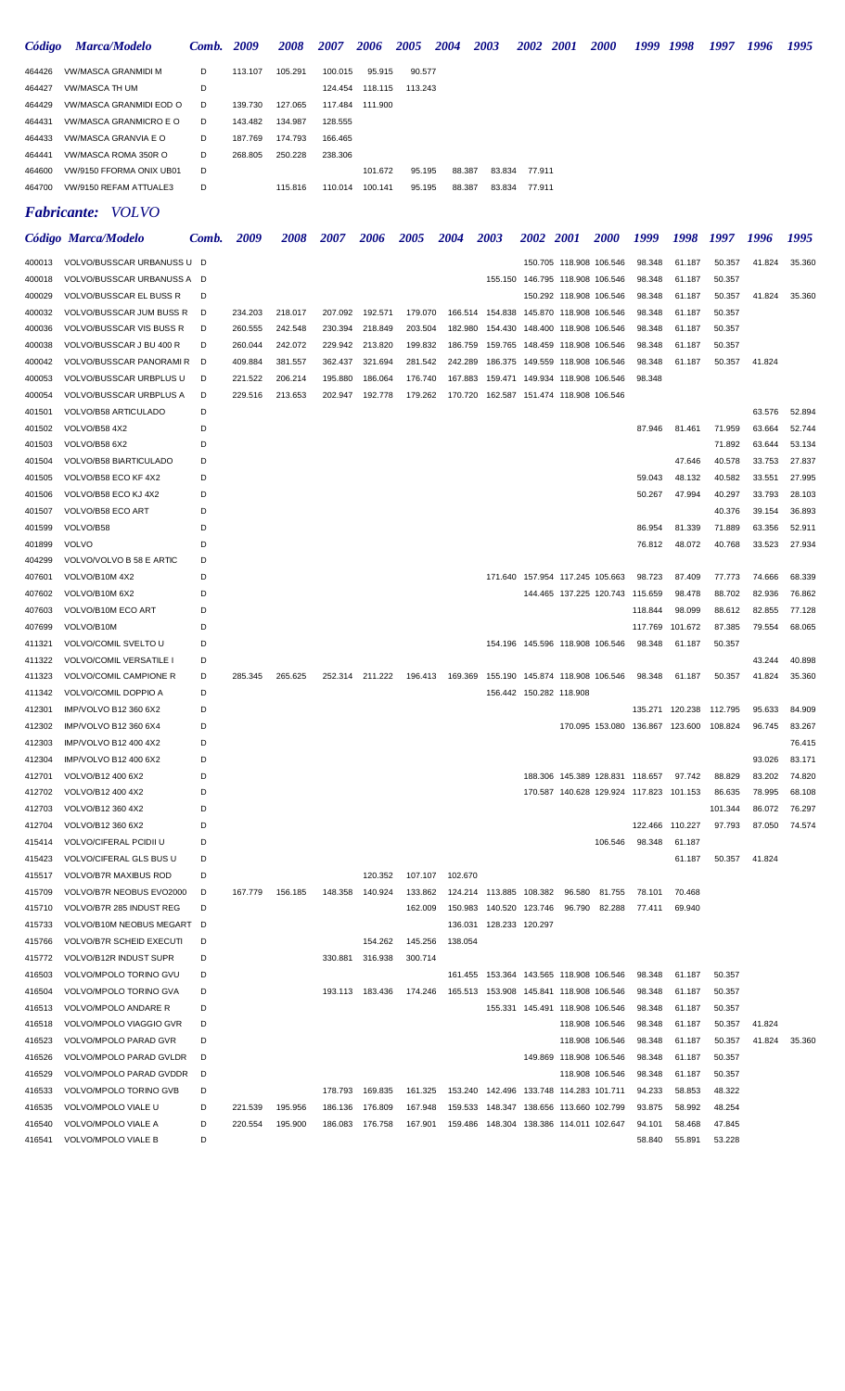| Código | <b>Marca/Modelo</b>      | <b>Comb.</b> 2009 |         | 2008    | 2007    | 2006            | <b>2005</b> | <b>2004</b> | 2003 |                  | 2002 2001 | <b>2000</b> | 1999 | 1998 | 1997 | 1996 | 1995 |
|--------|--------------------------|-------------------|---------|---------|---------|-----------------|-------------|-------------|------|------------------|-----------|-------------|------|------|------|------|------|
| 464426 | VW/MASCA GRANMIDI M      | D                 | 113.107 | 105.291 | 100.015 | 95.915          | 90.577      |             |      |                  |           |             |      |      |      |      |      |
| 464427 | VW/MASCA TH UM           | D                 |         |         |         | 124.454 118.115 | 113.243     |             |      |                  |           |             |      |      |      |      |      |
| 464429 | VW/MASCA GRANMIDI EOD O  | D                 | 139.730 | 127.065 |         | 117.484 111.900 |             |             |      |                  |           |             |      |      |      |      |      |
| 464431 | VW/MASCA GRANMICRO E O   | D                 | 143.482 | 134.987 | 128.555 |                 |             |             |      |                  |           |             |      |      |      |      |      |
| 464433 | VW/MASCA GRANVIA E O     | D                 | 187.769 | 174.793 | 166.465 |                 |             |             |      |                  |           |             |      |      |      |      |      |
| 464441 | VW/MASCA ROMA 350R O     | D                 | 268.805 | 250.228 | 238.306 |                 |             |             |      |                  |           |             |      |      |      |      |      |
| 464600 | VW/9150 FFORMA ONIX UB01 | D                 |         |         |         | 101.672         | 95.195      | 88.387      |      | 83.834<br>77.911 |           |             |      |      |      |      |      |
| 464700 | VW/9150 REFAM ATTUALE3   | D                 |         | 115,816 | 110.014 | 100.141         | 95.195      | 88.387      |      | 83.834<br>77.911 |           |             |      |      |      |      |      |
|        |                          |                   |         |         |         |                 |             |             |      |                  |           |             |      |      |      |      |      |

# *Fabricante: VOLVO*

|        | Código Marca/Modelo           | Comb. | 2009    | <i><b>2008</b></i> | 2007    | <b>2006</b>     | <b>2005</b> | <b>2004</b> | <b>2003</b>                             | <i>2002</i>                        | <b>2001</b>             | <i><b>2000</b></i>              | 1999                                    | 1998    | 1997    | 1996   | 1995   |
|--------|-------------------------------|-------|---------|--------------------|---------|-----------------|-------------|-------------|-----------------------------------------|------------------------------------|-------------------------|---------------------------------|-----------------------------------------|---------|---------|--------|--------|
| 400013 | VOLVO/BUSSCAR URBANUSS U D    |       |         |                    |         |                 |             |             |                                         |                                    | 150.705 118.908 106.546 |                                 | 98.348                                  | 61.187  | 50.357  | 41.824 | 35.360 |
| 400018 | VOLVO/BUSSCAR URBANUSS A D    |       |         |                    |         |                 |             |             |                                         | 155.150 146.795 118.908 106.546    |                         |                                 | 98.348                                  | 61.187  | 50.357  |        |        |
| 400029 | VOLVO/BUSSCAR EL BUSS R       | D     |         |                    |         |                 |             |             |                                         |                                    | 150.292 118.908 106.546 |                                 | 98.348                                  | 61.187  | 50.357  | 41.824 | 35.360 |
| 400032 | VOLVO/BUSSCAR JUM BUSS R      | D     | 234.203 | 218.017            | 207.092 | 192.571         | 179.070     |             | 166.514 154.838 145.870 118.908 106.546 |                                    |                         |                                 | 98.348                                  | 61.187  | 50.357  |        |        |
| 400036 | VOLVO/BUSSCAR VIS BUSS R      | D     | 260.555 | 242.548            | 230.394 | 218.849         | 203.504     | 182.980     |                                         | 154.430  148.400  118.908  106.546 |                         |                                 | 98.348                                  | 61.187  | 50.357  |        |        |
| 400038 | VOLVO/BUSSCAR J BU 400 R      | D     | 260.044 | 242.072            | 229.942 | 213.820         | 199.832     | 186.759     |                                         | 159.765 148.459 118.908 106.546    |                         |                                 | 98.348                                  | 61.187  | 50.357  |        |        |
| 400042 | VOLVO/BUSSCAR PANORAMI R      | D     | 409.884 | 381.557            | 362.437 | 321.694         | 281.542     | 242.289     |                                         | 186.375 149.559 118.908 106.546    |                         |                                 | 98.348                                  | 61.187  | 50.357  | 41.824 |        |
| 400053 | VOLVO/BUSSCAR URBPLUS U       | D     | 221.522 | 206.214            | 195.880 | 186.064         | 176.740     | 167.883     |                                         | 159.471 149.934 118.908 106.546    |                         |                                 | 98.348                                  |         |         |        |        |
| 400054 | VOLVO/BUSSCAR URBPLUS A       | D     | 229.516 | 213.653            | 202.947 | 192.778         | 179.262     |             | 170.720 162.587 151.474 118.908 106.546 |                                    |                         |                                 |                                         |         |         |        |        |
| 401501 | VOLVO/B58 ARTICULADO          | D     |         |                    |         |                 |             |             |                                         |                                    |                         |                                 |                                         |         |         | 63.576 | 52.894 |
| 401502 | VOLVO/B58 4X2                 | D     |         |                    |         |                 |             |             |                                         |                                    |                         |                                 | 87.946                                  | 81.461  | 71.959  | 63.664 | 52.744 |
| 401503 | VOLVO/B58 6X2                 | D     |         |                    |         |                 |             |             |                                         |                                    |                         |                                 |                                         |         | 71.892  | 63.644 | 53.134 |
| 401504 | VOLVO/B58 BIARTICULADO        | D     |         |                    |         |                 |             |             |                                         |                                    |                         |                                 |                                         | 47.646  | 40.578  | 33.753 | 27.837 |
| 401505 | VOLVO/B58 ECO KF 4X2          | D     |         |                    |         |                 |             |             |                                         |                                    |                         |                                 | 59.043                                  | 48.132  | 40.582  | 33.551 | 27.995 |
| 401506 | VOLVO/B58 ECO KJ 4X2          | D     |         |                    |         |                 |             |             |                                         |                                    |                         |                                 | 50.267                                  | 47.994  | 40.297  | 33.793 | 28.103 |
| 401507 | VOLVO/B58 ECO ART             | D     |         |                    |         |                 |             |             |                                         |                                    |                         |                                 |                                         |         | 40.376  | 39.154 | 36.893 |
| 401599 | VOLVO/B58                     | D     |         |                    |         |                 |             |             |                                         |                                    |                         |                                 | 86.954                                  | 81.339  | 71.889  | 63.356 | 52.911 |
| 401899 | VOLVO                         | D     |         |                    |         |                 |             |             |                                         |                                    |                         |                                 | 76.812                                  | 48.072  | 40.768  | 33.523 | 27.934 |
| 404299 | VOLVO/VOLVO B 58 E ARTIC      | D     |         |                    |         |                 |             |             |                                         |                                    |                         |                                 |                                         |         |         |        |        |
| 407601 | VOLVO/B10M 4X2                | D     |         |                    |         |                 |             |             |                                         | 171.640 157.954 117.245 105.663    |                         |                                 | 98.723                                  | 87.409  | 77.773  | 74.666 | 68.339 |
| 407602 | VOLVO/B10M 6X2                | D     |         |                    |         |                 |             |             |                                         |                                    |                         | 144.465 137.225 120.743 115.659 |                                         | 98.478  | 88.702  | 82.936 | 76.862 |
| 407603 | VOLVO/B10M ECO ART            | D     |         |                    |         |                 |             |             |                                         |                                    |                         |                                 | 118.844                                 | 98.099  | 88.612  | 82.855 | 77.128 |
| 407699 | VOLVO/B10M                    | D     |         |                    |         |                 |             |             |                                         |                                    |                         |                                 | 117.769                                 | 101.672 | 87.385  | 79.554 | 68.065 |
| 411321 | VOLVO/COMIL SVELTO U          | D     |         |                    |         |                 |             |             |                                         | 154.196 145.596 118.908 106.546    |                         |                                 | 98.348                                  | 61.187  | 50.357  |        |        |
| 411322 | VOLVO/COMIL VERSATILE I       | D     |         |                    |         |                 |             |             |                                         |                                    |                         |                                 |                                         |         |         | 43.244 | 40.898 |
| 411323 | VOLVO/COMIL CAMPIONE R        | D     | 285.345 | 265.625            | 252.314 | 211.222         | 196.413     | 169.369     |                                         | 155.190 145.874 118.908 106.546    |                         |                                 | 98.348                                  | 61.187  | 50.357  | 41.824 | 35.360 |
| 411342 | VOLVO/COMIL DOPPIO A          | D     |         |                    |         |                 |             |             |                                         | 156.442 150.282 118.908            |                         |                                 |                                         |         |         |        |        |
| 412301 | IMP/VOLVO B12 360 6X2         | D     |         |                    |         |                 |             |             |                                         |                                    |                         |                                 | 135.271                                 | 120.238 | 112.795 | 95.633 | 84.909 |
| 412302 | IMP/VOLVO B12 360 6X4         | D     |         |                    |         |                 |             |             |                                         |                                    |                         |                                 | 170.095 153.080 136.867 123.600         |         | 108.824 | 96.745 | 83.267 |
| 412303 | IMP/VOLVO B12 400 4X2         | D     |         |                    |         |                 |             |             |                                         |                                    |                         |                                 |                                         |         |         |        | 76.415 |
| 412304 | IMP/VOLVO B12 400 6X2         | D     |         |                    |         |                 |             |             |                                         |                                    |                         |                                 |                                         |         |         | 93.026 | 83.171 |
| 412701 | VOLVO/B12 400 6X2             | D     |         |                    |         |                 |             |             |                                         |                                    |                         | 188.306 145.389 128.831 118.657 |                                         | 97.742  | 88.829  | 83.202 | 74.820 |
| 412702 | VOLVO/B12 400 4X2             | D     |         |                    |         |                 |             |             |                                         |                                    |                         |                                 | 170.587 140.628 129.924 117.823 101.153 |         | 86.635  | 78.995 | 68.108 |
| 412703 | VOLVO/B12 360 4X2             | D     |         |                    |         |                 |             |             |                                         |                                    |                         |                                 |                                         |         | 101.344 | 86.072 | 76.297 |
| 412704 | VOLVO/B12 360 6X2             | D     |         |                    |         |                 |             |             |                                         |                                    |                         |                                 | 122.466 110.227                         |         | 97.793  | 87.050 | 74.574 |
| 415414 | <b>VOLVO/CIFERAL PCIDII U</b> | D     |         |                    |         |                 |             |             |                                         |                                    |                         | 106.546                         | 98.348                                  | 61.187  |         |        |        |
| 415423 | VOLVO/CIFERAL GLS BUS U       | D     |         |                    |         |                 |             |             |                                         |                                    |                         |                                 |                                         | 61.187  | 50.357  | 41.824 |        |
| 415517 | <b>VOLVO/B7R MAXIBUS ROD</b>  | D     |         |                    |         | 120.352         | 107.107     | 102.670     |                                         |                                    |                         |                                 |                                         |         |         |        |        |
| 415709 | VOLVO/B7R NEOBUS EVO2000      | D     | 167.779 | 156.185            | 148.358 | 140.924         | 133.862     |             | 124.214 113.885 108.382 96.580 81.755   |                                    |                         |                                 | 78.101                                  | 70.468  |         |        |        |
| 415710 | VOLVO/B7R 285 INDUST REG      | D     |         |                    |         |                 | 162.009     |             | 150.983 140.520 123.746                 |                                    |                         | 96.790 82.288                   | 77.411                                  | 69.940  |         |        |        |
| 415733 | VOLVO/B10M NEOBUS MEGART D    |       |         |                    |         |                 |             |             | 136.031 128.233 120.297                 |                                    |                         |                                 |                                         |         |         |        |        |
| 415766 | VOLVO/B7R SCHEID EXECUTI      | D     |         |                    |         | 154.262         | 145.256     | 138.054     |                                         |                                    |                         |                                 |                                         |         |         |        |        |
| 415772 | VOLVO/B12R INDUST SUPR        | D     |         |                    |         | 330.881 316.938 | 300.714     |             |                                         |                                    |                         |                                 |                                         |         |         |        |        |
| 416503 | VOLVO/MPOLO TORINO GVU        | D     |         |                    |         |                 |             |             | 161.455 153.364 143.565 118.908 106.546 |                                    |                         |                                 | 98.348                                  | 61.187  | 50.357  |        |        |
| 416504 | VOLVO/MPOLO TORINO GVA        | D     |         |                    |         | 193.113 183.436 | 174.246     |             | 165.513 153.908 145.841 118.908 106.546 |                                    |                         |                                 | 98.348                                  | 61.187  | 50.357  |        |        |
| 416513 | VOLVO/MPOLO ANDARE R          | D     |         |                    |         |                 |             |             |                                         | 155.331 145.491 118.908 106.546    |                         |                                 | 98.348                                  | 61.187  | 50.357  |        |        |
| 416518 | VOLVO/MPOLO VIAGGIO GVR       | D     |         |                    |         |                 |             |             |                                         |                                    |                         | 118.908 106.546                 | 98.348                                  | 61.187  | 50.357  | 41.824 |        |
| 416523 | VOLVO/MPOLO PARAD GVR         | D     |         |                    |         |                 |             |             |                                         |                                    |                         | 118.908 106.546                 | 98.348                                  | 61.187  | 50.357  | 41.824 | 35.360 |
| 416526 | VOLVO/MPOLO PARAD GVLDR       | D     |         |                    |         |                 |             |             |                                         |                                    | 149.869 118.908 106.546 |                                 | 98.348                                  | 61.187  | 50.357  |        |        |
| 416529 | VOLVO/MPOLO PARAD GVDDR       | D     |         |                    |         |                 |             |             |                                         |                                    |                         | 118.908 106.546                 | 98.348                                  | 61.187  | 50.357  |        |        |
| 416533 | VOLVO/MPOLO TORINO GVB        | D     |         |                    | 178.793 | 169.835         | 161.325     |             | 153.240 142.496 133.748 114.283 101.711 |                                    |                         |                                 | 94.233                                  | 58.853  | 48.322  |        |        |
| 416535 | VOLVO/MPOLO VIALE U           | D     | 221.539 | 195.956            | 186.136 | 176.809         | 167.948     |             | 159.533 148.347 138.656 113.660 102.799 |                                    |                         |                                 | 93.875                                  | 58.992  | 48.254  |        |        |
| 416540 | VOLVO/MPOLO VIALE A           | D     | 220.554 | 195.900            | 186.083 | 176.758         | 167.901     |             | 159.486 148.304 138.386 114.011 102.647 |                                    |                         |                                 | 94.101                                  | 58.468  | 47.845  |        |        |
| 416541 | VOLVO/MPOLO VIALE B           | D     |         |                    |         |                 |             |             |                                         |                                    |                         |                                 | 58.840                                  | 55.891  | 53.228  |        |        |